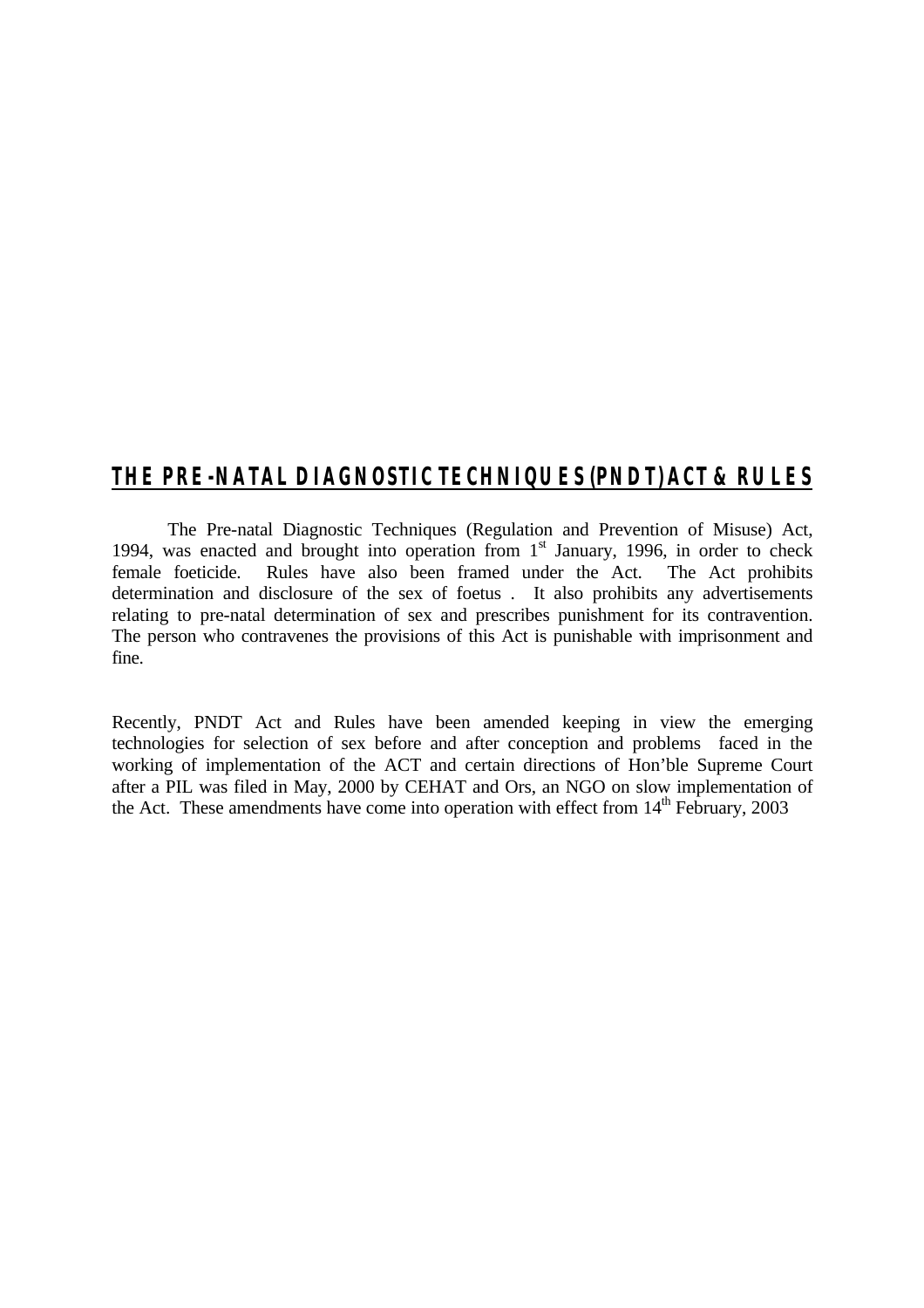# *THE PRE-NATAL DIAGNOSTIC TECHNIQUES (PNDT) ACT & RULES*

The Pre-natal Diagnostic Techniques (Regulation and Prevention of Misuse) Act, 1994, was enacted and brought into operation from 1<sup>st</sup> January, 1996, in order to check female foeticide. Rules have also been framed under the Act. The Act prohibits determination and disclosure of the sex of foetus . It also prohibits any advertisements relating to pre-natal determination of sex and prescribes punishment for its contravention. The person who contravenes the provisions of this Act is punishable with imprisonment and fine.

Recently, PNDT Act and Rules have been amended keeping in view the emerging technologies for selection of sex before and after conception and problems faced in the working of implementation of the ACT and certain directions of Hon'ble Supreme Court after a PIL was filed in May, 2000 by CEHAT and Ors, an NGO on slow implementation of the Act. These amendments have come into operation with effect from  $14<sup>th</sup>$  February, 2003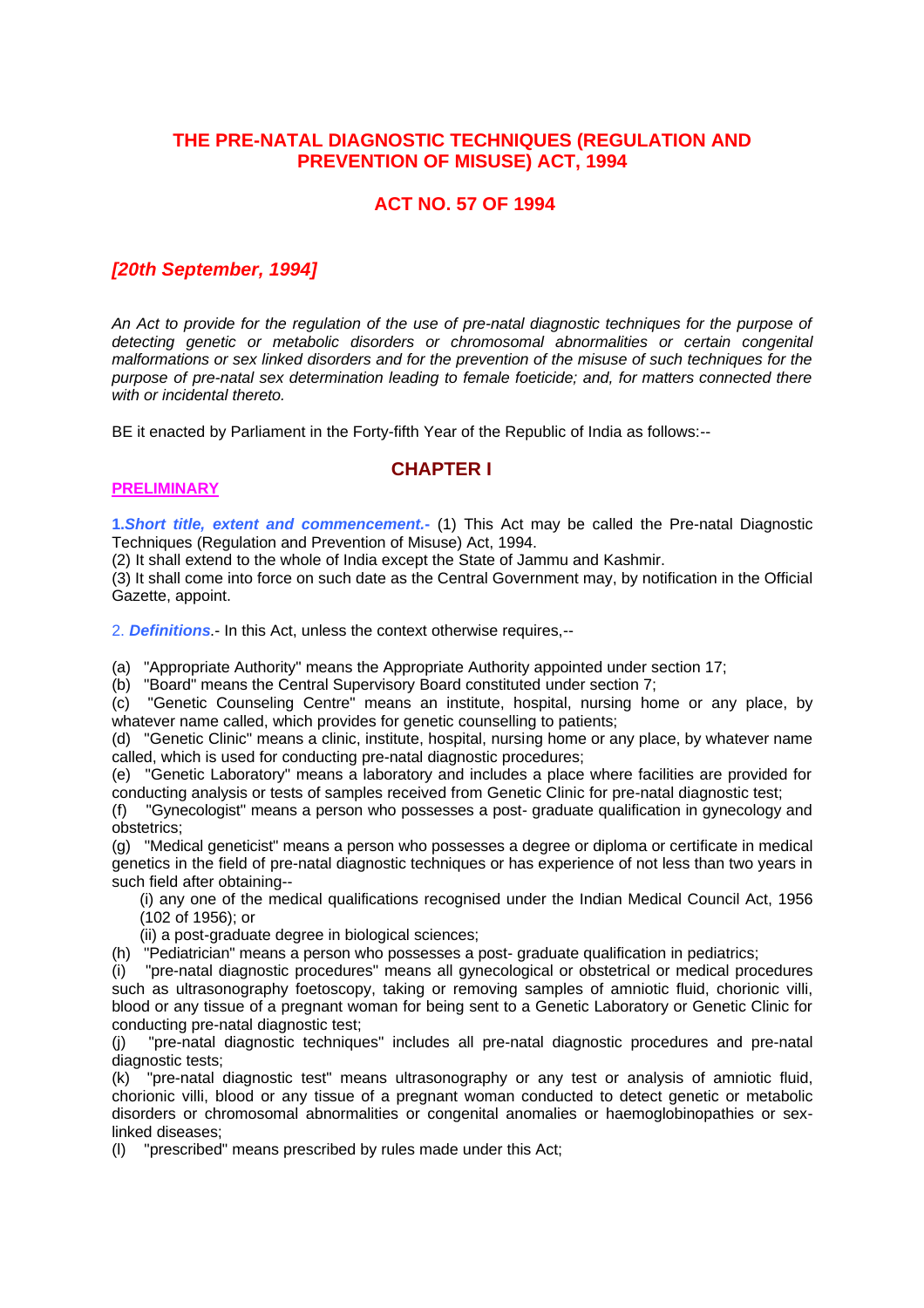# **THE PRE-NATAL DIAGNOSTIC TECHNIQUES (REGULATION AND PREVENTION OF MISUSE) ACT, 1994**

# **ACT NO. 57 OF 1994**

# *[20th September, 1994]*

*An Act to provide for the regulation of the use of pre-natal diagnostic techniques for the purpose of detecting genetic or metabolic disorders or chromosomal abnormalities or certain congenital malformations or sex linked disorders and for the prevention of the misuse of such techniques for the purpose of pre-natal sex determination leading to female foeticide; and, for matters connected there with or incidental thereto.* 

BE it enacted by Parliament in the Forty-fifth Year of the Republic of India as follows:--

# **CHAPTER I**

### **PRELIMINARY**

**1.***Short title, extent and commencement.***-** (1) This Act may be called the Pre-natal Diagnostic Techniques (Regulation and Prevention of Misuse) Act, 1994.

(2) It shall extend to the whole of India except the State of Jammu and Kashmir.

(3) It shall come into force on such date as the Central Government may, by notification in the Official Gazette, appoint.

2. *Definitions*.- In this Act, unless the context otherwise requires,--

(a) "Appropriate Authority" means the Appropriate Authority appointed under section 17;

(b) "Board" means the Central Supervisory Board constituted under section 7;

(c) "Genetic Counseling Centre" means an institute, hospital, nursing home or any place, by whatever name called, which provides for genetic counselling to patients;

(d) "Genetic Clinic" means a clinic, institute, hospital, nursing home or any place, by whatever name called, which is used for conducting pre-natal diagnostic procedures;

(e) "Genetic Laboratory" means a laboratory and includes a place where facilities are provided for conducting analysis or tests of samples received from Genetic Clinic for pre-natal diagnostic test;

(f) "Gynecologist" means a person who possesses a post- graduate qualification in gynecology and obstetrics;

(g) "Medical geneticist" means a person who possesses a degree or diploma or certificate in medical genetics in the field of pre-natal diagnostic techniques or has experience of not less than two years in such field after obtaining--

(i) any one of the medical qualifications recognised under the Indian Medical Council Act, 1956 (102 of 1956); or

(ii) a post-graduate degree in biological sciences;

(h) "Pediatrician" means a person who possesses a post- graduate qualification in pediatrics;

(i) "pre-natal diagnostic procedures" means all gynecological or obstetrical or medical procedures such as ultrasonography foetoscopy, taking or removing samples of amniotic fluid, chorionic villi, blood or any tissue of a pregnant woman for being sent to a Genetic Laboratory or Genetic Clinic for conducting pre-natal diagnostic test;

(j) "pre-natal diagnostic techniques" includes all pre-natal diagnostic procedures and pre-natal diagnostic tests;

(k) "pre-natal diagnostic test" means ultrasonography or any test or analysis of amniotic fluid, chorionic villi, blood or any tissue of a pregnant woman conducted to detect genetic or metabolic disorders or chromosomal abnormalities or congenital anomalies or haemoglobinopathies or sexlinked diseases;

(l) "prescribed" means prescribed by rules made under this Act;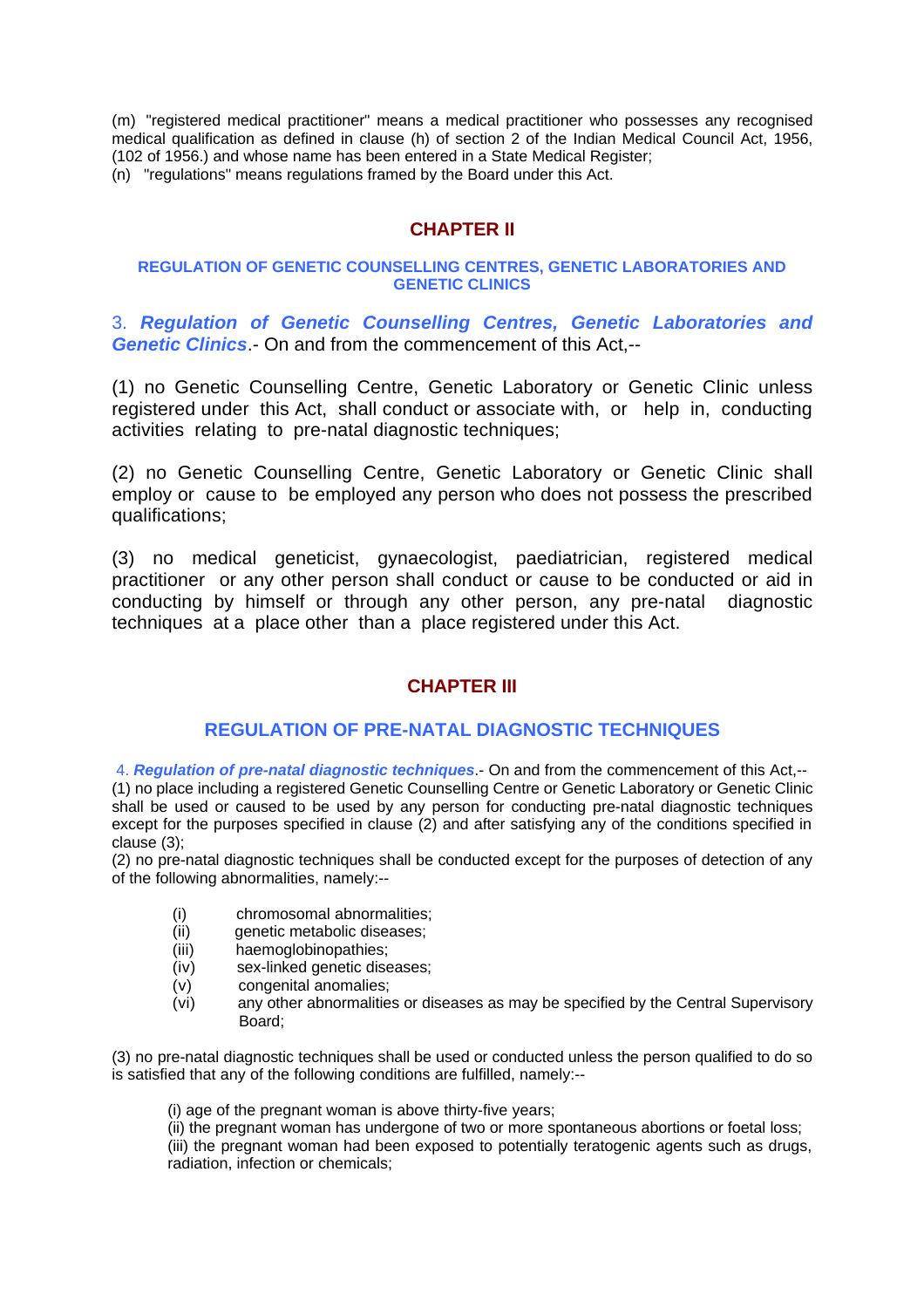(m) "registered medical practitioner" means a medical practitioner who possesses any recognised medical qualification as defined in clause (h) of section 2 of the Indian Medical Council Act, 1956, (102 of 1956.) and whose name has been entered in a State Medical Register;

(n) "regulations" means regulations framed by the Board under this Act.

# **CHAPTER II**

## **REGULATION OF GENETIC COUNSELLING CENTRES, GENETIC LABORATORIES AND GENETIC CLINICS**

3. *Regulation of Genetic Counselling Centres, Genetic Laboratories and Genetic Clinics*.- On and from the commencement of this Act,--

(1) no Genetic Counselling Centre, Genetic Laboratory or Genetic Clinic unless registered under this Act, shall conduct or associate with, or help in, conducting activities relating to pre-natal diagnostic techniques;

(2) no Genetic Counselling Centre, Genetic Laboratory or Genetic Clinic shall employ or cause to be employed any person who does not possess the prescribed qualifications;

(3) no medical geneticist, gynaecologist, paediatrician, registered medical practitioner or any other person shall conduct or cause to be conducted or aid in conducting by himself or through any other person, any pre-natal diagnostic techniques at a place other than a place registered under this Act.

# **CHAPTER III**

# **REGULATION OF PRE-NATAL DIAGNOSTIC TECHNIQUES**

 4. *Regulation of pre-natal diagnostic techniques*.- On and from the commencement of this Act,-- (1) no place including a registered Genetic Counselling Centre or Genetic Laboratory or Genetic Clinic shall be used or caused to be used by any person for conducting pre-natal diagnostic techniques except for the purposes specified in clause (2) and after satisfying any of the conditions specified in clause (3);

(2) no pre-natal diagnostic techniques shall be conducted except for the purposes of detection of any of the following abnormalities, namely:--

- (i) chromosomal abnormalities;
- (ii) genetic metabolic diseases;
- (iii) haemoglobinopathies;
- (iv) sex-linked genetic diseases;
- (v) congenital anomalies;
- (vi) any other abnormalities or diseases as may be specified by the Central Supervisory Board;

(3) no pre-natal diagnostic techniques shall be used or conducted unless the person qualified to do so is satisfied that any of the following conditions are fulfilled, namely:--

(i) age of the pregnant woman is above thirty-five years;

(ii) the pregnant woman has undergone of two or more spontaneous abortions or foetal loss;

(iii) the pregnant woman had been exposed to potentially teratogenic agents such as drugs, radiation, infection or chemicals;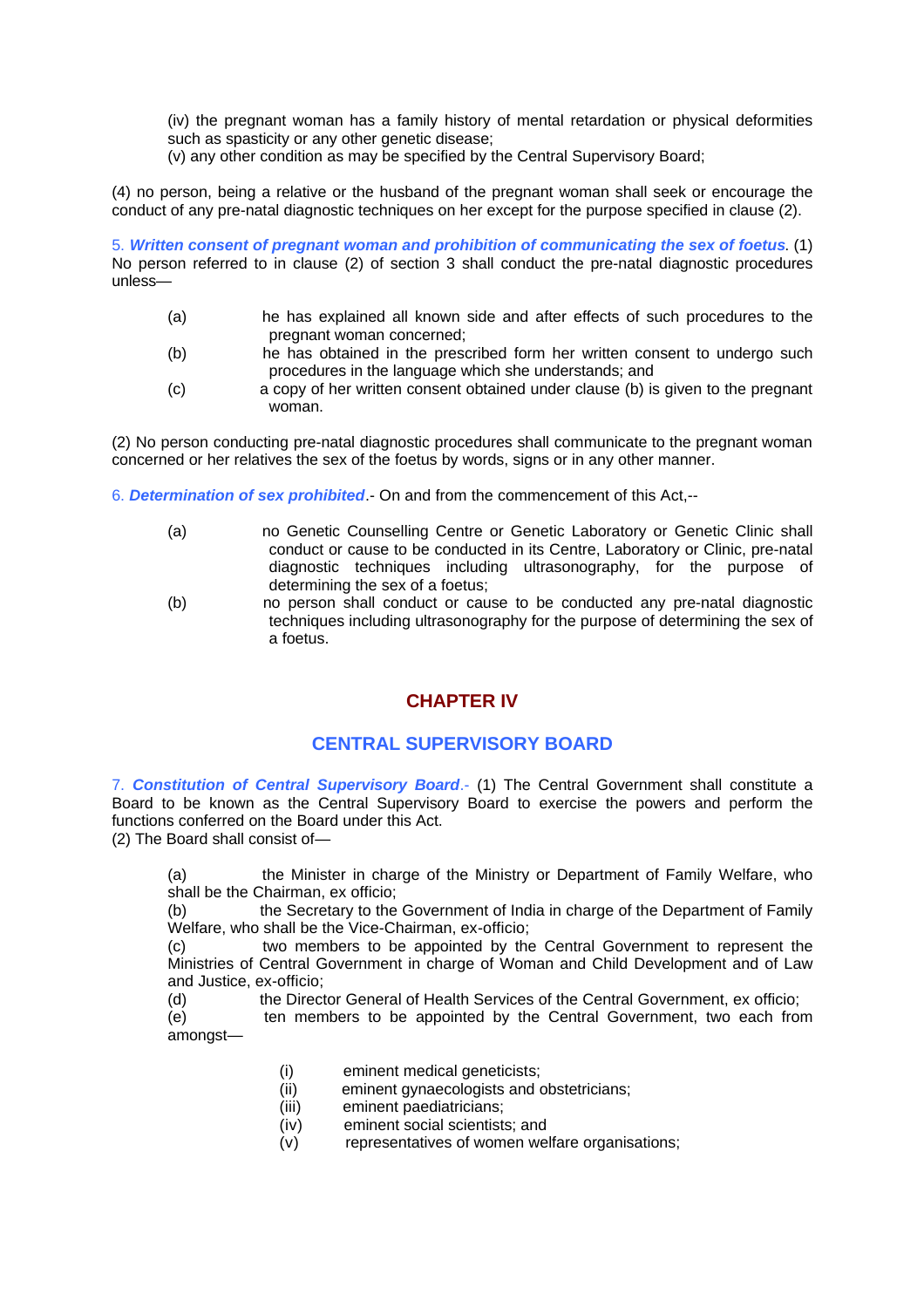(iv) the pregnant woman has a family history of mental retardation or physical deformities such as spasticity or any other genetic disease;

(v) any other condition as may be specified by the Central Supervisory Board;

(4) no person, being a relative or the husband of the pregnant woman shall seek or encourage the conduct of any pre-natal diagnostic techniques on her except for the purpose specified in clause (2).

5. *Written consent of pregnant woman and prohibition of communicating the sex of foetus*. (1) No person referred to in clause (2) of section 3 shall conduct the pre-natal diagnostic procedures unless—

- (a) he has explained all known side and after effects of such procedures to the pregnant woman concerned;
- (b) he has obtained in the prescribed form her written consent to undergo such procedures in the language which she understands; and
- (c) a copy of her written consent obtained under clause (b) is given to the pregnant woman.

(2) No person conducting pre-natal diagnostic procedures shall communicate to the pregnant woman concerned or her relatives the sex of the foetus by words, signs or in any other manner.

6. *Determination of sex prohibited*.- On and from the commencement of this Act,--

- (a) no Genetic Counselling Centre or Genetic Laboratory or Genetic Clinic shall conduct or cause to be conducted in its Centre, Laboratory or Clinic, pre-natal diagnostic techniques including ultrasonography, for the purpose of determining the sex of a foetus;
- (b) no person shall conduct or cause to be conducted any pre-natal diagnostic techniques including ultrasonography for the purpose of determining the sex of a foetus.

# **CHAPTER IV**

# **CENTRAL SUPERVISORY BOARD**

7. **Constitution of Central Supervisory Board.**- (1) The Central Government shall constitute a Board to be known as the Central Supervisory Board to exercise the powers and perform the functions conferred on the Board under this Act.

(2) The Board shall consist of—

(a) the Minister in charge of the Ministry or Department of Family Welfare, who shall be the Chairman, ex officio;

(b) the Secretary to the Government of India in charge of the Department of Family Welfare, who shall be the Vice-Chairman, ex-officio;

(c) two members to be appointed by the Central Government to represent the Ministries of Central Government in charge of Woman and Child Development and of Law and Justice, ex-officio;

(d) the Director General of Health Services of the Central Government, ex officio;

(e) ten members to be appointed by the Central Government, two each from amongst-

- (i) eminent medical geneticists;
- (ii) eminent gynaecologists and obstetricians;
- (iii) eminent paediatricians;
- (iv) eminent social scientists; and
- (v) representatives of women welfare organisations;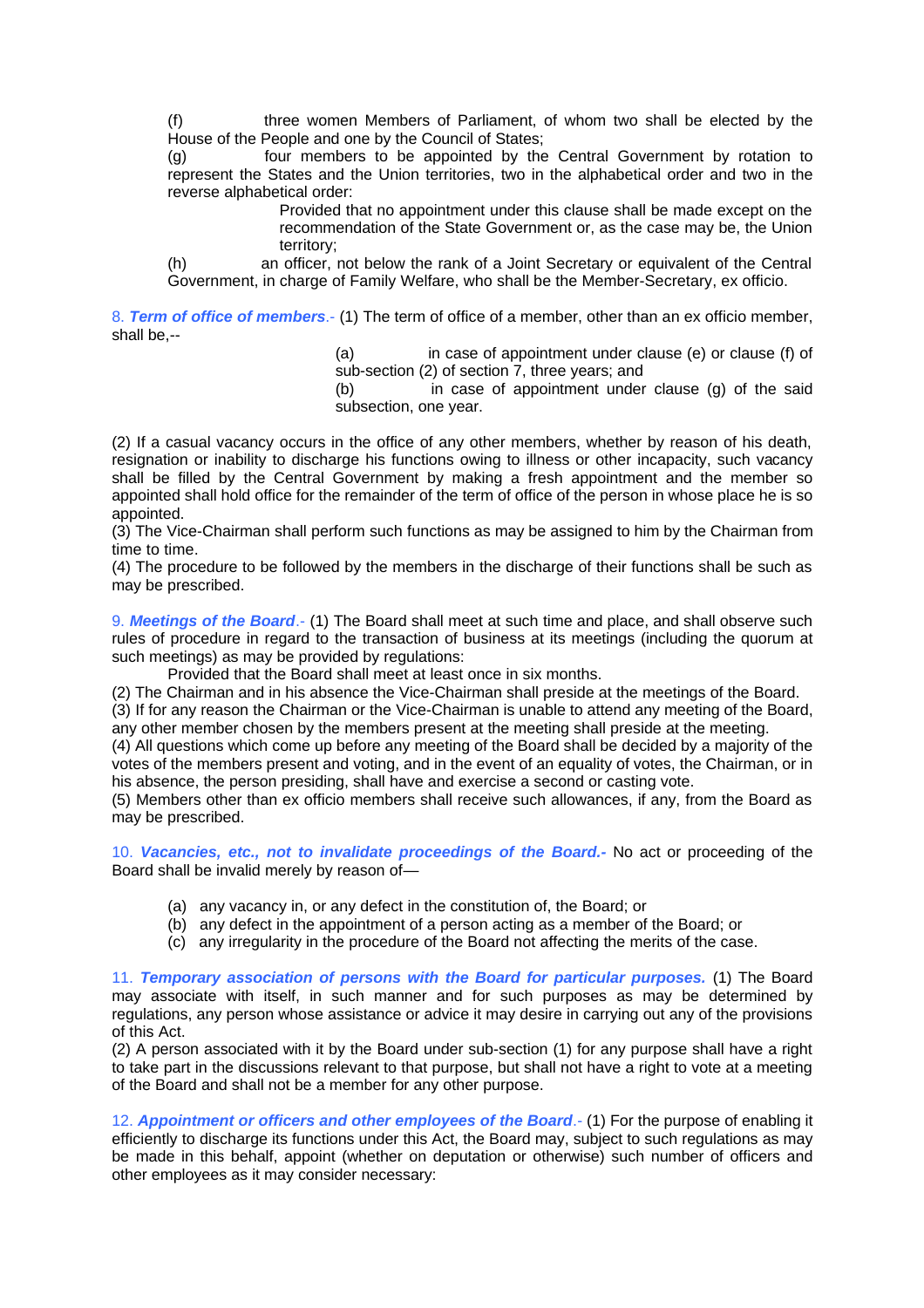(f) three women Members of Parliament, of whom two shall be elected by the House of the People and one by the Council of States;

(g) four members to be appointed by the Central Government by rotation to represent the States and the Union territories, two in the alphabetical order and two in the reverse alphabetical order:

Provided that no appointment under this clause shall be made except on the recommendation of the State Government or, as the case may be, the Union territory;

(h) an officer, not below the rank of a Joint Secretary or equivalent of the Central Government, in charge of Family Welfare, who shall be the Member-Secretary, ex officio.

8. *Term of office of members*.- (1) The term of office of a member, other than an ex officio member, shall be,--

> (a) in case of appointment under clause (e) or clause (f) of sub-section (2) of section 7, three years; and

> (b) in case of appointment under clause (g) of the said subsection, one year.

(2) If a casual vacancy occurs in the office of any other members, whether by reason of his death, resignation or inability to discharge his functions owing to illness or other incapacity, such vacancy shall be filled by the Central Government by making a fresh appointment and the member so appointed shall hold office for the remainder of the term of office of the person in whose place he is so appointed.

(3) The Vice-Chairman shall perform such functions as may be assigned to him by the Chairman from time to time.

(4) The procedure to be followed by the members in the discharge of their functions shall be such as may be prescribed.

9. *Meetings of the Board*.- (1) The Board shall meet at such time and place, and shall observe such rules of procedure in regard to the transaction of business at its meetings (including the quorum at such meetings) as may be provided by regulations:

Provided that the Board shall meet at least once in six months.

(2) The Chairman and in his absence the Vice-Chairman shall preside at the meetings of the Board.

(3) If for any reason the Chairman or the Vice-Chairman is unable to attend any meeting of the Board, any other member chosen by the members present at the meeting shall preside at the meeting.

(4) All questions which come up before any meeting of the Board shall be decided by a majority of the votes of the members present and voting, and in the event of an equality of votes, the Chairman, or in his absence, the person presiding, shall have and exercise a second or casting vote.

(5) Members other than ex officio members shall receive such allowances, if any, from the Board as may be prescribed.

10. *Vacancies, etc., not to invalidate proceedings of the Board.-* No act or proceeding of the Board shall be invalid merely by reason of—

- (a) any vacancy in, or any defect in the constitution of, the Board; or
- (b) any defect in the appointment of a person acting as a member of the Board; or
- (c) any irregularity in the procedure of the Board not affecting the merits of the case.

11. *Temporary association of persons with the Board for particular purposes.* (1) The Board may associate with itself, in such manner and for such purposes as may be determined by regulations, any person whose assistance or advice it may desire in carrying out any of the provisions of this Act.

(2) A person associated with it by the Board under sub-section (1) for any purpose shall have a right to take part in the discussions relevant to that purpose, but shall not have a right to vote at a meeting of the Board and shall not be a member for any other purpose.

12. *Appointment or officers and other employees of the Board*.- (1) For the purpose of enabling it efficiently to discharge its functions under this Act, the Board may, subject to such regulations as may be made in this behalf, appoint (whether on deputation or otherwise) such number of officers and other employees as it may consider necessary: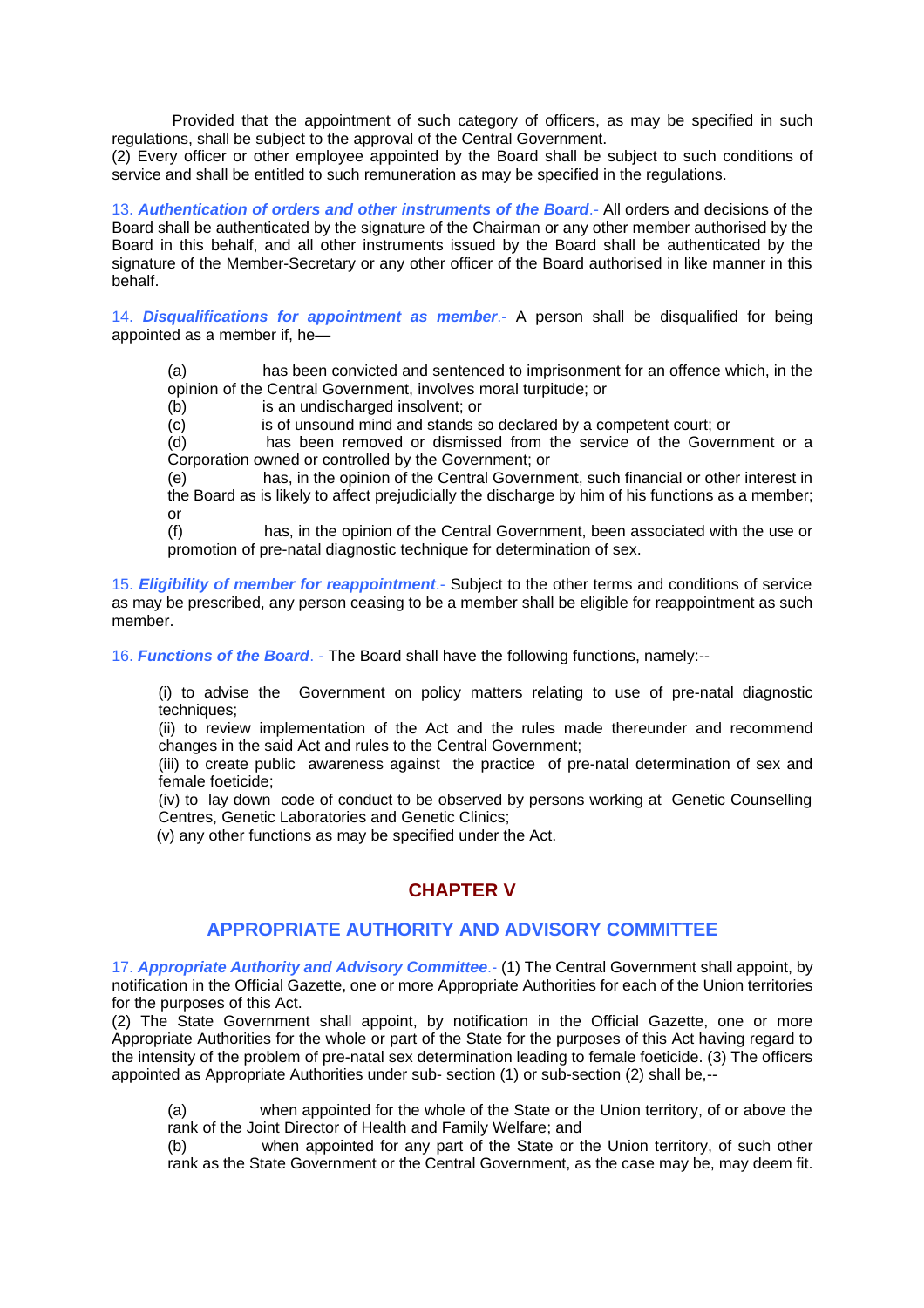Provided that the appointment of such category of officers, as may be specified in such regulations, shall be subject to the approval of the Central Government.

(2) Every officer or other employee appointed by the Board shall be subject to such conditions of service and shall be entitled to such remuneration as may be specified in the regulations.

13. *Authentication of orders and other instruments of the Board*.- All orders and decisions of the Board shall be authenticated by the signature of the Chairman or any other member authorised by the Board in this behalf, and all other instruments issued by the Board shall be authenticated by the signature of the Member-Secretary or any other officer of the Board authorised in like manner in this behalf.

14. *Disqualifications for appointment as member*.- A person shall be disqualified for being appointed as a member if, he—

(a) has been convicted and sentenced to imprisonment for an offence which, in the opinion of the Central Government, involves moral turpitude; or

(b) is an undischarged insolvent; or

(c) is of unsound mind and stands so declared by a competent court; or

(d) has been removed or dismissed from the service of the Government or a Corporation owned or controlled by the Government; or

(e) has, in the opinion of the Central Government, such financial or other interest in the Board as is likely to affect prejudicially the discharge by him of his functions as a member; or

(f) has, in the opinion of the Central Government, been associated with the use or promotion of pre-natal diagnostic technique for determination of sex.

15. *Eligibility of member for reappointment*.- Subject to the other terms and conditions of service as may be prescribed, any person ceasing to be a member shall be eligible for reappointment as such member.

16. *Functions of the Board*. - The Board shall have the following functions, namely:--

(i) to advise the Government on policy matters relating to use of pre-natal diagnostic techniques:

(ii) to review implementation of the Act and the rules made thereunder and recommend changes in the said Act and rules to the Central Government;

(iii) to create public awareness against the practice of pre-natal determination of sex and female foeticide;

(iv) to lay down code of conduct to be observed by persons working at Genetic Counselling Centres, Genetic Laboratories and Genetic Clinics;

(v) any other functions as may be specified under the Act.

# **CHAPTER V**

# **APPROPRIATE AUTHORITY AND ADVISORY COMMITTEE**

17. *Appropriate Authority and Advisory Committee*.- (1) The Central Government shall appoint, by notification in the Official Gazette, one or more Appropriate Authorities for each of the Union territories for the purposes of this Act.

(2) The State Government shall appoint, by notification in the Official Gazette, one or more Appropriate Authorities for the whole or part of the State for the purposes of this Act having regard to the intensity of the problem of pre-natal sex determination leading to female foeticide. (3) The officers appointed as Appropriate Authorities under sub- section (1) or sub-section (2) shall be,--

(a) when appointed for the whole of the State or the Union territory, of or above the rank of the Joint Director of Health and Family Welfare; and

(b) when appointed for any part of the State or the Union territory, of such other rank as the State Government or the Central Government, as the case may be, may deem fit.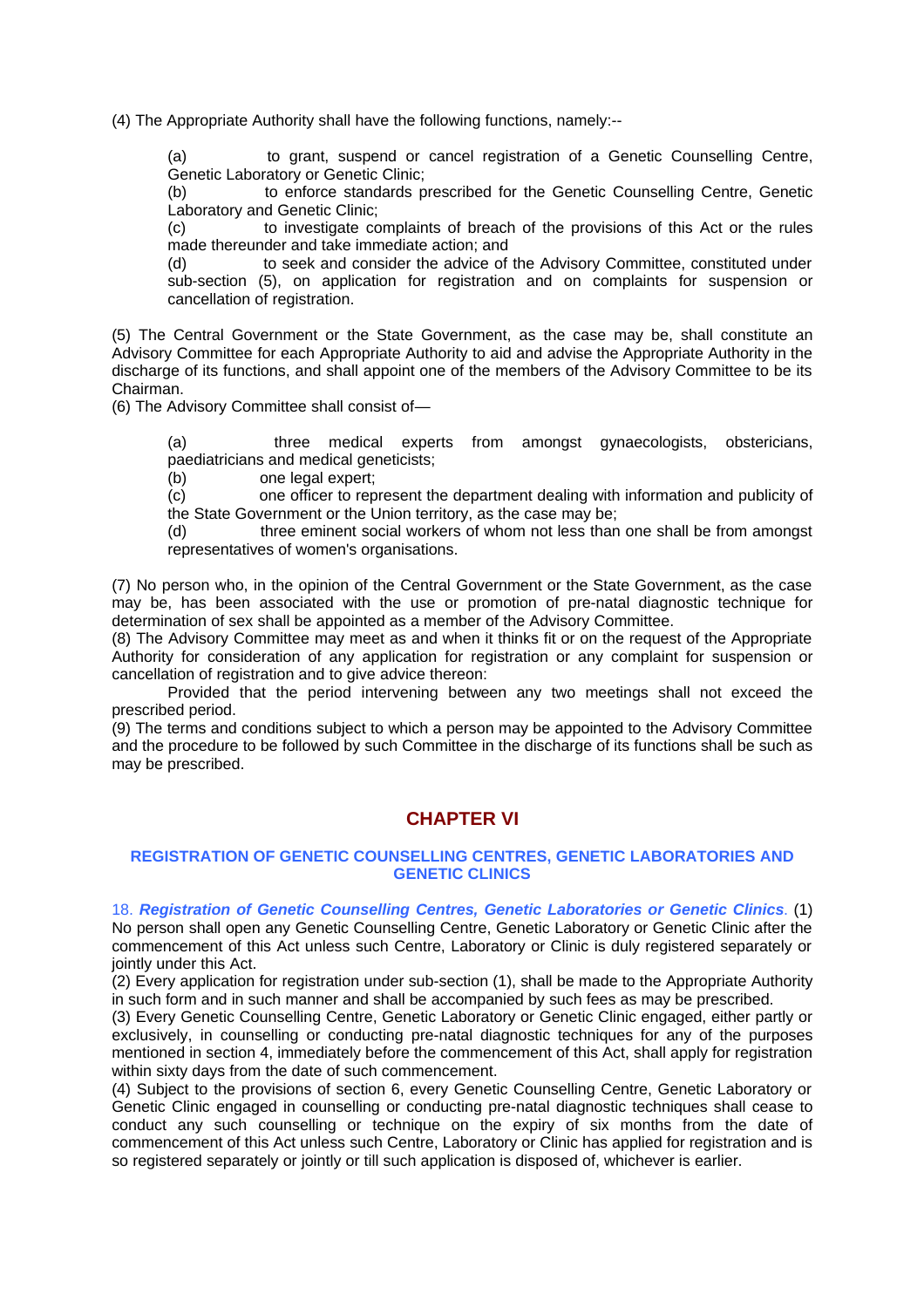(4) The Appropriate Authority shall have the following functions, namely:--

(a) to grant, suspend or cancel registration of a Genetic Counselling Centre, Genetic Laboratory or Genetic Clinic;

(b) to enforce standards prescribed for the Genetic Counselling Centre, Genetic Laboratory and Genetic Clinic;

(c) to investigate complaints of breach of the provisions of this Act or the rules made thereunder and take immediate action; and

(d) to seek and consider the advice of the Advisory Committee, constituted under sub-section (5), on application for registration and on complaints for suspension or cancellation of registration.

(5) The Central Government or the State Government, as the case may be, shall constitute an Advisory Committee for each Appropriate Authority to aid and advise the Appropriate Authority in the discharge of its functions, and shall appoint one of the members of the Advisory Committee to be its Chairman.

(6) The Advisory Committee shall consist of—

(a) three medical experts from amongst gynaecologists, obstericians, paediatricians and medical geneticists;

(b) one legal expert;

(c) one officer to represent the department dealing with information and publicity of the State Government or the Union territory, as the case may be;

(d) three eminent social workers of whom not less than one shall be from amongst representatives of women's organisations.

(7) No person who, in the opinion of the Central Government or the State Government, as the case may be, has been associated with the use or promotion of pre-natal diagnostic technique for determination of sex shall be appointed as a member of the Advisory Committee.

(8) The Advisory Committee may meet as and when it thinks fit or on the request of the Appropriate Authority for consideration of any application for registration or any complaint for suspension or cancellation of registration and to give advice thereon:

Provided that the period intervening between any two meetings shall not exceed the prescribed period.

(9) The terms and conditions subject to which a person may be appointed to the Advisory Committee and the procedure to be followed by such Committee in the discharge of its functions shall be such as may be prescribed.

# **CHAPTER VI**

#### **REGISTRATION OF GENETIC COUNSELLING CENTRES, GENETIC LABORATORIES AND GENETIC CLINICS**

18. *Registration of Genetic Counselling Centres, Genetic Laboratories or Genetic Clinics*. (1)

No person shall open any Genetic Counselling Centre, Genetic Laboratory or Genetic Clinic after the commencement of this Act unless such Centre, Laboratory or Clinic is duly registered separately or jointly under this Act.

(2) Every application for registration under sub-section (1), shall be made to the Appropriate Authority in such form and in such manner and shall be accompanied by such fees as may be prescribed.

(3) Every Genetic Counselling Centre, Genetic Laboratory or Genetic Clinic engaged, either partly or exclusively, in counselling or conducting pre-natal diagnostic techniques for any of the purposes mentioned in section 4, immediately before the commencement of this Act, shall apply for registration within sixty days from the date of such commencement.

(4) Subject to the provisions of section 6, every Genetic Counselling Centre, Genetic Laboratory or Genetic Clinic engaged in counselling or conducting pre-natal diagnostic techniques shall cease to conduct any such counselling or technique on the expiry of six months from the date of commencement of this Act unless such Centre, Laboratory or Clinic has applied for registration and is so registered separately or jointly or till such application is disposed of, whichever is earlier.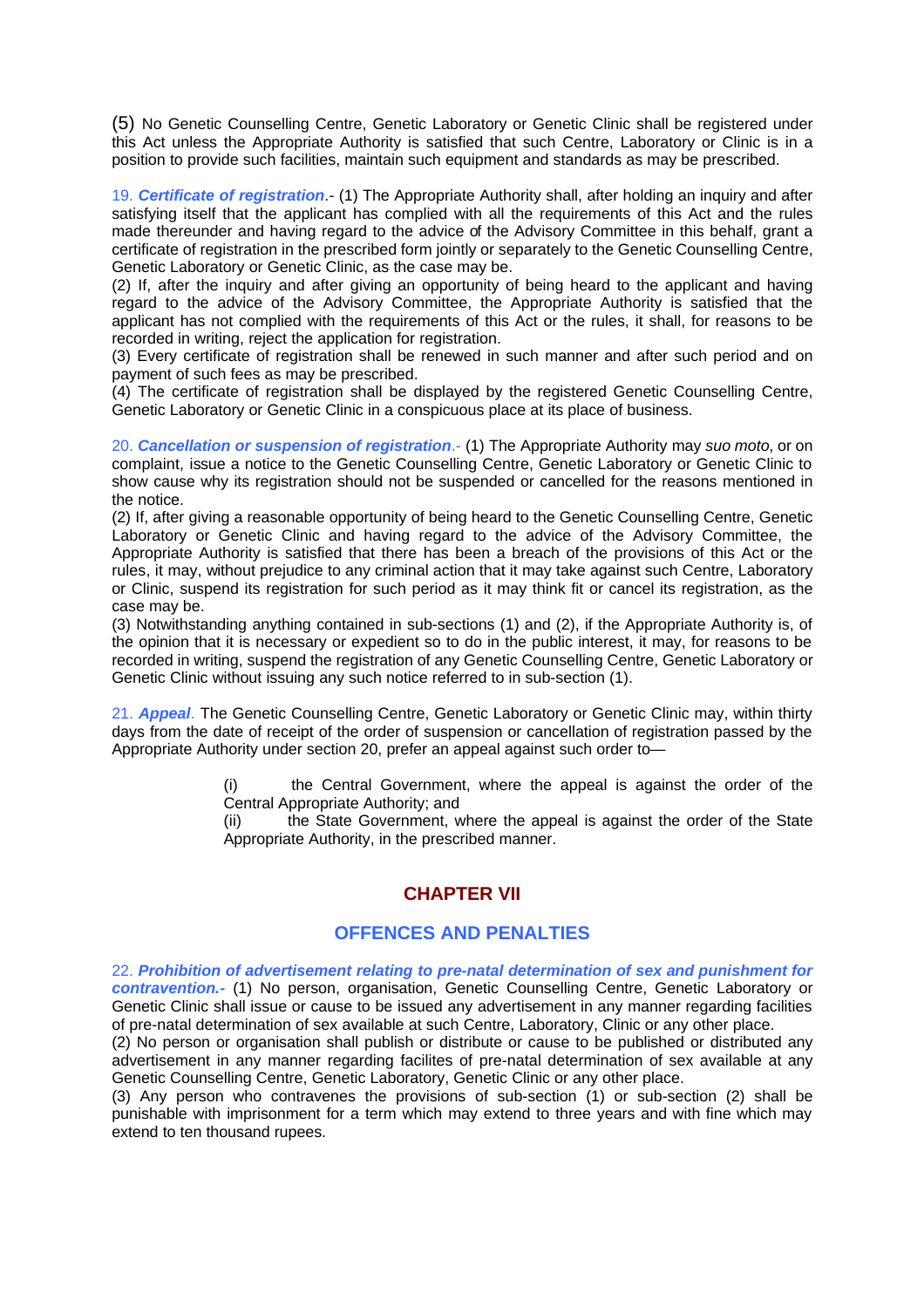(5) No Genetic Counselling Centre, Genetic Laboratory or Genetic Clinic shall be registered under this Act unless the Appropriate Authority is satisfied that such Centre, Laboratory or Clinic is in a position to provide such facilities, maintain such equipment and standards as may be prescribed.

19. *Certificate of registration*.- (1) The Appropriate Authority shall, after holding an inquiry and after satisfying itself that the applicant has complied with all the requirements of this Act and the rules made thereunder and having regard to the advice of the Advisory Committee in this behalf, grant a certificate of registration in the prescribed form jointly or separately to the Genetic Counselling Centre, Genetic Laboratory or Genetic Clinic, as the case may be.

(2) If, after the inquiry and after giving an opportunity of being heard to the applicant and having regard to the advice of the Advisory Committee, the Appropriate Authority is satisfied that the applicant has not complied with the requirements of this Act or the rules, it shall, for reasons to be recorded in writing, reject the application for registration.

(3) Every certificate of registration shall be renewed in such manner and after such period and on payment of such fees as may be prescribed.

(4) The certificate of registration shall be displayed by the registered Genetic Counselling Centre, Genetic Laboratory or Genetic Clinic in a conspicuous place at its place of business.

20. *Cancellation or suspension of registration*.- (1) The Appropriate Authority may *suo moto*, or on complaint, issue a notice to the Genetic Counselling Centre, Genetic Laboratory or Genetic Clinic to show cause why its registration should not be suspended or cancelled for the reasons mentioned in the notice.

(2) If, after giving a reasonable opportunity of being heard to the Genetic Counselling Centre, Genetic Laboratory or Genetic Clinic and having regard to the advice of the Advisory Committee, the Appropriate Authority is satisfied that there has been a breach of the provisions of this Act or the rules, it may, without prejudice to any criminal action that it may take against such Centre, Laboratory or Clinic, suspend its registration for such period as it may think fit or cancel its registration, as the case may be.

(3) Notwithstanding anything contained in sub-sections (1) and (2), if the Appropriate Authority is, of the opinion that it is necessary or expedient so to do in the public interest, it may, for reasons to be recorded in writing, suspend the registration of any Genetic Counselling Centre, Genetic Laboratory or Genetic Clinic without issuing any such notice referred to in sub-section (1).

21. *Appeal*. The Genetic Counselling Centre, Genetic Laboratory or Genetic Clinic may, within thirty days from the date of receipt of the order of suspension or cancellation of registration passed by the Appropriate Authority under section 20, prefer an appeal against such order to—

> the Central Government, where the appeal is against the order of the Central Appropriate Authority; and

> (ii) the State Government, where the appeal is against the order of the State Appropriate Authority, in the prescribed manner.

# **CHAPTER VII**

# **OFFENCES AND PENALTIES**

22. *Prohibition of advertisement relating to pre-natal determination of sex and punishment for contravention.-* (1) No person, organisation, Genetic Counselling Centre, Genetic Laboratory or Genetic Clinic shall issue or cause to be issued any advertisement in any manner regarding facilities of pre-natal determination of sex available at such Centre, Laboratory, Clinic or any other place.

(2) No person or organisation shall publish or distribute or cause to be published or distributed any advertisement in any manner regarding facilites of pre-natal determination of sex available at any Genetic Counselling Centre, Genetic Laboratory, Genetic Clinic or any other place.

(3) Any person who contravenes the provisions of sub-section (1) or sub-section (2) shall be punishable with imprisonment for a term which may extend to three years and with fine which may extend to ten thousand rupees.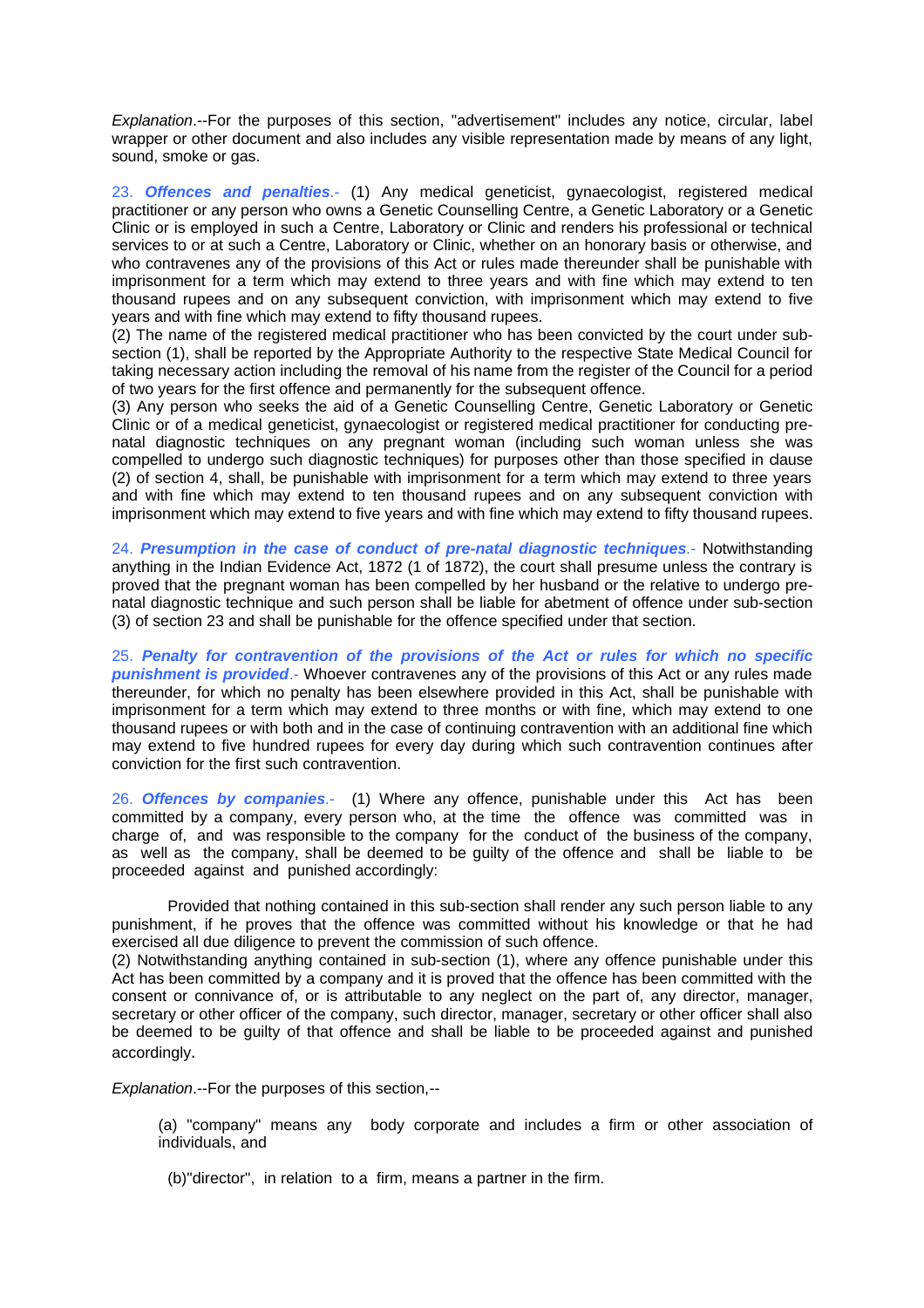*Explanation*.--For the purposes of this section, "advertisement" includes any notice, circular, label wrapper or other document and also includes any visible representation made by means of any light, sound, smoke or gas.

23. *Offences and penalties*.- (1) Any medical geneticist, gynaecologist, registered medical practitioner or any person who owns a Genetic Counselling Centre, a Genetic Laboratory or a Genetic Clinic or is employed in such a Centre, Laboratory or Clinic and renders his professional or technical services to or at such a Centre, Laboratory or Clinic, whether on an honorary basis or otherwise, and who contravenes any of the provisions of this Act or rules made thereunder shall be punishable with imprisonment for a term which may extend to three years and with fine which may extend to ten thousand rupees and on any subsequent conviction, with imprisonment which may extend to five years and with fine which may extend to fifty thousand rupees.

(2) The name of the registered medical practitioner who has been convicted by the court under subsection (1), shall be reported by the Appropriate Authority to the respective State Medical Council for taking necessary action including the removal of his name from the register of the Council for a period of two years for the first offence and permanently for the subsequent offence.

(3) Any person who seeks the aid of a Genetic Counselling Centre, Genetic Laboratory or Genetic Clinic or of a medical geneticist, gynaecologist or registered medical practitioner for conducting prenatal diagnostic techniques on any pregnant woman (including such woman unless she was compelled to undergo such diagnostic techniques) for purposes other than those specified in clause (2) of section 4, shall, be punishable with imprisonment for a term which may extend to three years and with fine which may extend to ten thousand rupees and on any subsequent conviction with imprisonment which may extend to five years and with fine which may extend to fifty thousand rupees.

24. *Presumption in the case of conduct of pre-natal diagnostic techniques*.- Notwithstanding anything in the Indian Evidence Act, 1872 (1 of 1872), the court shall presume unless the contrary is proved that the pregnant woman has been compelled by her husband or the relative to undergo prenatal diagnostic technique and such person shall be liable for abetment of offence under sub-section (3) of section 23 and shall be punishable for the offence specified under that section.

25. *Penalty for contravention of the provisions of the Act or rules for which no specific punishment is provided*.- Whoever contravenes any of the provisions of this Act or any rules made thereunder, for which no penalty has been elsewhere provided in this Act, shall be punishable with imprisonment for a term which may extend to three months or with fine, which may extend to one thousand rupees or with both and in the case of continuing contravention with an additional fine which may extend to five hundred rupees for every day during which such contravention continues after conviction for the first such contravention.

26. *Offences by companies*.- (1) Where any offence, punishable under this Act has been committed by a company, every person who, at the time the offence was committed was in charge of, and was responsible to the company for the conduct of the business of the company, as well as the company, shall be deemed to be guilty of the offence and shall be liable to be proceeded against and punished accordingly:

 Provided that nothing contained in this sub-section shall render any such person liable to any punishment, if he proves that the offence was committed without his knowledge or that he had exercised all due diligence to prevent the commission of such offence.

(2) Notwithstanding anything contained in sub-section (1), where any offence punishable under this Act has been committed by a company and it is proved that the offence has been committed with the consent or connivance of, or is attributable to any neglect on the part of, any director, manager, secretary or other officer of the company, such director, manager, secretary or other officer shall also be deemed to be guilty of that offence and shall be liable to be proceeded against and punished accordingly.

*Explanation*.--For the purposes of this section,--

(a) "company" means any body corporate and includes a firm or other association of individuals, and

(b)"director", in relation to a firm, means a partner in the firm.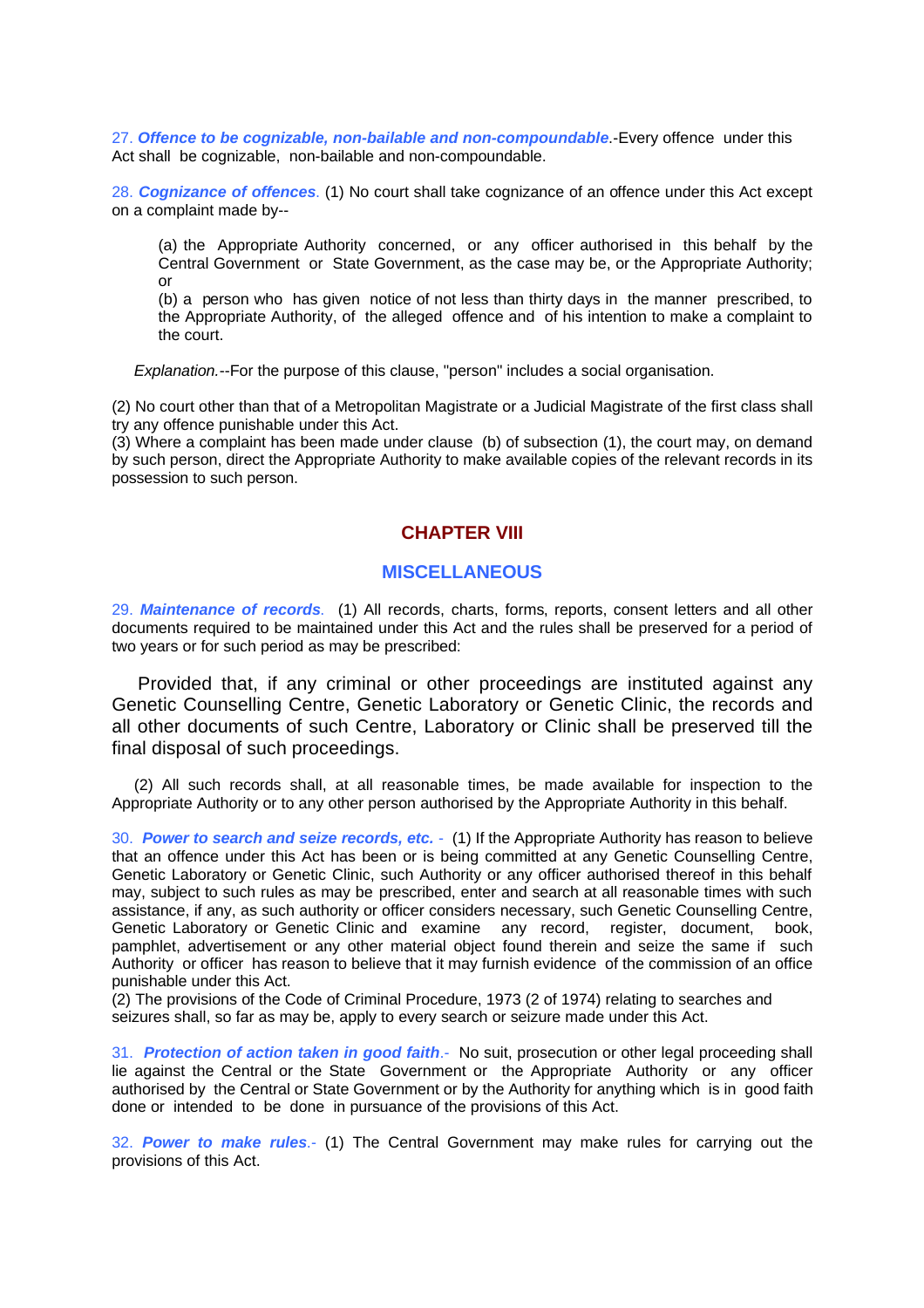27. Offence to be cognizable, non-bailable and non-compoundable. Every offence under this Act shall be cognizable, non-bailable and non-compoundable.

28. *Cognizance of offences*. (1) No court shall take cognizance of an offence under this Act except on a complaint made by--

(a) the Appropriate Authority concerned, or any officer authorised in this behalf by the Central Government or State Government, as the case may be, or the Appropriate Authority; or

(b) a person who has given notice of not less than thirty days in the manner prescribed, to the Appropriate Authority, of the alleged offence and of his intention to make a complaint to the court.

*Explanation.*--For the purpose of this clause, "person" includes a social organisation.

(2) No court other than that of a Metropolitan Magistrate or a Judicial Magistrate of the first class shall try any offence punishable under this Act.

(3) Where a complaint has been made under clause (b) of subsection (1), the court may, on demand by such person, direct the Appropriate Authority to make available copies of the relevant records in its possession to such person.

### **CHAPTER VIII**

## **MISCELLANEOUS**

29. *Maintenance of records*. (1) All records, charts, forms, reports, consent letters and all other documents required to be maintained under this Act and the rules shall be preserved for a period of two years or for such period as may be prescribed:

 Provided that, if any criminal or other proceedings are instituted against any Genetic Counselling Centre, Genetic Laboratory or Genetic Clinic, the records and all other documents of such Centre, Laboratory or Clinic shall be preserved till the final disposal of such proceedings.

 (2) All such records shall, at all reasonable times, be made available for inspection to the Appropriate Authority or to any other person authorised by the Appropriate Authority in this behalf.

30. *Power to search and seize records, etc.* - (1) If the Appropriate Authority has reason to believe that an offence under this Act has been or is being committed at any Genetic Counselling Centre, Genetic Laboratory or Genetic Clinic, such Authority or any officer authorised thereof in this behalf may, subject to such rules as may be prescribed, enter and search at all reasonable times with such assistance, if any, as such authority or officer considers necessary, such Genetic Counselling Centre, Genetic Laboratory or Genetic Clinic and examine any record, register, document, book, pamphlet, advertisement or any other material object found therein and seize the same if such Authority or officer has reason to believe that it may furnish evidence of the commission of an office punishable under this Act.

(2) The provisions of the Code of Criminal Procedure, 1973 (2 of 1974) relating to searches and seizures shall, so far as may be, apply to every search or seizure made under this Act.

31. *Protection of action taken in good faith*.- No suit, prosecution or other legal proceeding shall lie against the Central or the State Government or the Appropriate Authority or any officer authorised by the Central or State Government or by the Authority for anything which is in good faith done or intended to be done in pursuance of the provisions of this Act.

32. *Power to make rules*.- (1) The Central Government may make rules for carrying out the provisions of this Act.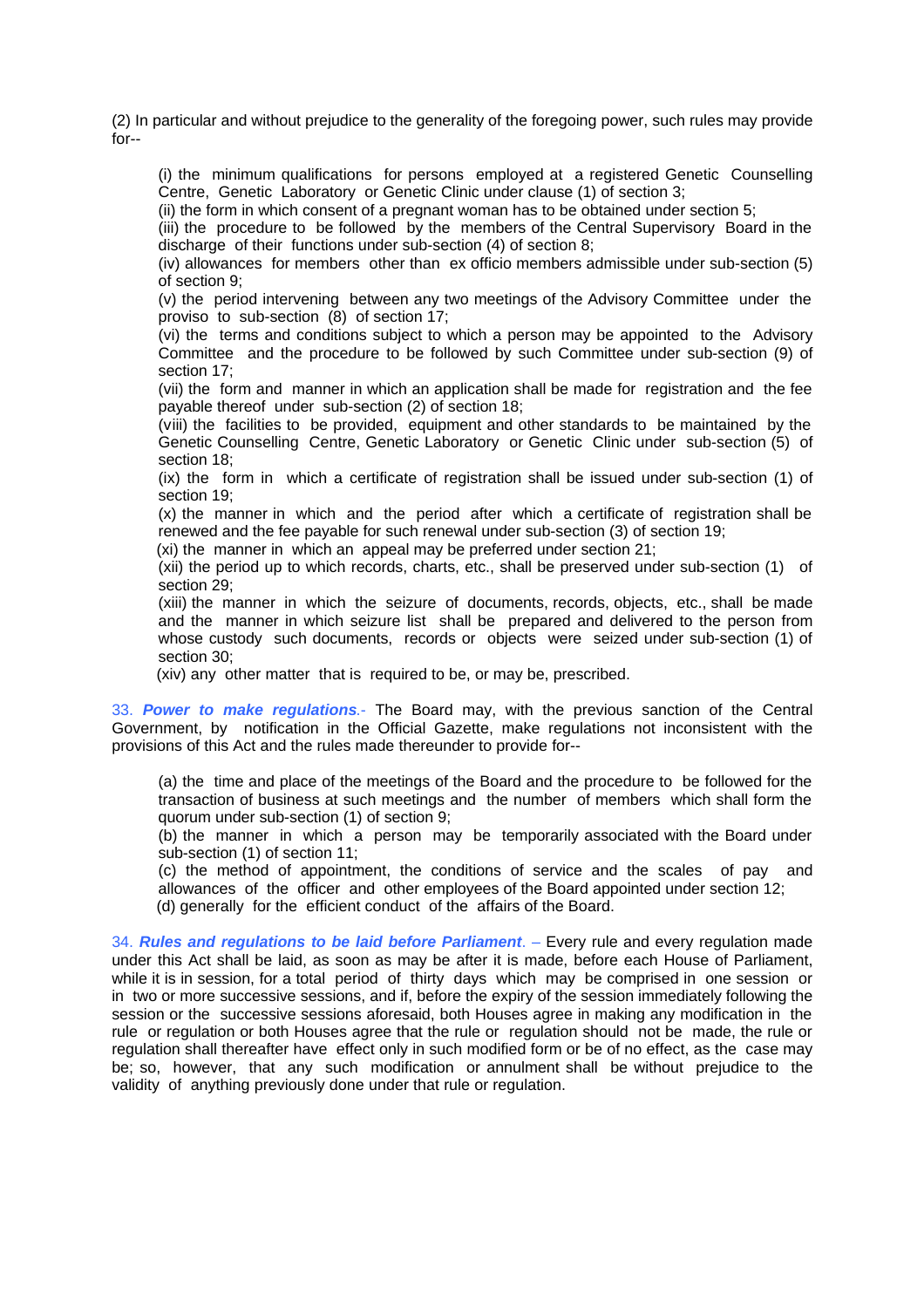(2) In particular and without prejudice to the generality of the foregoing power, such rules may provide for--

(i) the minimum qualifications for persons employed at a registered Genetic Counselling Centre, Genetic Laboratory or Genetic Clinic under clause (1) of section 3;

(ii) the form in which consent of a pregnant woman has to be obtained under section 5;

(iii) the procedure to be followed by the members of the Central Supervisory Board in the discharge of their functions under sub-section (4) of section 8;

(iv) allowances for members other than ex officio members admissible under sub-section (5) of section 9;

(v) the period intervening between any two meetings of the Advisory Committee under the proviso to sub-section (8) of section 17;

(vi) the terms and conditions subject to which a person may be appointed to the Advisory Committee and the procedure to be followed by such Committee under sub-section (9) of section 17;

(vii) the form and manner in which an application shall be made for registration and the fee payable thereof under sub-section (2) of section 18;

(viii) the facilities to be provided, equipment and other standards to be maintained by the Genetic Counselling Centre, Genetic Laboratory or Genetic Clinic under sub-section (5) of section 18;

(ix) the form in which a certificate of registration shall be issued under sub-section (1) of section 19;

(x) the manner in which and the period after which a certificate of registration shall be renewed and the fee payable for such renewal under sub-section (3) of section 19;

(xi) the manner in which an appeal may be preferred under section 21;

(xii) the period up to which records, charts, etc., shall be preserved under sub-section (1) of section 29;

(xiii) the manner in which the seizure of documents, records, objects, etc., shall be made and the manner in which seizure list shall be prepared and delivered to the person from whose custody such documents, records or objects were seized under sub-section (1) of section 30;

(xiv) any other matter that is required to be, or may be, prescribed.

33. *Power to make regulations*.- The Board may, with the previous sanction of the Central Government, by notification in the Official Gazette, make regulations not inconsistent with the provisions of this Act and the rules made thereunder to provide for--

(a) the time and place of the meetings of the Board and the procedure to be followed for the transaction of business at such meetings and the number of members which shall form the quorum under sub-section (1) of section 9;

(b) the manner in which a person may be temporarily associated with the Board under sub-section (1) of section 11;

(c) the method of appointment, the conditions of service and the scales of pay and allowances of the officer and other employees of the Board appointed under section 12; (d) generally for the efficient conduct of the affairs of the Board.

34. *Rules and regulations to be laid before Parliament*. – Every rule and every regulation made under this Act shall be laid, as soon as may be after it is made, before each House of Parliament, while it is in session, for a total period of thirty days which may be comprised in one session or in two or more successive sessions, and if, before the expiry of the session immediately following the session or the successive sessions aforesaid, both Houses agree in making any modification in the rule or regulation or both Houses agree that the rule or regulation should not be made, the rule or regulation shall thereafter have effect only in such modified form or be of no effect, as the case may be; so, however, that any such modification or annulment shall be without prejudice to the validity of anything previously done under that rule or regulation.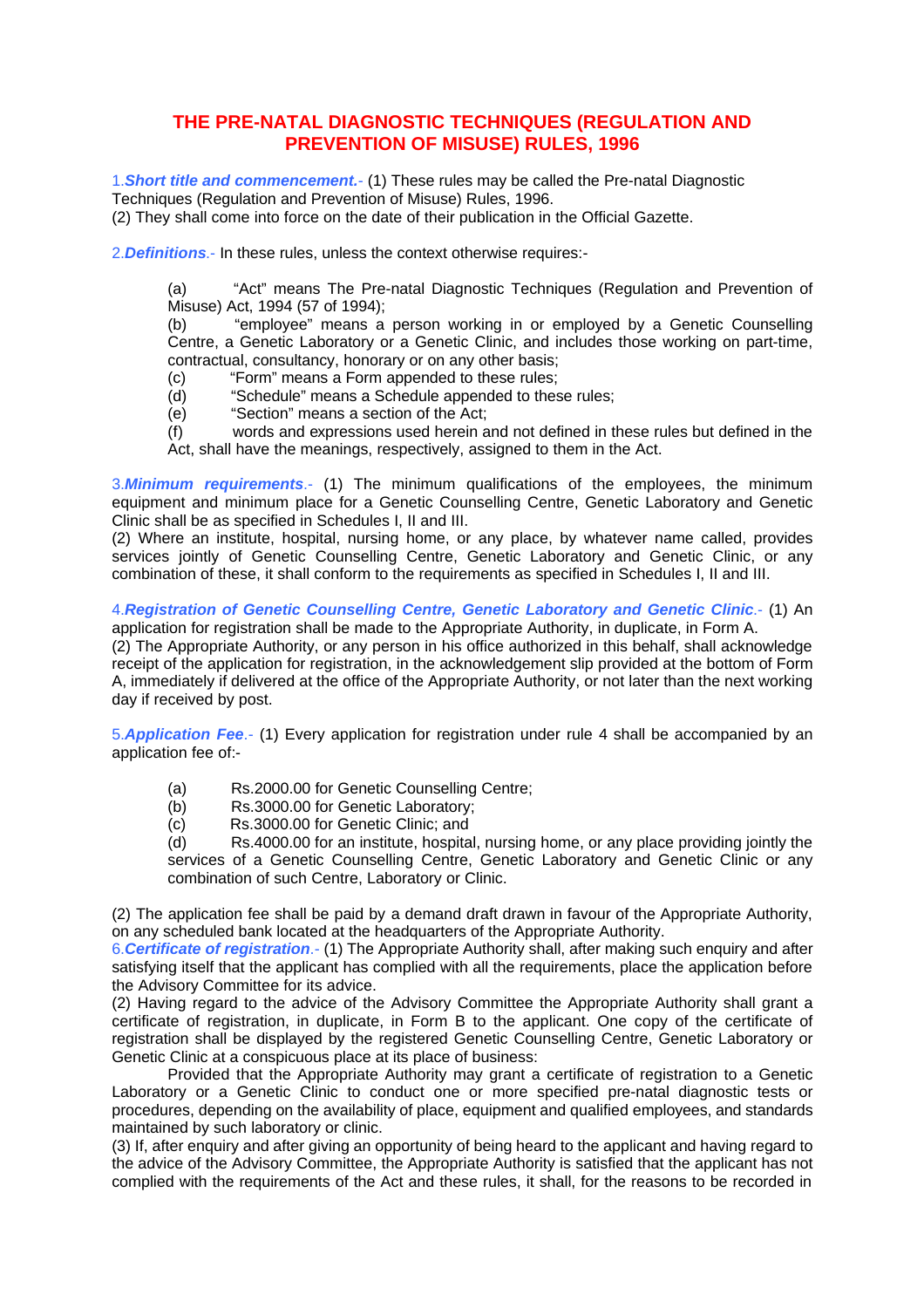# **THE PRE-NATAL DIAGNOSTIC TECHNIQUES (REGULATION AND PREVENTION OF MISUSE) RULES, 1996**

1.*Short title and commencement.*- (1) These rules may be called the Pre-natal Diagnostic Techniques (Regulation and Prevention of Misuse) Rules, 1996. (2) They shall come into force on the date of their publication in the Official Gazette.

2.*Definitions*.- In these rules, unless the context otherwise requires:-

(a) "Act" means The Pre-natal Diagnostic Techniques (Regulation and Prevention of Misuse) Act, 1994 (57 of 1994);

(b) "employee" means a person working in or employed by a Genetic Counselling Centre, a Genetic Laboratory or a Genetic Clinic, and includes those working on part-time, contractual, consultancy, honorary or on any other basis;

- (c) "Form" means a Form appended to these rules;
- (d) "Schedule" means a Schedule appended to these rules;
- (e) "Section" means a section of the Act;
- (f) words and expressions used herein and not defined in these rules but defined in the Act, shall have the meanings, respectively, assigned to them in the Act.

3.*Minimum requirements*.- (1) The minimum qualifications of the employees, the minimum equipment and minimum place for a Genetic Counselling Centre, Genetic Laboratory and Genetic Clinic shall be as specified in Schedules I, II and III.

(2) Where an institute, hospital, nursing home, or any place, by whatever name called, provides services jointly of Genetic Counselling Centre, Genetic Laboratory and Genetic Clinic, or any combination of these, it shall conform to the requirements as specified in Schedules I, II and III.

4.*Registration of Genetic Counselling Centre, Genetic Laboratory and Genetic Clinic*.- (1) An application for registration shall be made to the Appropriate Authority, in duplicate, in Form A.

(2) The Appropriate Authority, or any person in his office authorized in this behalf, shall acknowledge receipt of the application for registration, in the acknowledgement slip provided at the bottom of Form A, immediately if delivered at the office of the Appropriate Authority, or not later than the next working day if received by post.

5.*Application Fee*.- (1) Every application for registration under rule 4 shall be accompanied by an application fee of:-

- (a) Rs.2000.00 for Genetic Counselling Centre;
- (b) Rs.3000.00 for Genetic Laboratory;
- (c) Rs.3000.00 for Genetic Clinic; and

(d) Rs.4000.00 for an institute, hospital, nursing home, or any place providing jointly the services of a Genetic Counselling Centre, Genetic Laboratory and Genetic Clinic or any combination of such Centre, Laboratory or Clinic.

(2) The application fee shall be paid by a demand draft drawn in favour of the Appropriate Authority, on any scheduled bank located at the headquarters of the Appropriate Authority.

6.*Certificate of registration*.- (1) The Appropriate Authority shall, after making such enquiry and after satisfying itself that the applicant has complied with all the requirements, place the application before the Advisory Committee for its advice.

(2) Having regard to the advice of the Advisory Committee the Appropriate Authority shall grant a certificate of registration, in duplicate, in Form B to the applicant. One copy of the certificate of registration shall be displayed by the registered Genetic Counselling Centre, Genetic Laboratory or Genetic Clinic at a conspicuous place at its place of business:

Provided that the Appropriate Authority may grant a certificate of registration to a Genetic Laboratory or a Genetic Clinic to conduct one or more specified pre-natal diagnostic tests or procedures, depending on the availability of place, equipment and qualified employees, and standards maintained by such laboratory or clinic.

(3) If, after enquiry and after giving an opportunity of being heard to the applicant and having regard to the advice of the Advisory Committee, the Appropriate Authority is satisfied that the applicant has not complied with the requirements of the Act and these rules, it shall, for the reasons to be recorded in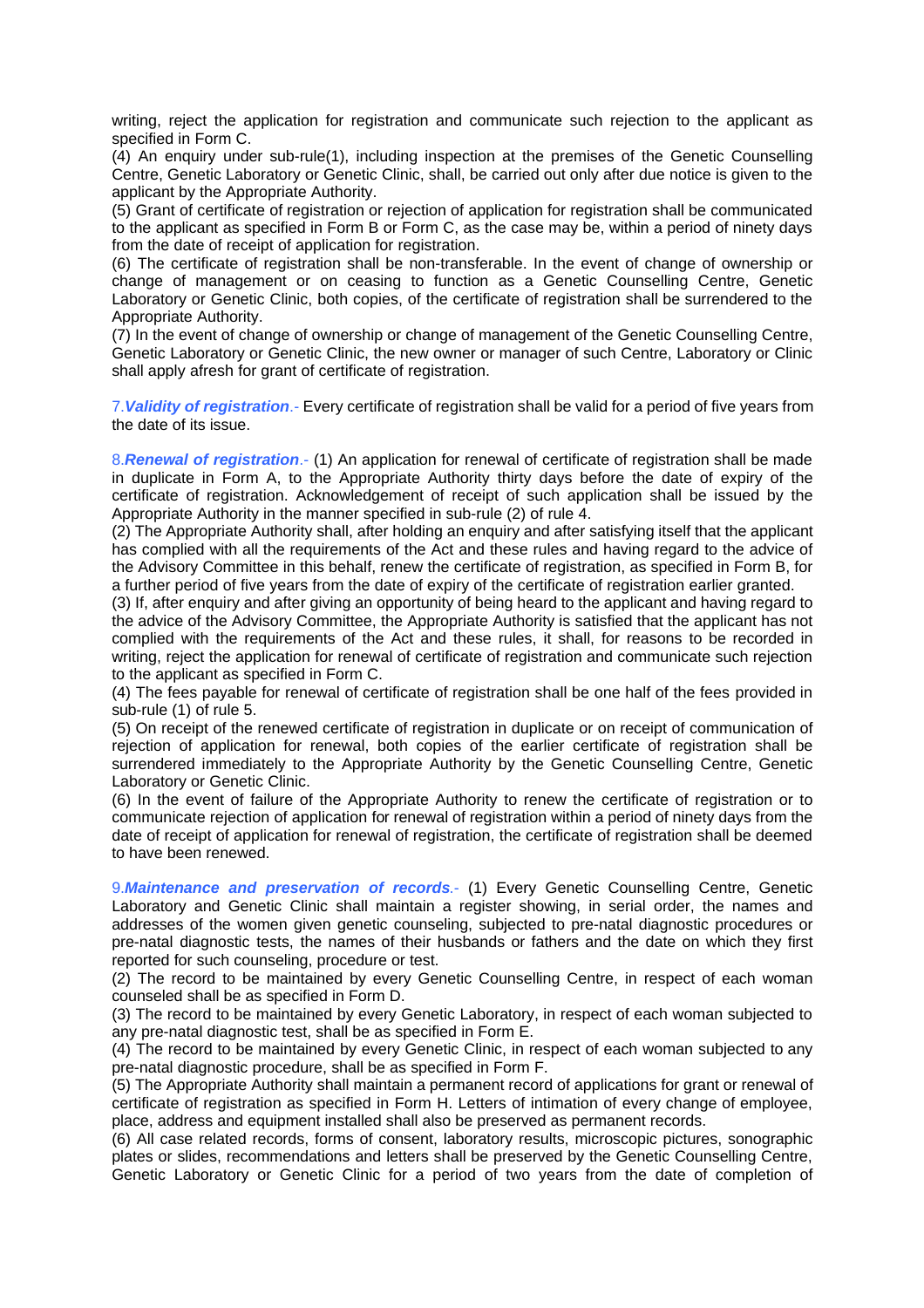writing, reject the application for registration and communicate such rejection to the applicant as specified in Form C.

(4) An enquiry under sub-rule(1), including inspection at the premises of the Genetic Counselling Centre, Genetic Laboratory or Genetic Clinic, shall, be carried out only after due notice is given to the applicant by the Appropriate Authority.

(5) Grant of certificate of registration or rejection of application for registration shall be communicated to the applicant as specified in Form B or Form C, as the case may be, within a period of ninety days from the date of receipt of application for registration.

(6) The certificate of registration shall be non-transferable. In the event of change of ownership or change of management or on ceasing to function as a Genetic Counselling Centre, Genetic Laboratory or Genetic Clinic, both copies, of the certificate of registration shall be surrendered to the Appropriate Authority.

(7) In the event of change of ownership or change of management of the Genetic Counselling Centre, Genetic Laboratory or Genetic Clinic, the new owner or manager of such Centre, Laboratory or Clinic shall apply afresh for grant of certificate of registration.

7.*Validity of registration*.- Every certificate of registration shall be valid for a period of five years from the date of its issue.

8.*Renewal of registration*.- (1) An application for renewal of certificate of registration shall be made in duplicate in Form A, to the Appropriate Authority thirty days before the date of expiry of the certificate of registration. Acknowledgement of receipt of such application shall be issued by the Appropriate Authority in the manner specified in sub-rule (2) of rule 4.

(2) The Appropriate Authority shall, after holding an enquiry and after satisfying itself that the applicant has complied with all the requirements of the Act and these rules and having regard to the advice of the Advisory Committee in this behalf, renew the certificate of registration, as specified in Form B, for a further period of five years from the date of expiry of the certificate of registration earlier granted.

(3) If, after enquiry and after giving an opportunity of being heard to the applicant and having regard to the advice of the Advisory Committee, the Appropriate Authority is satisfied that the applicant has not complied with the requirements of the Act and these rules, it shall, for reasons to be recorded in writing, reject the application for renewal of certificate of registration and communicate such rejection to the applicant as specified in Form C.

(4) The fees payable for renewal of certificate of registration shall be one half of the fees provided in sub-rule (1) of rule 5.

(5) On receipt of the renewed certificate of registration in duplicate or on receipt of communication of rejection of application for renewal, both copies of the earlier certificate of registration shall be surrendered immediately to the Appropriate Authority by the Genetic Counselling Centre, Genetic Laboratory or Genetic Clinic.

(6) In the event of failure of the Appropriate Authority to renew the certificate of registration or to communicate rejection of application for renewal of registration within a period of ninety days from the date of receipt of application for renewal of registration, the certificate of registration shall be deemed to have been renewed.

9.*Maintenance and preservation of records*.- (1) Every Genetic Counselling Centre, Genetic Laboratory and Genetic Clinic shall maintain a register showing, in serial order, the names and addresses of the women given genetic counseling, subjected to pre-natal diagnostic procedures or pre-natal diagnostic tests, the names of their husbands or fathers and the date on which they first reported for such counseling, procedure or test.

(2) The record to be maintained by every Genetic Counselling Centre, in respect of each woman counseled shall be as specified in Form D.

(3) The record to be maintained by every Genetic Laboratory, in respect of each woman subjected to any pre-natal diagnostic test, shall be as specified in Form E.

(4) The record to be maintained by every Genetic Clinic, in respect of each woman subjected to any pre-natal diagnostic procedure, shall be as specified in Form F.

(5) The Appropriate Authority shall maintain a permanent record of applications for grant or renewal of certificate of registration as specified in Form H. Letters of intimation of every change of employee, place, address and equipment installed shall also be preserved as permanent records.

(6) All case related records, forms of consent, laboratory results, microscopic pictures, sonographic plates or slides, recommendations and letters shall be preserved by the Genetic Counselling Centre, Genetic Laboratory or Genetic Clinic for a period of two years from the date of completion of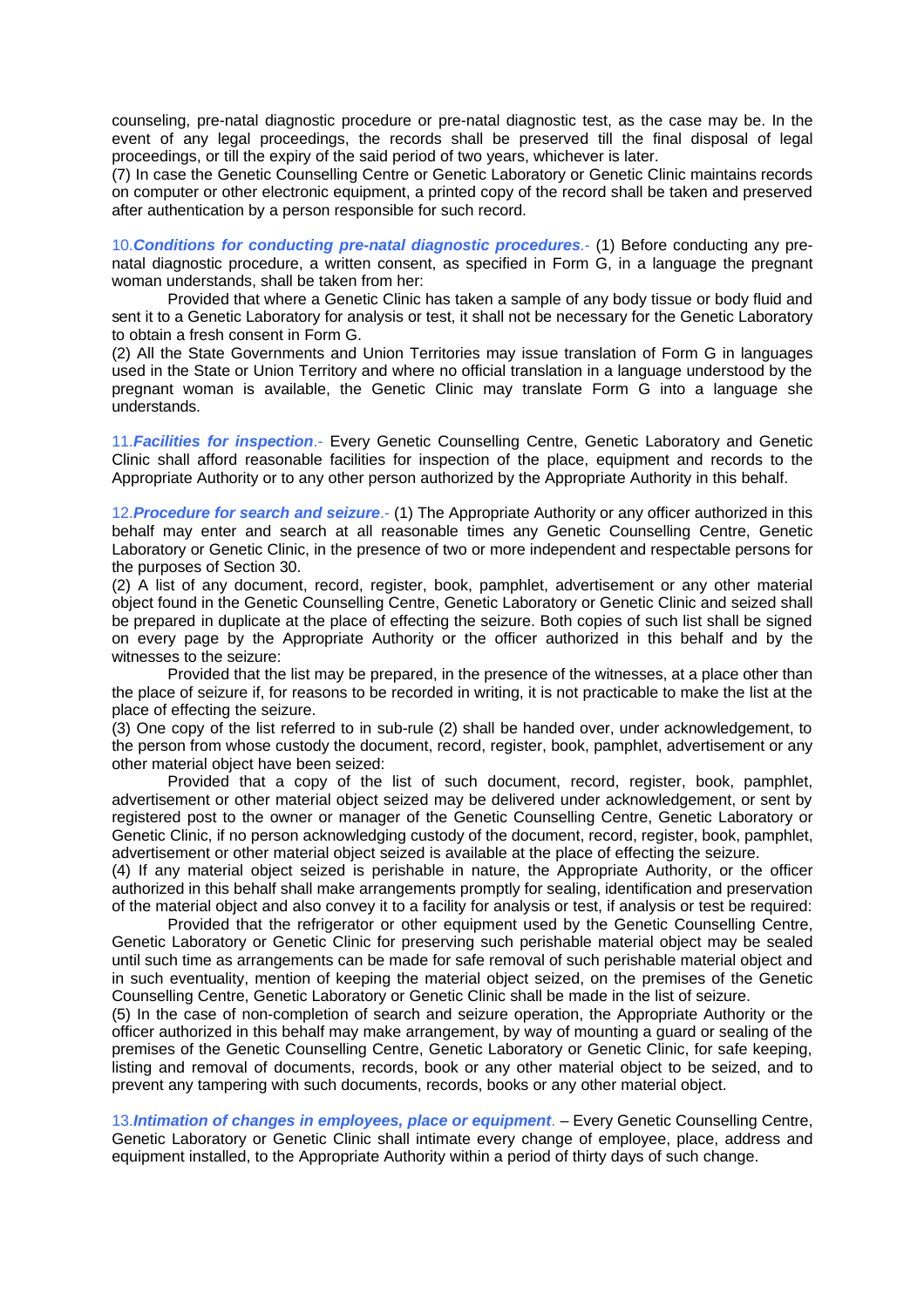counseling, pre-natal diagnostic procedure or pre-natal diagnostic test, as the case may be. In the event of any legal proceedings, the records shall be preserved till the final disposal of legal proceedings, or till the expiry of the said period of two years, whichever is later.

(7) In case the Genetic Counselling Centre or Genetic Laboratory or Genetic Clinic maintains records on computer or other electronic equipment, a printed copy of the record shall be taken and preserved after authentication by a person responsible for such record.

10.*Conditions for conducting pre-natal diagnostic procedures*.- (1) Before conducting any prenatal diagnostic procedure, a written consent, as specified in Form G, in a language the pregnant woman understands, shall be taken from her:

Provided that where a Genetic Clinic has taken a sample of any body tissue or body fluid and sent it to a Genetic Laboratory for analysis or test, it shall not be necessary for the Genetic Laboratory to obtain a fresh consent in Form G.

(2) All the State Governments and Union Territories may issue translation of Form G in languages used in the State or Union Territory and where no official translation in a language understood by the pregnant woman is available, the Genetic Clinic may translate Form G into a language she understands.

11.*Facilities for inspection*.- Every Genetic Counselling Centre, Genetic Laboratory and Genetic Clinic shall afford reasonable facilities for inspection of the place, equipment and records to the Appropriate Authority or to any other person authorized by the Appropriate Authority in this behalf.

12.*Procedure for search and seizure*.- (1) The Appropriate Authority or any officer authorized in this behalf may enter and search at all reasonable times any Genetic Counselling Centre, Genetic Laboratory or Genetic Clinic, in the presence of two or more independent and respectable persons for the purposes of Section 30.

(2) A list of any document, record, register, book, pamphlet, advertisement or any other material object found in the Genetic Counselling Centre, Genetic Laboratory or Genetic Clinic and seized shall be prepared in duplicate at the place of effecting the seizure. Both copies of such list shall be signed on every page by the Appropriate Authority or the officer authorized in this behalf and by the witnesses to the seizure:

Provided that the list may be prepared, in the presence of the witnesses, at a place other than the place of seizure if, for reasons to be recorded in writing, it is not practicable to make the list at the place of effecting the seizure.

(3) One copy of the list referred to in sub-rule (2) shall be handed over, under acknowledgement, to the person from whose custody the document, record, register, book, pamphlet, advertisement or any other material object have been seized:

Provided that a copy of the list of such document, record, register, book, pamphlet, advertisement or other material object seized may be delivered under acknowledgement, or sent by registered post to the owner or manager of the Genetic Counselling Centre, Genetic Laboratory or Genetic Clinic, if no person acknowledging custody of the document, record, register, book, pamphlet, advertisement or other material object seized is available at the place of effecting the seizure.

(4) If any material object seized is perishable in nature, the Appropriate Authority, or the officer authorized in this behalf shall make arrangements promptly for sealing, identification and preservation of the material object and also convey it to a facility for analysis or test, if analysis or test be required:

Provided that the refrigerator or other equipment used by the Genetic Counselling Centre, Genetic Laboratory or Genetic Clinic for preserving such perishable material object may be sealed until such time as arrangements can be made for safe removal of such perishable material object and in such eventuality, mention of keeping the material object seized, on the premises of the Genetic Counselling Centre, Genetic Laboratory or Genetic Clinic shall be made in the list of seizure.

(5) In the case of non-completion of search and seizure operation, the Appropriate Authority or the officer authorized in this behalf may make arrangement, by way of mounting a guard or sealing of the premises of the Genetic Counselling Centre, Genetic Laboratory or Genetic Clinic, for safe keeping, listing and removal of documents, records, book or any other material object to be seized, and to prevent any tampering with such documents, records, books or any other material object.

13.*Intimation of changes in employees, place or equipment*. – Every Genetic Counselling Centre, Genetic Laboratory or Genetic Clinic shall intimate every change of employee, place, address and equipment installed, to the Appropriate Authority within a period of thirty days of such change.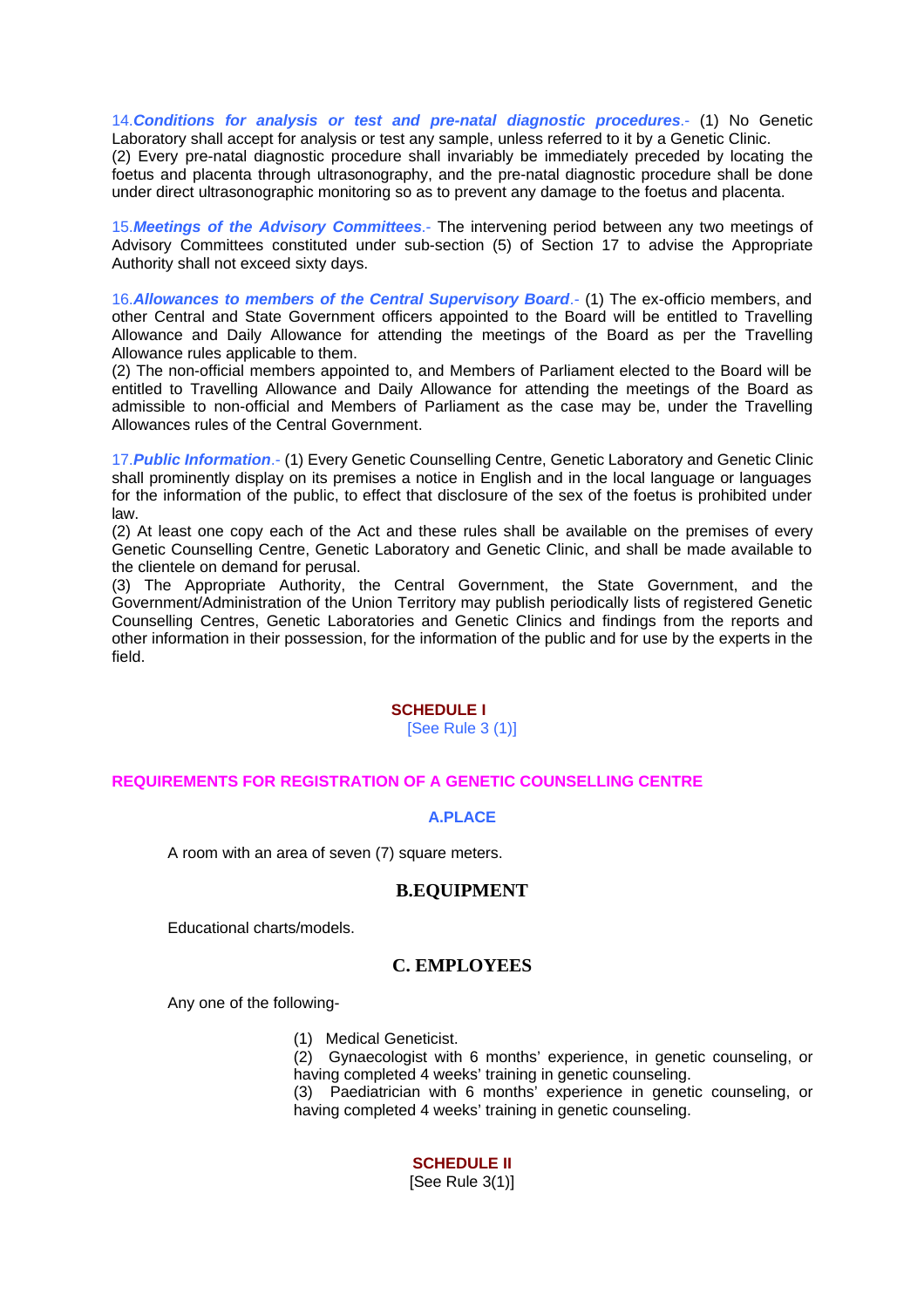14.*Conditions for analysis or test and pre-natal diagnostic procedures*.- (1) No Genetic Laboratory shall accept for analysis or test any sample, unless referred to it by a Genetic Clinic.

(2) Every pre-natal diagnostic procedure shall invariably be immediately preceded by locating the foetus and placenta through ultrasonography, and the pre-natal diagnostic procedure shall be done under direct ultrasonographic monitoring so as to prevent any damage to the foetus and placenta.

15.*Meetings of the Advisory Committees*.- The intervening period between any two meetings of Advisory Committees constituted under sub-section (5) of Section 17 to advise the Appropriate Authority shall not exceed sixty days.

16.*Allowances to members of the Central Supervisory Board*.- (1) The ex-officio members, and other Central and State Government officers appointed to the Board will be entitled to Travelling Allowance and Daily Allowance for attending the meetings of the Board as per the Travelling Allowance rules applicable to them.

(2) The non-official members appointed to, and Members of Parliament elected to the Board will be entitled to Travelling Allowance and Daily Allowance for attending the meetings of the Board as admissible to non-official and Members of Parliament as the case may be, under the Travelling Allowances rules of the Central Government.

17.*Public Information*.- (1) Every Genetic Counselling Centre, Genetic Laboratory and Genetic Clinic shall prominently display on its premises a notice in English and in the local language or languages for the information of the public, to effect that disclosure of the sex of the foetus is prohibited under law.

(2) At least one copy each of the Act and these rules shall be available on the premises of every Genetic Counselling Centre, Genetic Laboratory and Genetic Clinic, and shall be made available to the clientele on demand for perusal.

(3) The Appropriate Authority, the Central Government, the State Government, and the Government/Administration of the Union Territory may publish periodically lists of registered Genetic Counselling Centres, Genetic Laboratories and Genetic Clinics and findings from the reports and other information in their possession, for the information of the public and for use by the experts in the field.

## **SCHEDULE I**

## [See Rule 3 (1)]

#### **REQUIREMENTS FOR REGISTRATION OF A GENETIC COUNSELLING CENTRE**

## **A.PLACE**

A room with an area of seven (7) square meters.

## **B.EQUIPMENT**

Educational charts/models.

## **C. EMPLOYEES**

Any one of the following-

(1) Medical Geneticist.

(2) Gynaecologist with 6 months' experience, in genetic counseling, or having completed 4 weeks' training in genetic counseling.

(3) Paediatrician with 6 months' experience in genetic counseling, or having completed 4 weeks' training in genetic counseling.

## **SCHEDULE II**

[See Rule 3(1)]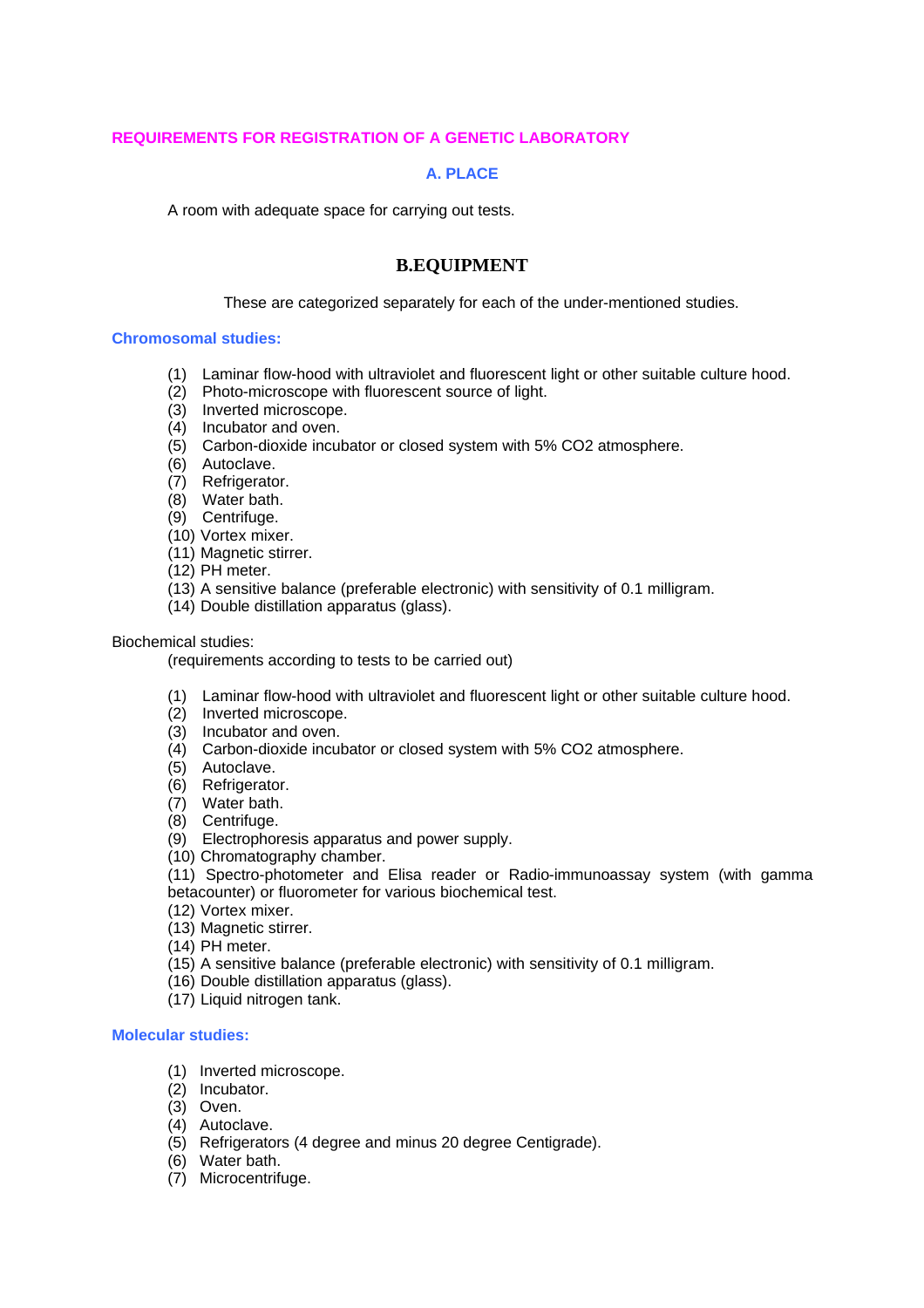## **REQUIREMENTS FOR REGISTRATION OF A GENETIC LABORATORY**

## **A. PLACE**

A room with adequate space for carrying out tests.

## **B.EQUIPMENT**

These are categorized separately for each of the under-mentioned studies.

### **Chromosomal studies:**

- (1) Laminar flow-hood with ultraviolet and fluorescent light or other suitable culture hood.
- (2) Photo-microscope with fluorescent source of light.
- (3) Inverted microscope.
- (4) Incubator and oven.
- (5) Carbon-dioxide incubator or closed system with 5% CO2 atmosphere.
- (6) Autoclave.
- (7) Refrigerator.
- (8) Water bath.
- (9) Centrifuge.
- (10) Vortex mixer.
- (11) Magnetic stirrer.
- (12) PH meter.
- (13) A sensitive balance (preferable electronic) with sensitivity of 0.1 milligram.
- (14) Double distillation apparatus (glass).

#### Biochemical studies:

(requirements according to tests to be carried out)

- (1) Laminar flow-hood with ultraviolet and fluorescent light or other suitable culture hood.
- (2) Inverted microscope.
- (3) Incubator and oven.
- (4) Carbon-dioxide incubator or closed system with 5% CO2 atmosphere.
- (5) Autoclave.
- (6) Refrigerator.
- (7) Water bath.
- (8) Centrifuge.
- (9) Electrophoresis apparatus and power supply.
- (10) Chromatography chamber.

(11) Spectro-photometer and Elisa reader or Radio-immunoassay system (with gamma betacounter) or fluorometer for various biochemical test.

- (12) Vortex mixer.
- (13) Magnetic stirrer.

(14) PH meter.

- (15) A sensitive balance (preferable electronic) with sensitivity of 0.1 milligram.
- (16) Double distillation apparatus (glass).
- (17) Liquid nitrogen tank.

# **Molecular studies:**

- (1) Inverted microscope.
- (2) Incubator.
- (3) Oven.
- (4) Autoclave.
- (5) Refrigerators (4 degree and minus 20 degree Centigrade).
- (6) Water bath.
- (7) Microcentrifuge.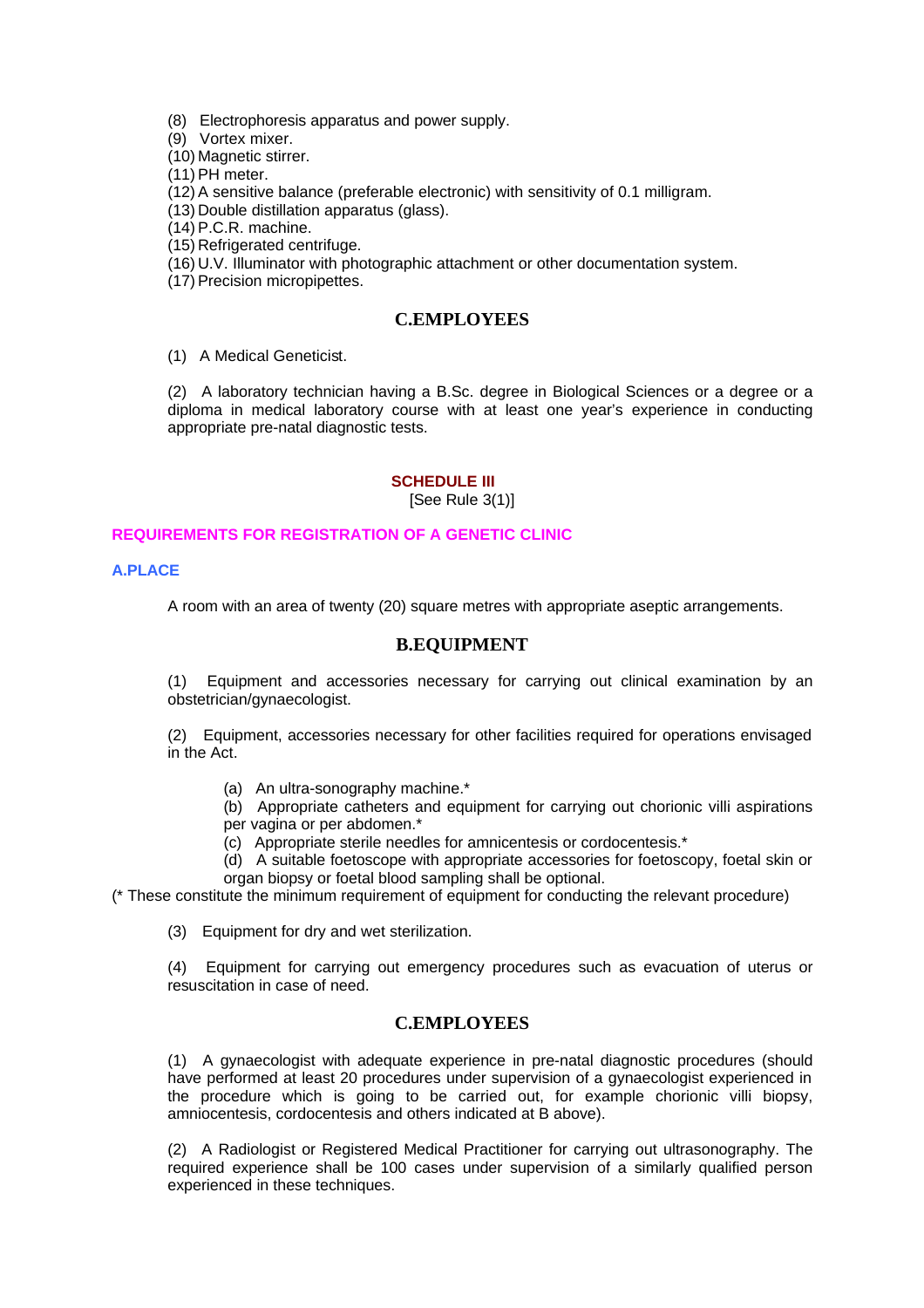(8) Electrophoresis apparatus and power supply.

(9) Vortex mixer.

(10) Magnetic stirrer.

(11)PH meter.

(12)A sensitive balance (preferable electronic) with sensitivity of 0.1 milligram.

(13) Double distillation apparatus (glass).

(14)P.C.R. machine.

(15) Refrigerated centrifuge.

(16) U.V. Illuminator with photographic attachment or other documentation system.

(17) Precision micropipettes.

## **C.EMPLOYEES**

(1) A Medical Geneticist.

(2) A laboratory technician having a B.Sc. degree in Biological Sciences or a degree or a diploma in medical laboratory course with at least one year's experience in conducting appropriate pre-natal diagnostic tests.

## **SCHEDULE III**

[See Rule 3(1)]

### **REQUIREMENTS FOR REGISTRATION OF A GENETIC CLINIC**

### **A.PLACE**

A room with an area of twenty (20) square metres with appropriate aseptic arrangements.

## **B.EQUIPMENT**

(1) Equipment and accessories necessary for carrying out clinical examination by an obstetrician/gynaecologist.

(2) Equipment, accessories necessary for other facilities required for operations envisaged in the Act.

(a) An ultra-sonography machine.\*

(b) Appropriate catheters and equipment for carrying out chorionic villi aspirations per vagina or per abdomen.\*

- (c) Appropriate sterile needles for amnicentesis or cordocentesis.\*
- $(d)$  A suitable foetoscope with appropriate accessories for foetoscopy, foetal skin or organ biopsy or foetal blood sampling shall be optional.

(\* These constitute the minimum requirement of equipment for conducting the relevant procedure)

(3) Equipment for dry and wet sterilization.

(4) Equipment for carrying out emergency procedures such as evacuation of uterus or resuscitation in case of need.

# **C.EMPLOYEES**

(1) A gynaecologist with adequate experience in pre-natal diagnostic procedures (should have performed at least 20 procedures under supervision of a gynaecologist experienced in the procedure which is going to be carried out, for example chorionic villi biopsy, amniocentesis, cordocentesis and others indicated at B above).

(2) A Radiologist or Registered Medical Practitioner for carrying out ultrasonography. The required experience shall be 100 cases under supervision of a similarly qualified person experienced in these techniques.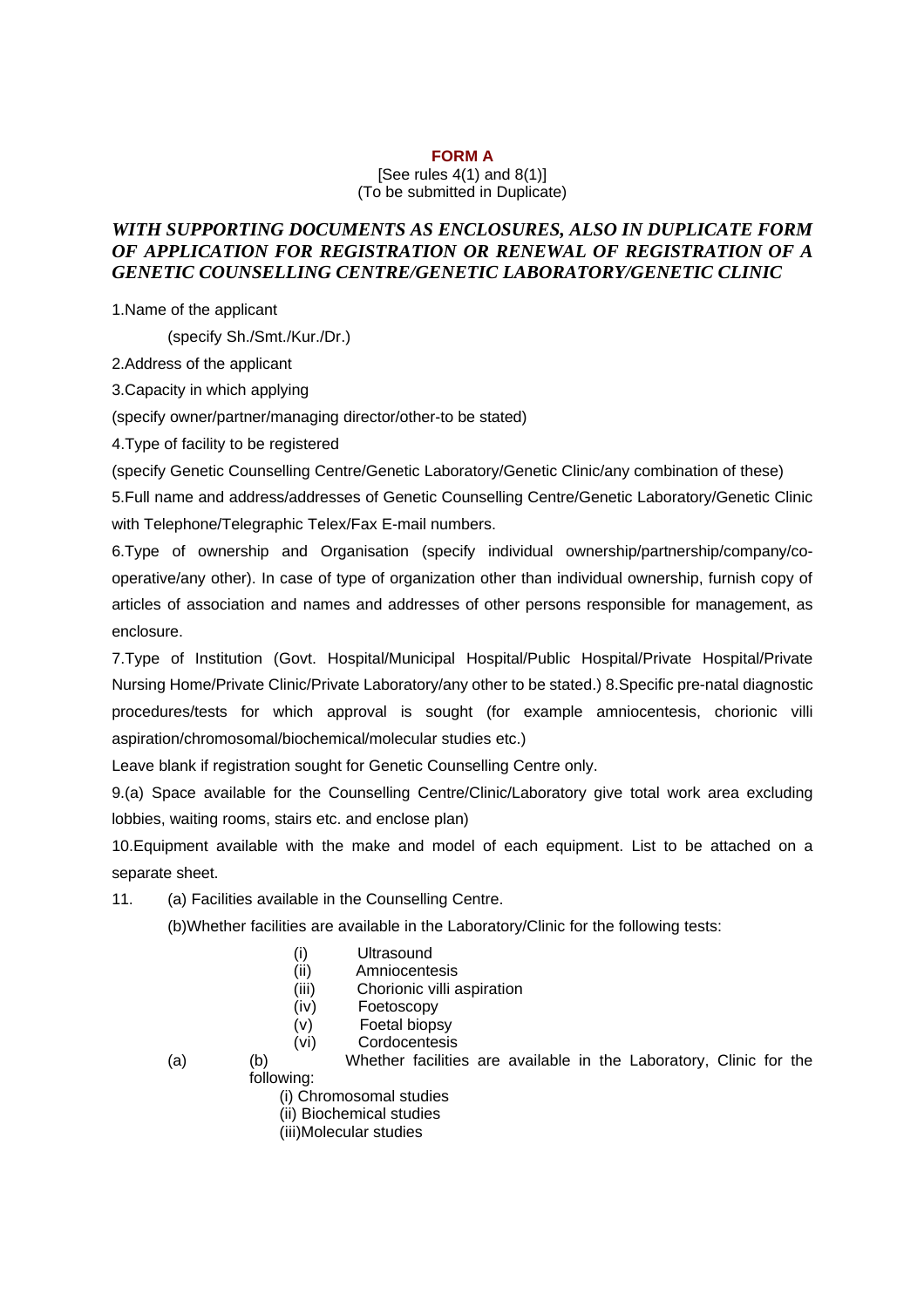#### **FORM A**

[See rules 4(1) and 8(1)] (To be submitted in Duplicate)

# *WITH SUPPORTING DOCUMENTS AS ENCLOSURES, ALSO IN DUPLICATE FORM OF APPLICATION FOR REGISTRATION OR RENEWAL OF REGISTRATION OF A GENETIC COUNSELLING CENTRE/GENETIC LABORATORY/GENETIC CLINIC*

1.Name of the applicant

(specify Sh./Smt./Kur./Dr.)

2.Address of the applicant

3.Capacity in which applying

(specify owner/partner/managing director/other-to be stated)

4.Type of facility to be registered

(specify Genetic Counselling Centre/Genetic Laboratory/Genetic Clinic/any combination of these) 5.Full name and address/addresses of Genetic Counselling Centre/Genetic Laboratory/Genetic Clinic

with Telephone/Telegraphic Telex/Fax E-mail numbers.

6.Type of ownership and Organisation (specify individual ownership/partnership/company/cooperative/any other). In case of type of organization other than individual ownership, furnish copy of articles of association and names and addresses of other persons responsible for management, as enclosure.

7.Type of Institution (Govt. Hospital/Municipal Hospital/Public Hospital/Private Hospital/Private Nursing Home/Private Clinic/Private Laboratory/any other to be stated.) 8.Specific pre-natal diagnostic procedures/tests for which approval is sought (for example amniocentesis, chorionic villi aspiration/chromosomal/biochemical/molecular studies etc.)

Leave blank if registration sought for Genetic Counselling Centre only.

9.(a) Space available for the Counselling Centre/Clinic/Laboratory give total work area excluding lobbies, waiting rooms, stairs etc. and enclose plan)

10.Equipment available with the make and model of each equipment. List to be attached on a separate sheet.

11. (a) Facilities available in the Counselling Centre.

(b)Whether facilities are available in the Laboratory/Clinic for the following tests:

- (i) Ultrasound
- (ii) Amniocentesis
- (iii) Chorionic villi aspiration
- (iv) Foetoscopy
- (v) Foetal biopsy
- (vi) Cordocentesis

(a) (b) Whether facilities are available in the Laboratory, Clinic for the following:

- (i) Chromosomal studies
- (ii) Biochemical studies
- (iii)Molecular studies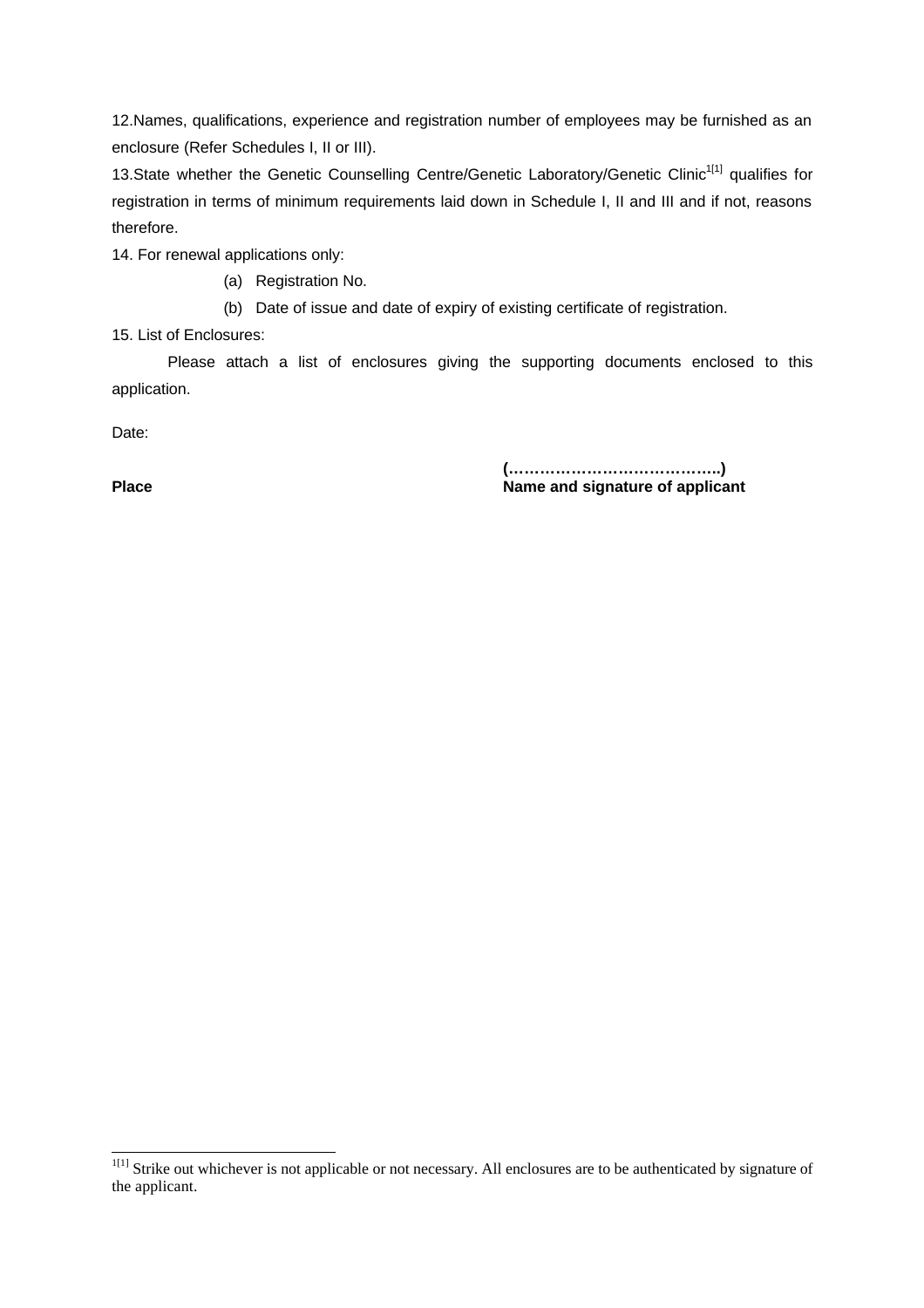12.Names, qualifications, experience and registration number of employees may be furnished as an enclosure (Refer Schedules I, II or III).

13.State whether the Genetic Counselling Centre/Genetic Laboratory/Genetic Clinic<sup>1[1]</sup> qualifies for registration in terms of minimum requirements laid down in Schedule I, II and III and if not, reasons therefore.

14. For renewal applications only:

(a) Registration No.

(b) Date of issue and date of expiry of existing certificate of registration.

15. List of Enclosures:

Please attach a list of enclosures giving the supporting documents enclosed to this application.

Date:

 $\overline{a}$ 

**(…………………………………..) Place Name and signature of applicant**

 $1<sup>[1]</sup>$  Strike out whichever is not applicable or not necessary. All enclosures are to be authenticated by signature of the applicant.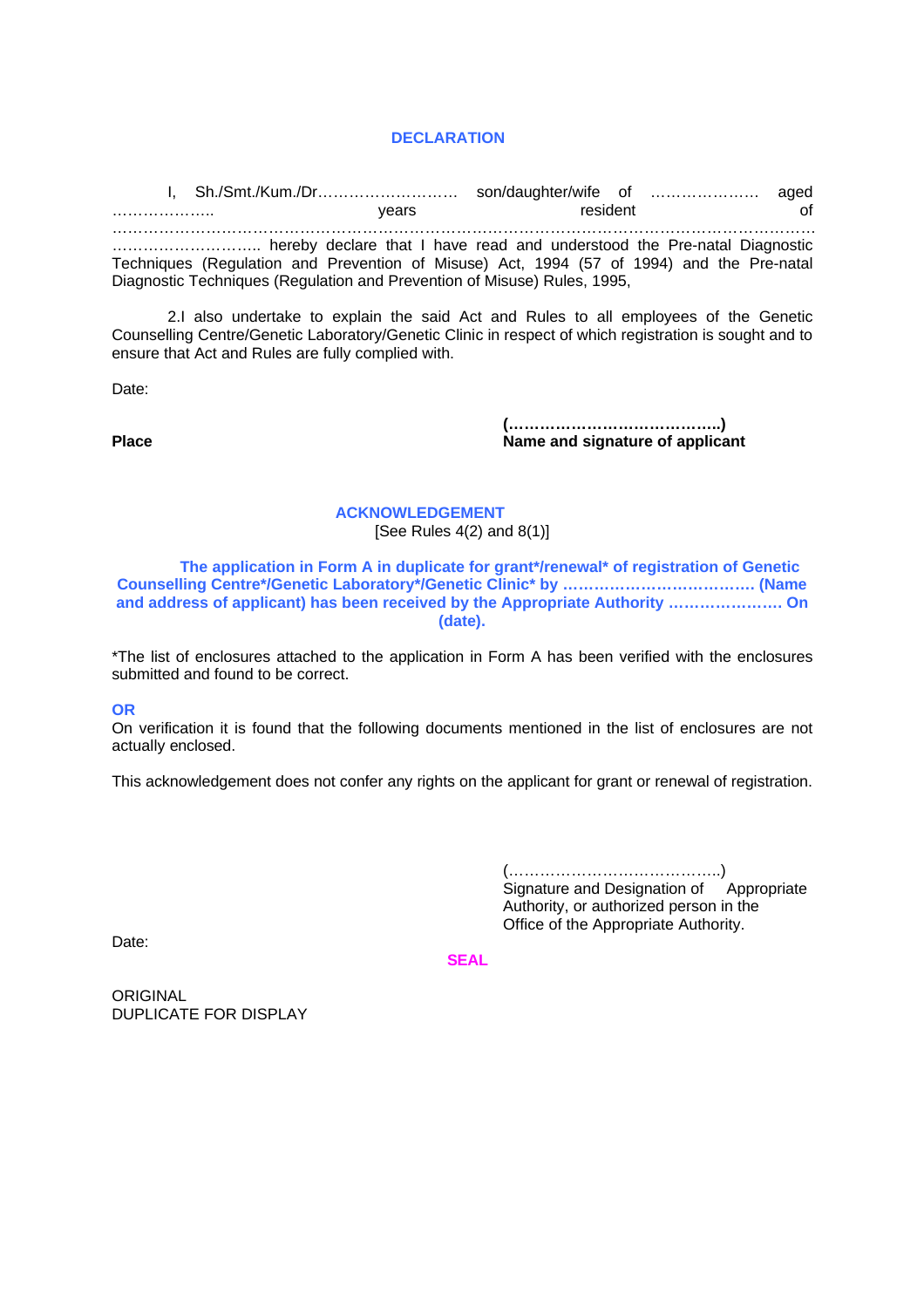#### **DECLARATION**

I, Sh./Smt./Kum./Dr……………………… son/daughter/wife of ………………… aged ……………….. years resident of ……………………………………………………………………………………………………………………… ……………………….. hereby declare that I have read and understood the Pre-natal Diagnostic Techniques (Regulation and Prevention of Misuse) Act, 1994 (57 of 1994) and the Pre-natal Diagnostic Techniques (Regulation and Prevention of Misuse) Rules, 1995,

2.I also undertake to explain the said Act and Rules to all employees of the Genetic Counselling Centre/Genetic Laboratory/Genetic Clinic in respect of which registration is sought and to ensure that Act and Rules are fully complied with.

Date:

**(…………………………………..) Place Name and signature of applicant**

**ACKNOWLEDGEMENT**

[See Rules 4(2) and 8(1)]

**The application in Form A in duplicate for grant\*/renewal\* of registration of Genetic Counselling Centre\*/Genetic Laboratory\*/Genetic Clinic\* by ………………………………. (Name and address of applicant) has been received by the Appropriate Authority …………………. On (date).**

\*The list of enclosures attached to the application in Form A has been verified with the enclosures submitted and found to be correct.

**OR**

On verification it is found that the following documents mentioned in the list of enclosures are not actually enclosed.

This acknowledgement does not confer any rights on the applicant for grant or renewal of registration.

(…………………………………..)

Signature and Designation of Appropriate Authority, or authorized person in the Office of the Appropriate Authority.

Date:

**SEAL**

**ORIGINAL** DUPLICATE FOR DISPLAY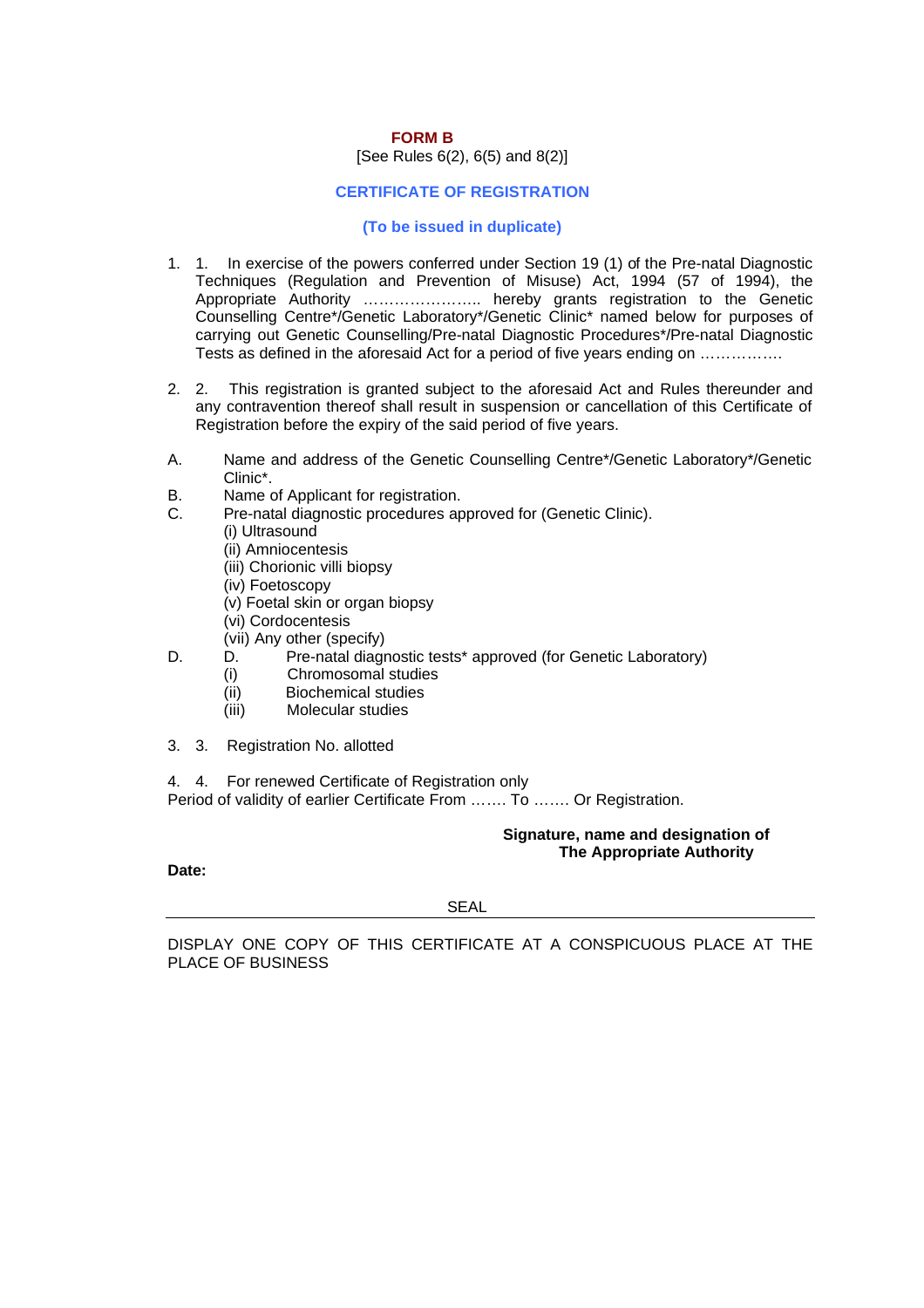### **FORM B**

[See Rules 6(2), 6(5) and 8(2)]

#### **CERTIFICATE OF REGISTRATION**

#### **(To be issued in duplicate)**

- 1. 1. In exercise of the powers conferred under Section 19 (1) of the Pre-natal Diagnostic Techniques (Regulation and Prevention of Misuse) Act, 1994 (57 of 1994), the Appropriate Authority ………………….. hereby grants registration to the Genetic Counselling Centre\*/Genetic Laboratory\*/Genetic Clinic\* named below for purposes of carrying out Genetic Counselling/Pre-natal Diagnostic Procedures\*/Pre-natal Diagnostic Tests as defined in the aforesaid Act for a period of five years ending on …………….
- 2. 2. This registration is granted subject to the aforesaid Act and Rules thereunder and any contravention thereof shall result in suspension or cancellation of this Certificate of Registration before the expiry of the said period of five years.
- A. Name and address of the Genetic Counselling Centre\*/Genetic Laboratory\*/Genetic Clinic\*.
- B. Name of Applicant for registration.
- C. Pre-natal diagnostic procedures approved for (Genetic Clinic).
	- (i) Ultrasound
		- (ii) Amniocentesis
		- (iii) Chorionic villi biopsy
		- (iv) Foetoscopy
		- (v) Foetal skin or organ biopsy
		- (vi) Cordocentesis
		- (vii) Any other (specify)
- D. D. Pre-natal diagnostic tests\* approved (for Genetic Laboratory)
	- (i) Chromosomal studies
	- (ii) Biochemical studies
	- (iii) Molecular studies
- 3. 3. Registration No. allotted

4. 4. For renewed Certificate of Registration only Period of validity of earlier Certificate From ……. To ……. Or Registration.

#### **Signature, name and designation of The Appropriate Authority**

**Date:**

SEAL

DISPLAY ONE COPY OF THIS CERTIFICATE AT A CONSPICUOUS PLACE AT THE PLACE OF BUSINESS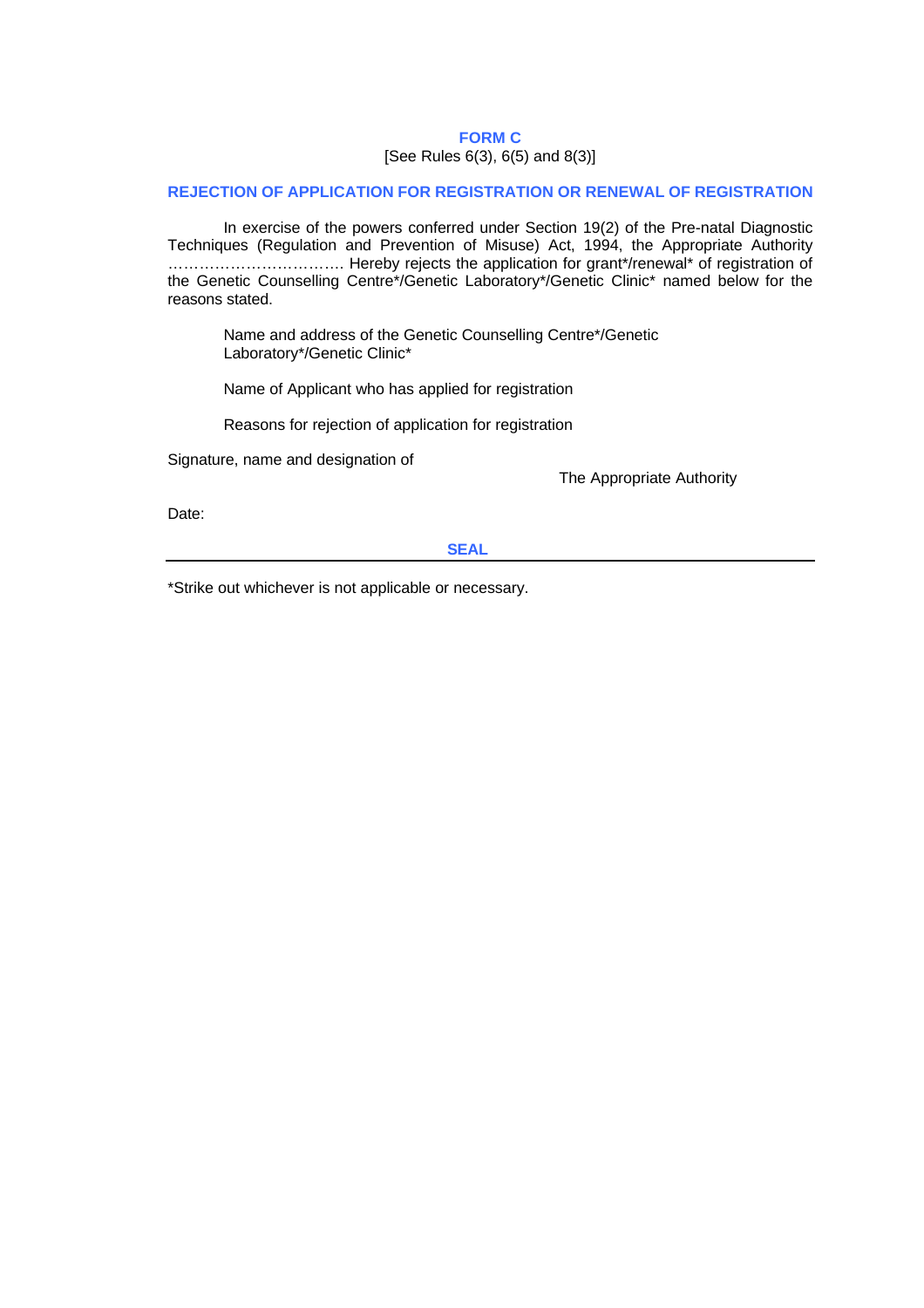#### **FORM C**

[See Rules 6(3), 6(5) and 8(3)]

#### **REJECTION OF APPLICATION FOR REGISTRATION OR RENEWAL OF REGISTRATION**

In exercise of the powers conferred under Section 19(2) of the Pre-natal Diagnostic Techniques (Regulation and Prevention of Misuse) Act, 1994, the Appropriate Authority ……………………………. Hereby rejects the application for grant\*/renewal\* of registration of the Genetic Counselling Centre\*/Genetic Laboratory\*/Genetic Clinic\* named below for the reasons stated.

Name and address of the Genetic Counselling Centre\*/Genetic Laboratory\*/Genetic Clinic\*

Name of Applicant who has applied for registration

Reasons for rejection of application for registration

Signature, name and designation of

The Appropriate Authority

Date:

**SEAL**

\*Strike out whichever is not applicable or necessary.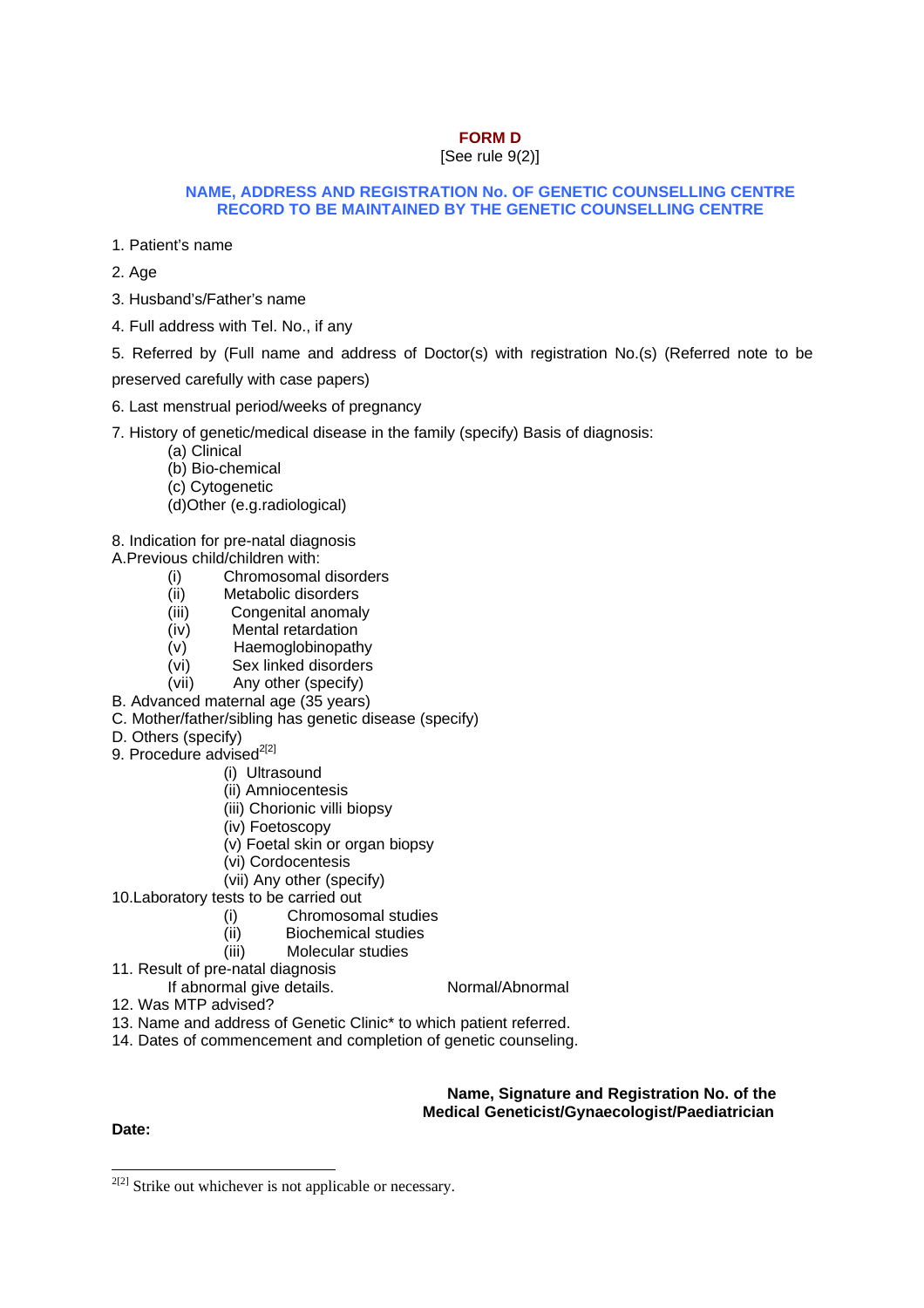# **FORM D**

#### [See rule 9(2)]

## **NAME, ADDRESS AND REGISTRATION No. OF GENETIC COUNSELLING CENTRE RECORD TO BE MAINTAINED BY THE GENETIC COUNSELLING CENTRE**

- 1. Patient's name
- 2. Age
- 3. Husband's/Father's name
- 4. Full address with Tel. No., if any
- 5. Referred by (Full name and address of Doctor(s) with registration No.(s) (Referred note to be

preserved carefully with case papers)

6. Last menstrual period/weeks of pregnancy

7. History of genetic/medical disease in the family (specify) Basis of diagnosis:

- (a) Clinical
- (b) Bio-chemical
- (c) Cytogenetic
- (d)Other (e.g.radiological)
- 8. Indication for pre-natal diagnosis
- A.Previous child/children with:
	- (i) Chromosomal disorders
	- (ii) Metabolic disorders
	- (iii) Congenital anomaly
	- (iv) Mental retardation
	- (v) Haemoglobinopathy
	- (vi) Sex linked disorders
	- (vii) Any other (specify)
- B. Advanced maternal age (35 years)
- C. Mother/father/sibling has genetic disease (specify)
- D. Others (specify)
- 9. Procedure advised $^{2[2]}$ 
	- (i) Ultrasound
	- (ii) Amniocentesis
	- (iii) Chorionic villi biopsy
	- (iv) Foetoscopy
	- (v) Foetal skin or organ biopsy
	- (vi) Cordocentesis
	- (vii) Any other (specify)
- 10.Laboratory tests to be carried out
	- (i) Chromosomal studies
	- (ii) Biochemical studies
	- (iii) Molecular studies
- 11. Result of pre-natal diagnosis
	- If abnormal give details. Normal/Abnormal

12. Was MTP advised?

- 13. Name and address of Genetic Clinic\* to which patient referred.
- 14. Dates of commencement and completion of genetic counseling.

#### **Name, Signature and Registration No. of the Medical Geneticist/Gynaecologist/Paediatrician**

**Date:**

 $\overline{a}$ 

 $2^{2[2]}$  Strike out whichever is not applicable or necessary.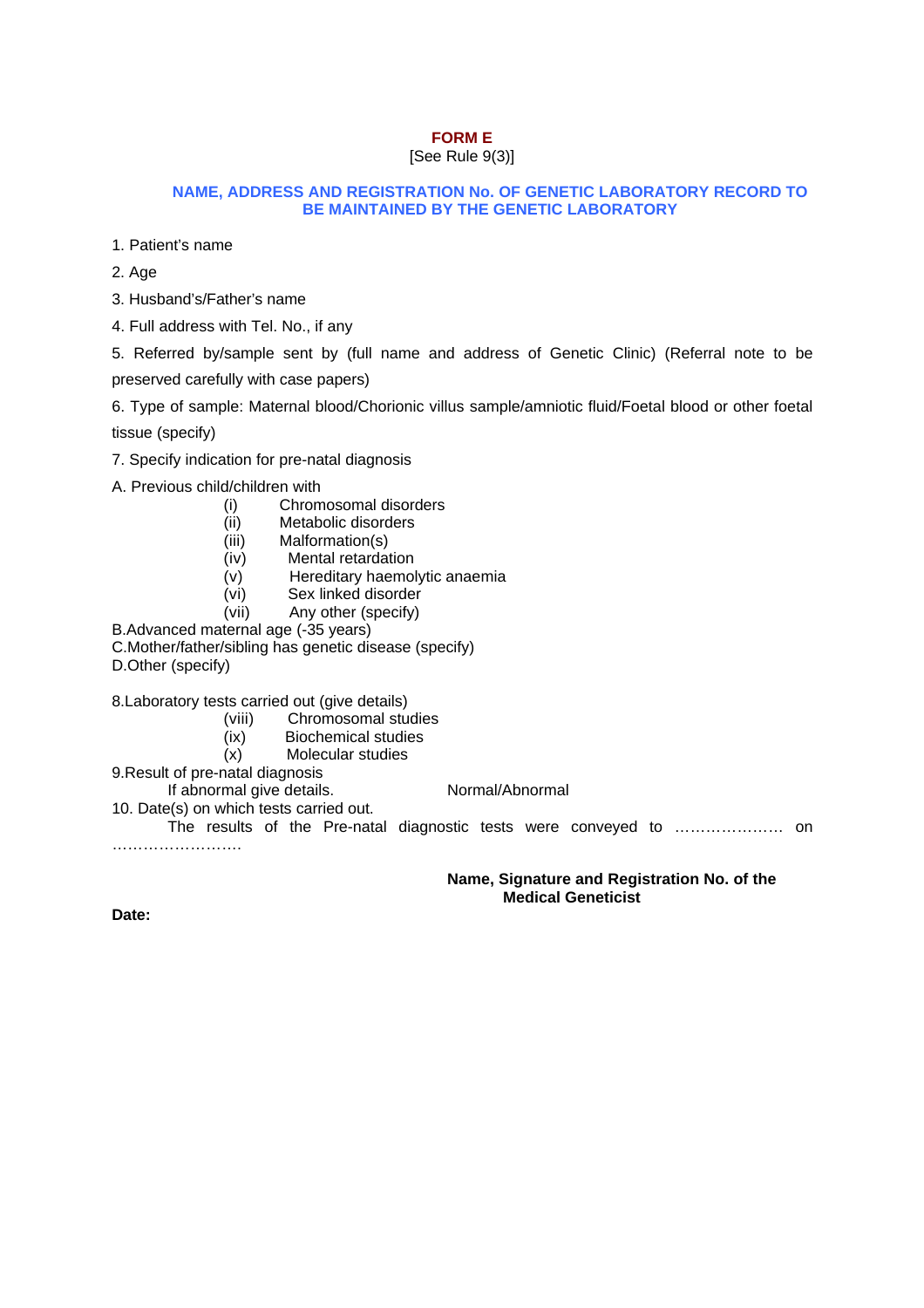# **FORM E**

#### [See Rule 9(3)]

## **NAME, ADDRESS AND REGISTRATION No. OF GENETIC LABORATORY RECORD TO BE MAINTAINED BY THE GENETIC LABORATORY**

- 1. Patient's name
- 2. Age
- 3. Husband's/Father's name
- 4. Full address with Tel. No., if any

5. Referred by/sample sent by (full name and address of Genetic Clinic) (Referral note to be preserved carefully with case papers)

6. Type of sample: Maternal blood/Chorionic villus sample/amniotic fluid/Foetal blood or other foetal

tissue (specify)

- 7. Specify indication for pre-natal diagnosis
- A. Previous child/children with
	- (i) Chromosomal disorders
	- (ii) Metabolic disorders
	- (iii) Malformation(s)
	- (iv) Mental retardation
	- (v) Hereditary haemolytic anaemia
	- (vi) Sex linked disorder
	- (vii) Any other (specify)

B.Advanced maternal age (-35 years)

C.Mother/father/sibling has genetic disease (specify)

D.Other (specify)

8.Laboratory tests carried out (give details)

- (viii) Chromosomal studies
- (ix) Biochemical studies<br>(x) Molecular studies
- Molecular studies

9.Result of pre-natal diagnosis

If abnormal give details. Normal/Abnormal

10. Date(s) on which tests carried out.

The results of the Pre-natal diagnostic tests were conveyed to ………………… on …………………………

> **Name, Signature and Registration No. of the Medical Geneticist**

**Date:**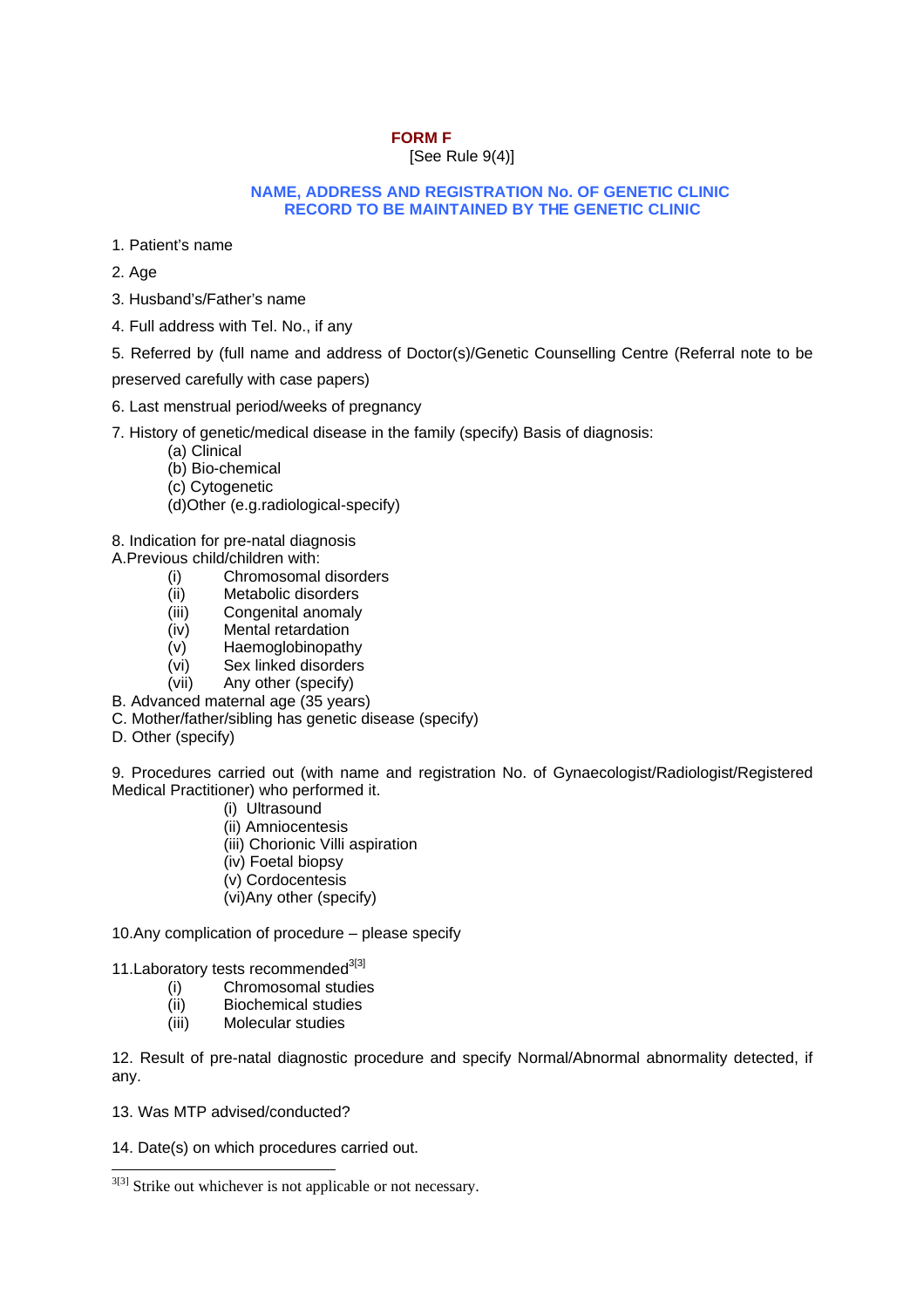# **FORM F**

[See Rule 9(4)]

## **NAME, ADDRESS AND REGISTRATION No. OF GENETIC CLINIC RECORD TO BE MAINTAINED BY THE GENETIC CLINIC**

- 1. Patient's name
- 2. Age
- 3. Husband's/Father's name
- 4. Full address with Tel. No., if any
- 5. Referred by (full name and address of Doctor(s)/Genetic Counselling Centre (Referral note to be

preserved carefully with case papers)

6. Last menstrual period/weeks of pregnancy

7. History of genetic/medical disease in the family (specify) Basis of diagnosis:

- (a) Clinical
- (b) Bio-chemical
- (c) Cytogenetic
- (d)Other (e.g.radiological-specify)

8. Indication for pre-natal diagnosis

- A.Previous child/children with:
	- (i) Chromosomal disorders
	- (ii) Metabolic disorders
	- (iii) Congenital anomaly
	- (iv) Mental retardation
	- (v) Haemoglobinopathy
	- (vi) Sex linked disorders
	- (vii) Any other (specify)
- B. Advanced maternal age (35 years)
- C. Mother/father/sibling has genetic disease (specify)
- D. Other (specify)

9. Procedures carried out (with name and registration No. of Gynaecologist/Radiologist/Registered Medical Practitioner) who performed it.

- (i) Ultrasound
- (ii) Amniocentesis
- (iii) Chorionic Villi aspiration
- (iv) Foetal biopsy
- (v) Cordocentesis
- (vi)Any other (specify)

10.Any complication of procedure – please specify

11. Laboratory tests recommended<sup>3[3]</sup>

- (i) Chromosomal studies
- (ii) Biochemical studies
- (iii) Molecular studies

12. Result of pre-natal diagnostic procedure and specify Normal/Abnormal abnormality detected, if any.

13. Was MTP advised/conducted?

 $\overline{a}$ 

14. Date(s) on which procedures carried out.

 $3[3]$  Strike out whichever is not applicable or not necessary.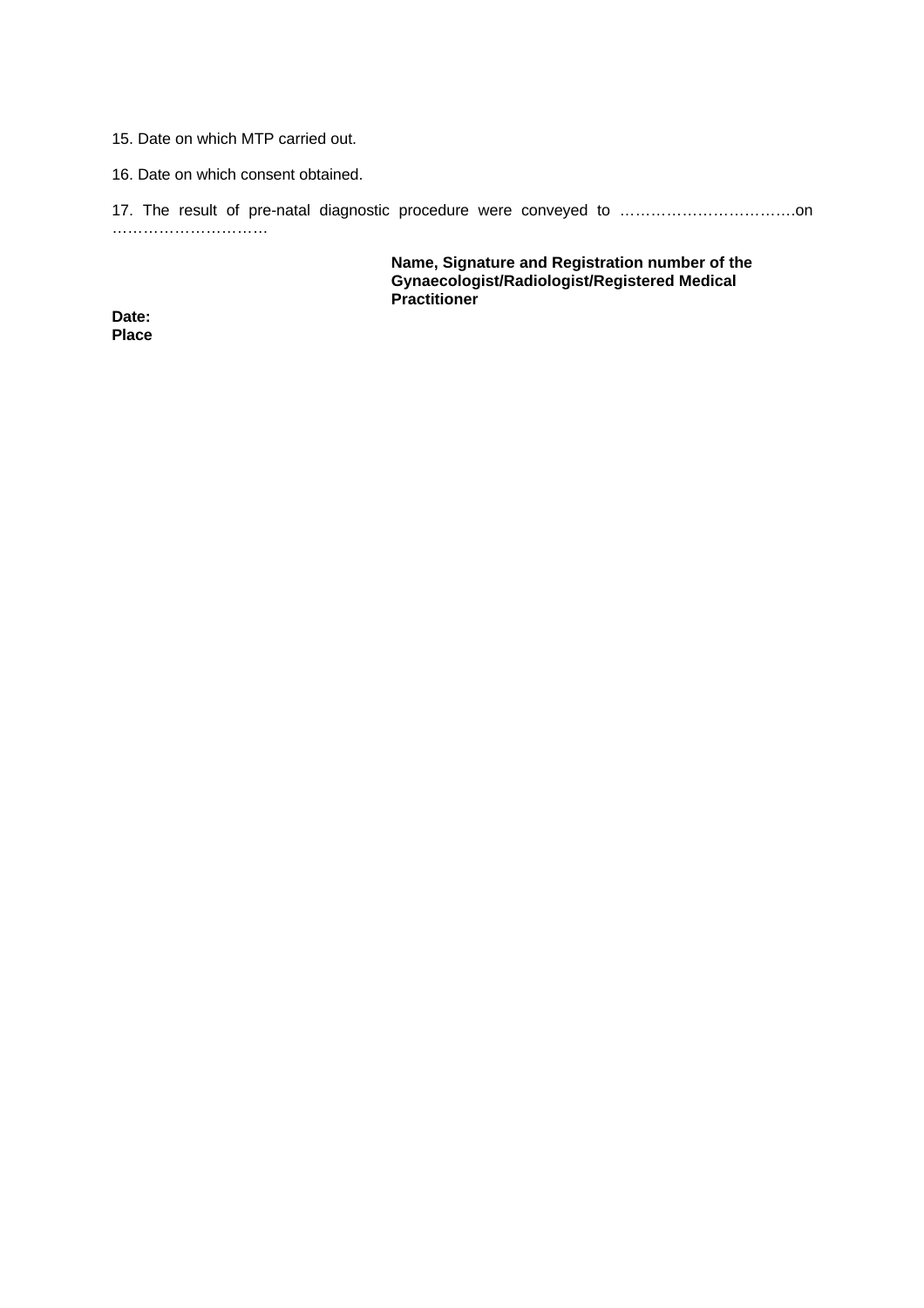15. Date on which MTP carried out.

16. Date on which consent obtained.

17. The result of pre-natal diagnostic procedure were conveyed to …………………………….on …………………………

> **Name, Signature and Registration number of the Gynaecologist/Radiologist/Registered Medical Practitioner**

**Date: Place**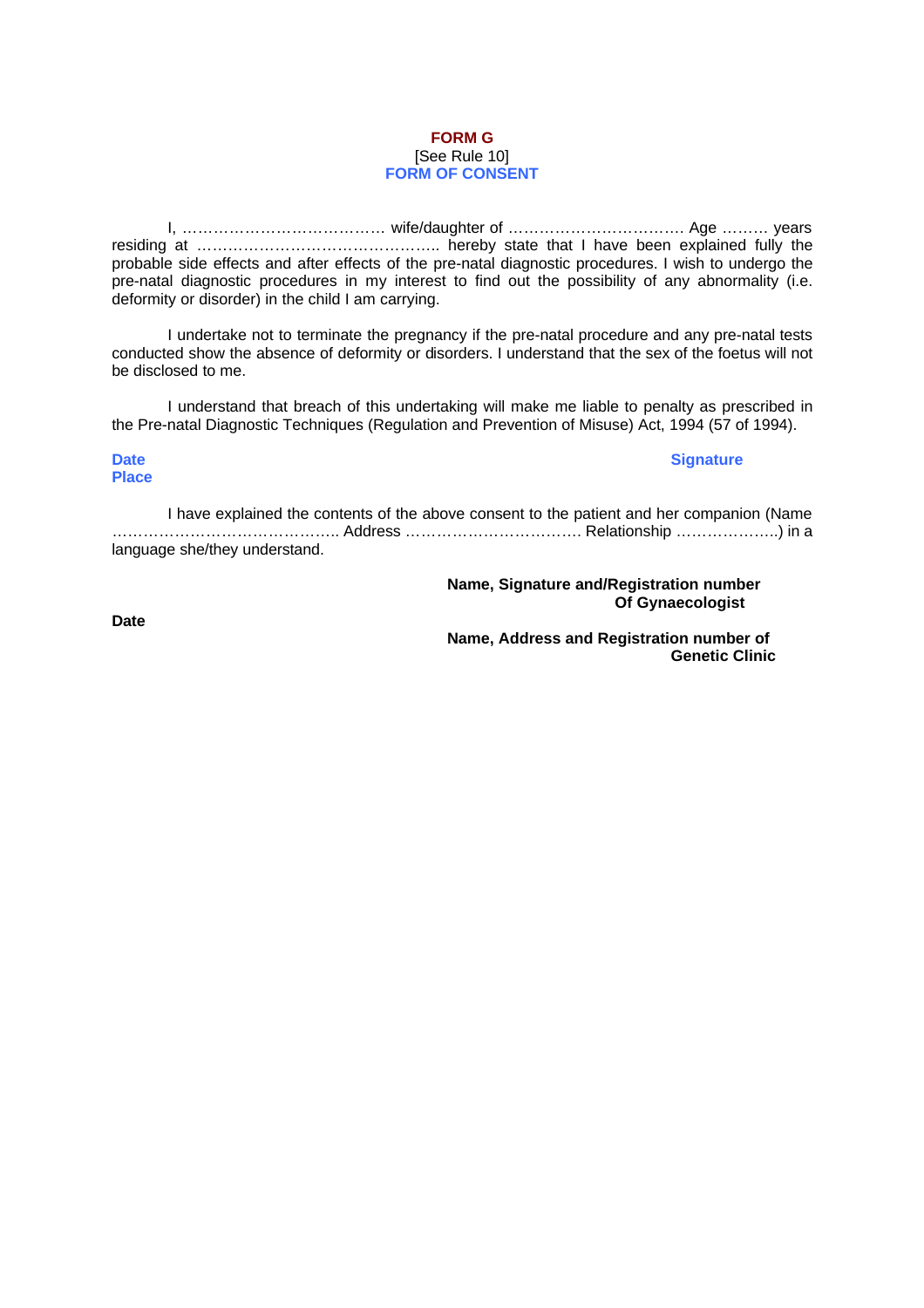# **FORM G**

#### [See Rule 10] **FORM OF CONSENT**

I, ………………………………… wife/daughter of ……………………………. Age ……… years residing at ……………………………………….. hereby state that I have been explained fully the probable side effects and after effects of the pre-natal diagnostic procedures. I wish to undergo the pre-natal diagnostic procedures in my interest to find out the possibility of any abnormality (i.e. deformity or disorder) in the child I am carrying.

I undertake not to terminate the pregnancy if the pre-natal procedure and any pre-natal tests conducted show the absence of deformity or disorders. I understand that the sex of the foetus will not be disclosed to me.

I understand that breach of this undertaking will make me liable to penalty as prescribed in the Pre-natal Diagnostic Techniques (Regulation and Prevention of Misuse) Act, 1994 (57 of 1994).

**Place**

**Date Signature** 

I have explained the contents of the above consent to the patient and her companion (Name …………………………………….. Address ……………………………. Relationship ………………..) in a language she/they understand.

#### **Name, Signature and/Registration number Of Gynaecologist**

**Date**

**Name, Address and Registration number of Genetic Clinic**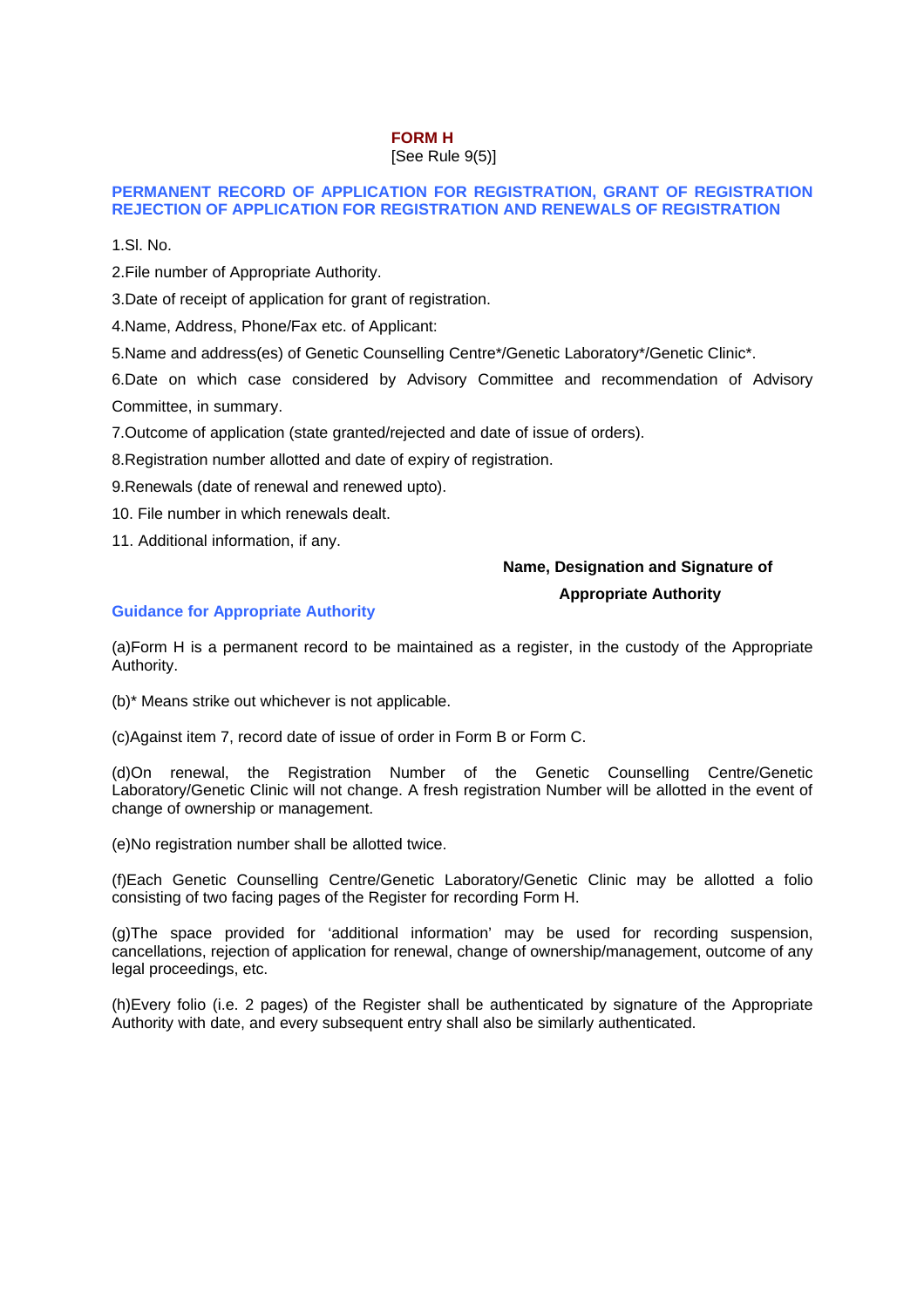# **FORM H**

[See Rule 9(5)]

## **PERMANENT RECORD OF APPLICATION FOR REGISTRATION, GRANT OF REGISTRATION REJECTION OF APPLICATION FOR REGISTRATION AND RENEWALS OF REGISTRATION**

1.Sl. No.

2.File number of Appropriate Authority.

3.Date of receipt of application for grant of registration.

4.Name, Address, Phone/Fax etc. of Applicant:

5.Name and address(es) of Genetic Counselling Centre\*/Genetic Laboratory\*/Genetic Clinic\*.

6.Date on which case considered by Advisory Committee and recommendation of Advisory Committee, in summary.

7.Outcome of application (state granted/rejected and date of issue of orders).

8.Registration number allotted and date of expiry of registration.

9.Renewals (date of renewal and renewed upto).

10. File number in which renewals dealt.

11. Additional information, if any.

# **Name, Designation and Signature of Appropriate Authority**

## **Guidance for Appropriate Authority**

(a)Form H is a permanent record to be maintained as a register, in the custody of the Appropriate Authority.

(b)\* Means strike out whichever is not applicable.

(c)Against item 7, record date of issue of order in Form B or Form C.

(d)On renewal, the Registration Number of the Genetic Counselling Centre/Genetic Laboratory/Genetic Clinic will not change. A fresh registration Number will be allotted in the event of change of ownership or management.

(e)No registration number shall be allotted twice.

(f)Each Genetic Counselling Centre/Genetic Laboratory/Genetic Clinic may be allotted a folio consisting of two facing pages of the Register for recording Form H.

(g)The space provided for 'additional information' may be used for recording suspension, cancellations, rejection of application for renewal, change of ownership/management, outcome of any legal proceedings, etc.

(h)Every folio (i.e. 2 pages) of the Register shall be authenticated by signature of the Appropriate Authority with date, and every subsequent entry shall also be similarly authenticated.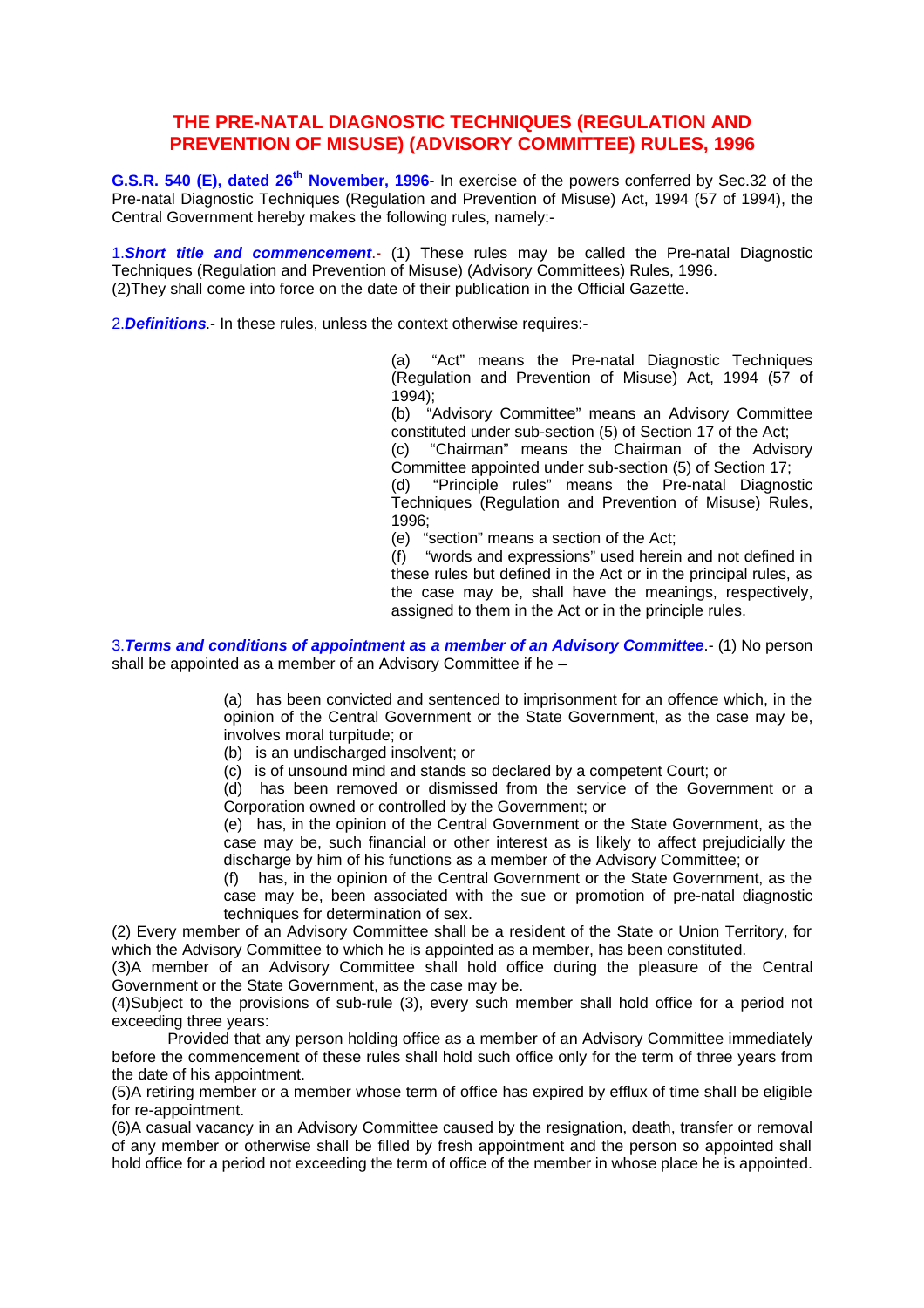# **THE PRE-NATAL DIAGNOSTIC TECHNIQUES (REGULATION AND PREVENTION OF MISUSE) (ADVISORY COMMITTEE) RULES, 1996**

**G.S.R. 540 (E), dated 26th November, 1996**- In exercise of the powers conferred by Sec.32 of the Pre-natal Diagnostic Techniques (Regulation and Prevention of Misuse) Act, 1994 (57 of 1994), the Central Government hereby makes the following rules, namely:-

1.*Short title and commencement*.- (1) These rules may be called the Pre-natal Diagnostic Techniques (Regulation and Prevention of Misuse) (Advisory Committees) Rules, 1996. (2)They shall come into force on the date of their publication in the Official Gazette.

2.*Definitions*.- In these rules, unless the context otherwise requires:-

(a) "Act" means the Pre-natal Diagnostic Techniques (Regulation and Prevention of Misuse) Act, 1994 (57 of 1994);

(b) "Advisory Committee" means an Advisory Committee constituted under sub-section (5) of Section 17 of the Act;

(c) "Chairman" means the Chairman of the Advisory Committee appointed under sub-section (5) of Section 17;

(d) "Principle rules" means the Pre-natal Diagnostic Techniques (Regulation and Prevention of Misuse) Rules, 1996;

(e) "section" means a section of the Act;

(f) "words and expressions" used herein and not defined in these rules but defined in the Act or in the principal rules, as the case may be, shall have the meanings, respectively, assigned to them in the Act or in the principle rules.

3.*Terms and conditions of appointment as a member of an Advisory Committee*.- (1) No person shall be appointed as a member of an Advisory Committee if he –

> (a) has been convicted and sentenced to imprisonment for an offence which, in the opinion of the Central Government or the State Government, as the case may be, involves moral turpitude; or

(b) is an undischarged insolvent; or

(c) is of unsound mind and stands so declared by a competent Court; or

(d) has been removed or dismissed from the service of the Government or a Corporation owned or controlled by the Government; or

(e) has, in the opinion of the Central Government or the State Government, as the case may be, such financial or other interest as is likely to affect prejudicially the discharge by him of his functions as a member of the Advisory Committee; or

(f) has, in the opinion of the Central Government or the State Government, as the case may be, been associated with the sue or promotion of pre-natal diagnostic techniques for determination of sex.

(2) Every member of an Advisory Committee shall be a resident of the State or Union Territory, for which the Advisory Committee to which he is appointed as a member, has been constituted.

(3)A member of an Advisory Committee shall hold office during the pleasure of the Central Government or the State Government, as the case may be.

(4)Subject to the provisions of sub-rule (3), every such member shall hold office for a period not exceeding three years:

Provided that any person holding office as a member of an Advisory Committee immediately before the commencement of these rules shall hold such office only for the term of three years from the date of his appointment.

(5)A retiring member or a member whose term of office has expired by efflux of time shall be eligible for re-appointment.

(6)A casual vacancy in an Advisory Committee caused by the resignation, death, transfer or removal of any member or otherwise shall be filled by fresh appointment and the person so appointed shall hold office for a period not exceeding the term of office of the member in whose place he is appointed.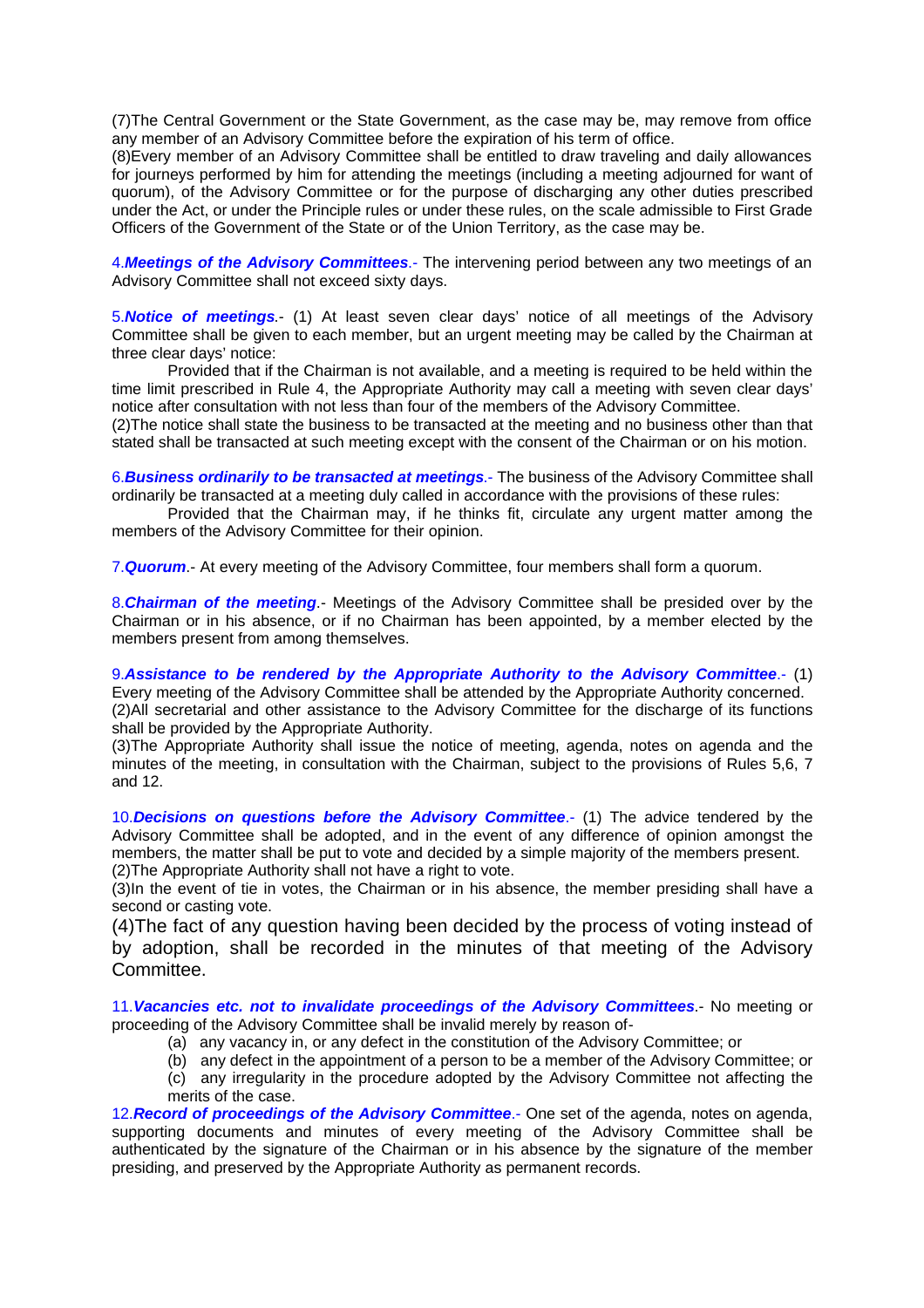(7)The Central Government or the State Government, as the case may be, may remove from office any member of an Advisory Committee before the expiration of his term of office.

(8)Every member of an Advisory Committee shall be entitled to draw traveling and daily allowances for journeys performed by him for attending the meetings (including a meeting adjourned for want of quorum), of the Advisory Committee or for the purpose of discharging any other duties prescribed under the Act, or under the Principle rules or under these rules, on the scale admissible to First Grade Officers of the Government of the State or of the Union Territory, as the case may be.

4.*Meetings of the Advisory Committees*.- The intervening period between any two meetings of an Advisory Committee shall not exceed sixty days.

5.*Notice of meetings*.- (1) At least seven clear days' notice of all meetings of the Advisory Committee shall be given to each member, but an urgent meeting may be called by the Chairman at three clear days' notice:

Provided that if the Chairman is not available, and a meeting is required to be held within the time limit prescribed in Rule 4, the Appropriate Authority may call a meeting with seven clear days' notice after consultation with not less than four of the members of the Advisory Committee.

(2)The notice shall state the business to be transacted at the meeting and no business other than that stated shall be transacted at such meeting except with the consent of the Chairman or on his motion.

6.*Business ordinarily to be transacted at meetings*.- The business of the Advisory Committee shall ordinarily be transacted at a meeting duly called in accordance with the provisions of these rules:

Provided that the Chairman may, if he thinks fit, circulate any urgent matter among the members of the Advisory Committee for their opinion.

7.*Quorum*.- At every meeting of the Advisory Committee, four members shall form a quorum.

8.*Chairman of the meeting*.- Meetings of the Advisory Committee shall be presided over by the Chairman or in his absence, or if no Chairman has been appointed, by a member elected by the members present from among themselves.

9.*Assistance to be rendered by the Appropriate Authority to the Advisory Committee*.- (1) Every meeting of the Advisory Committee shall be attended by the Appropriate Authority concerned.

(2)All secretarial and other assistance to the Advisory Committee for the discharge of its functions shall be provided by the Appropriate Authority.

(3)The Appropriate Authority shall issue the notice of meeting, agenda, notes on agenda and the minutes of the meeting, in consultation with the Chairman, subject to the provisions of Rules 5,6, 7 and 12.

10.*Decisions on questions before the Advisory Committee*.- (1) The advice tendered by the Advisory Committee shall be adopted, and in the event of any difference of opinion amongst the members, the matter shall be put to vote and decided by a simple majority of the members present. (2)The Appropriate Authority shall not have a right to vote.

(3)In the event of tie in votes, the Chairman or in his absence, the member presiding shall have a second or casting vote.

(4)The fact of any question having been decided by the process of voting instead of by adoption, shall be recorded in the minutes of that meeting of the Advisory Committee.

11.*Vacancies etc. not to invalidate proceedings of the Advisory Committees*.- No meeting or proceeding of the Advisory Committee shall be invalid merely by reason of-

- (a) any vacancy in, or any defect in the constitution of the Advisory Committee; or
- (b) any defect in the appointment of a person to be a member of the Advisory Committee; or
- (c) any irregularity in the procedure adopted by the Advisory Committee not affecting the merits of the case.

12.*Record of proceedings of the Advisory Committee*.- One set of the agenda, notes on agenda, supporting documents and minutes of every meeting of the Advisory Committee shall be authenticated by the signature of the Chairman or in his absence by the signature of the member presiding, and preserved by the Appropriate Authority as permanent records.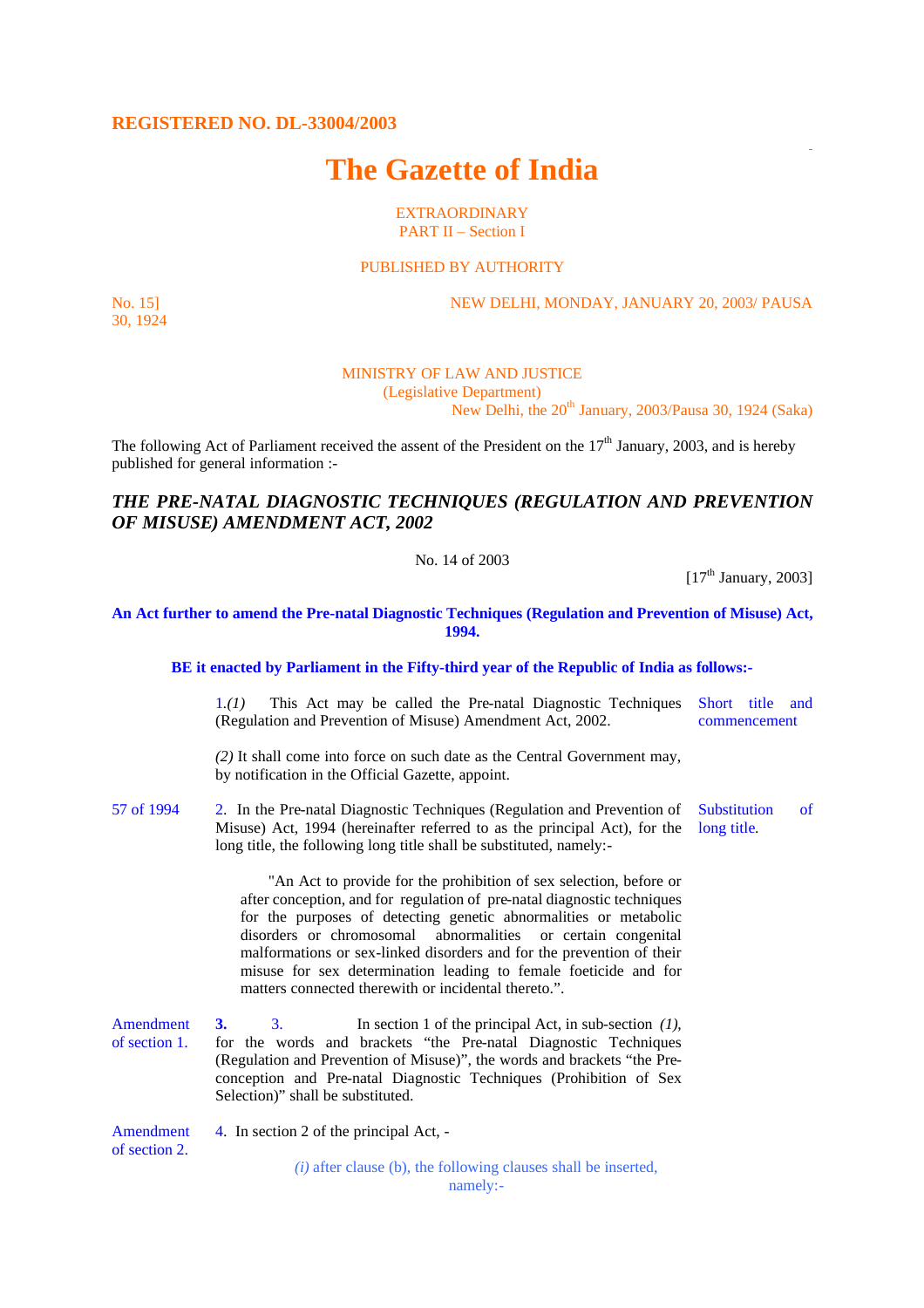#### **REGISTERED NO. DL-33004/2003**

# **The Gazette of India**

EXTRAORDINARY PART II – Section I

### PUBLISHED BY AUTHORITY

30, 1924

No. 15] NEW DELHI, MONDAY, JANUARY 20, 2003/ PAUSA

#### MINISTRY OF LAW AND JUSTICE (Legislative Department) New Delhi, the 20<sup>th</sup> January, 2003/Pausa 30, 1924 (Saka)

The following Act of Parliament received the assent of the President on the  $17<sup>th</sup>$  January, 2003, and is hereby published for general information :-

## *THE PRE-NATAL DIAGNOSTIC TECHNIQUES (REGULATION AND PREVENTION OF MISUSE) AMENDMENT ACT, 2002*

No. 14 of 2003

 $[17<sup>th</sup> January, 2003]$ 

#### **An Act further to amend the Pre-natal Diagnostic Techniques (Regulation and Prevention of Misuse) Act, 1994.**

#### **BE it enacted by Parliament in the Fifty-third year of the Republic of India as follows:-**

1*.(1)* This Act may be called the Pre-natal Diagnostic Techniques (Regulation and Prevention of Misuse) Amendment Act, 2002. Short title and commencement

*(2)* It shall come into force on such date as the Central Government may, by notification in the Official Gazette, appoint.

57 of 1994 2. In the Pre-natal Diagnostic Techniques (Regulation and Prevention of Misuse) Act, 1994 (hereinafter referred to as the principal Act), for the long title, the following long title shall be substituted, namely:-Substitution of long title.

> "An Act to provide for the prohibition of sex selection, before or after conception, and for regulation of pre-natal diagnostic techniques for the purposes of detecting genetic abnormalities or metabolic disorders or chromosomal abnormalities or certain congenital malformations or sex-linked disorders and for the prevention of their misuse for sex determination leading to female foeticide and for matters connected therewith or incidental thereto.".

Amendment of section 1. **3.** 3. In section 1 of the principal Act, in sub-section *(1)*, for the words and brackets "the Pre-natal Diagnostic Techniques (Regulation and Prevention of Misuse)", the words and brackets "the Preconception and Pre-natal Diagnostic Techniques (Prohibition of Sex Selection)" shall be substituted.

Amendment of section 2. 4. In section 2 of the principal Act, -

*(i)* after clause (b), the following clauses shall be inserted, namely:-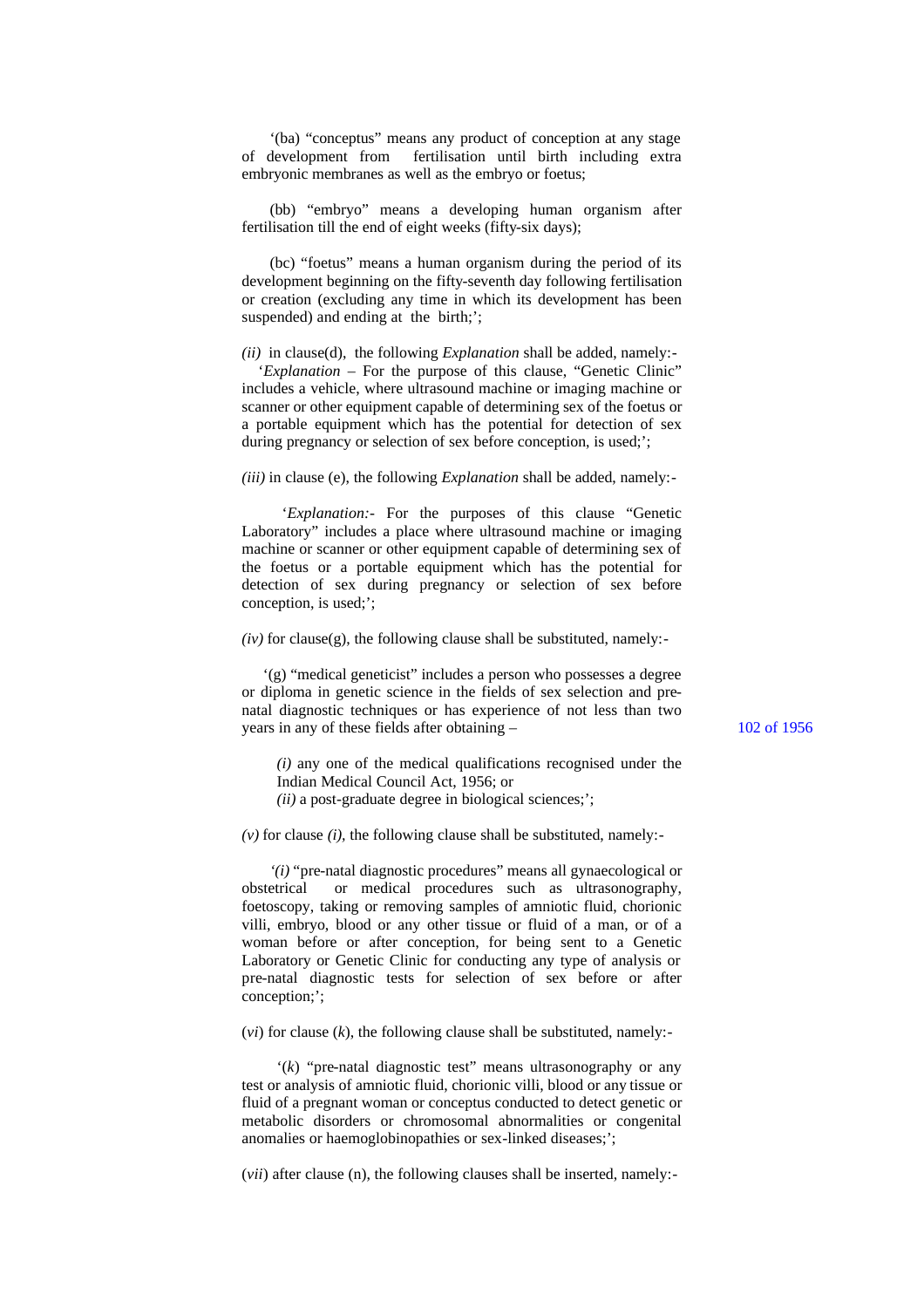'(ba) "conceptus" means any product of conception at any stage of development from fertilisation until birth including extra embryonic membranes as well as the embryo or foetus;

(bb) "embryo" means a developing human organism after fertilisation till the end of eight weeks (fifty-six days);

(bc) "foetus" means a human organism during the period of its development beginning on the fifty-seventh day following fertilisation or creation (excluding any time in which its development has been suspended) and ending at the birth;';

*(ii)* in clause(d), the following *Explanation* shall be added, namely:- '*Explanation* – For the purpose of this clause, "Genetic Clinic" includes a vehicle, where ultrasound machine or imaging machine or scanner or other equipment capable of determining sex of the foetus or a portable equipment which has the potential for detection of sex during pregnancy or selection of sex before conception, is used;';

*(iii)* in clause (e), the following *Explanation* shall be added, namely:-

 '*Explanation:-* For the purposes of this clause "Genetic Laboratory" includes a place where ultrasound machine or imaging machine or scanner or other equipment capable of determining sex of the foetus or a portable equipment which has the potential for detection of sex during pregnancy or selection of sex before conception, is used;';

 $(iv)$  for clause(g), the following clause shall be substituted, namely:-

'(g) "medical geneticist" includes a person who possesses a degree or diploma in genetic science in the fields of sex selection and prenatal diagnostic techniques or has experience of not less than two years in any of these fields after obtaining –

102 of 1956

*(i)* any one of the medical qualifications recognised under the Indian Medical Council Act, 1956; or

*(ii)* a post-graduate degree in biological sciences;';

*(v)* for clause *(i),* the following clause shall be substituted, namely:-

*'(i)* "pre-natal diagnostic procedures" means all gynaecological or obstetrical or medical procedures such as ultrasonography, foetoscopy, taking or removing samples of amniotic fluid, chorionic villi, embryo, blood or any other tissue or fluid of a man, or of a woman before or after conception, for being sent to a Genetic Laboratory or Genetic Clinic for conducting any type of analysis or pre-natal diagnostic tests for selection of sex before or after conception;';

(*vi*) for clause (*k*), the following clause shall be substituted, namely:-

'(*k*) "pre-natal diagnostic test" means ultrasonography or any test or analysis of amniotic fluid, chorionic villi, blood or any tissue or fluid of a pregnant woman or conceptus conducted to detect genetic or metabolic disorders or chromosomal abnormalities or congenital anomalies or haemoglobinopathies or sex-linked diseases;';

(*vii*) after clause (n), the following clauses shall be inserted, namely:-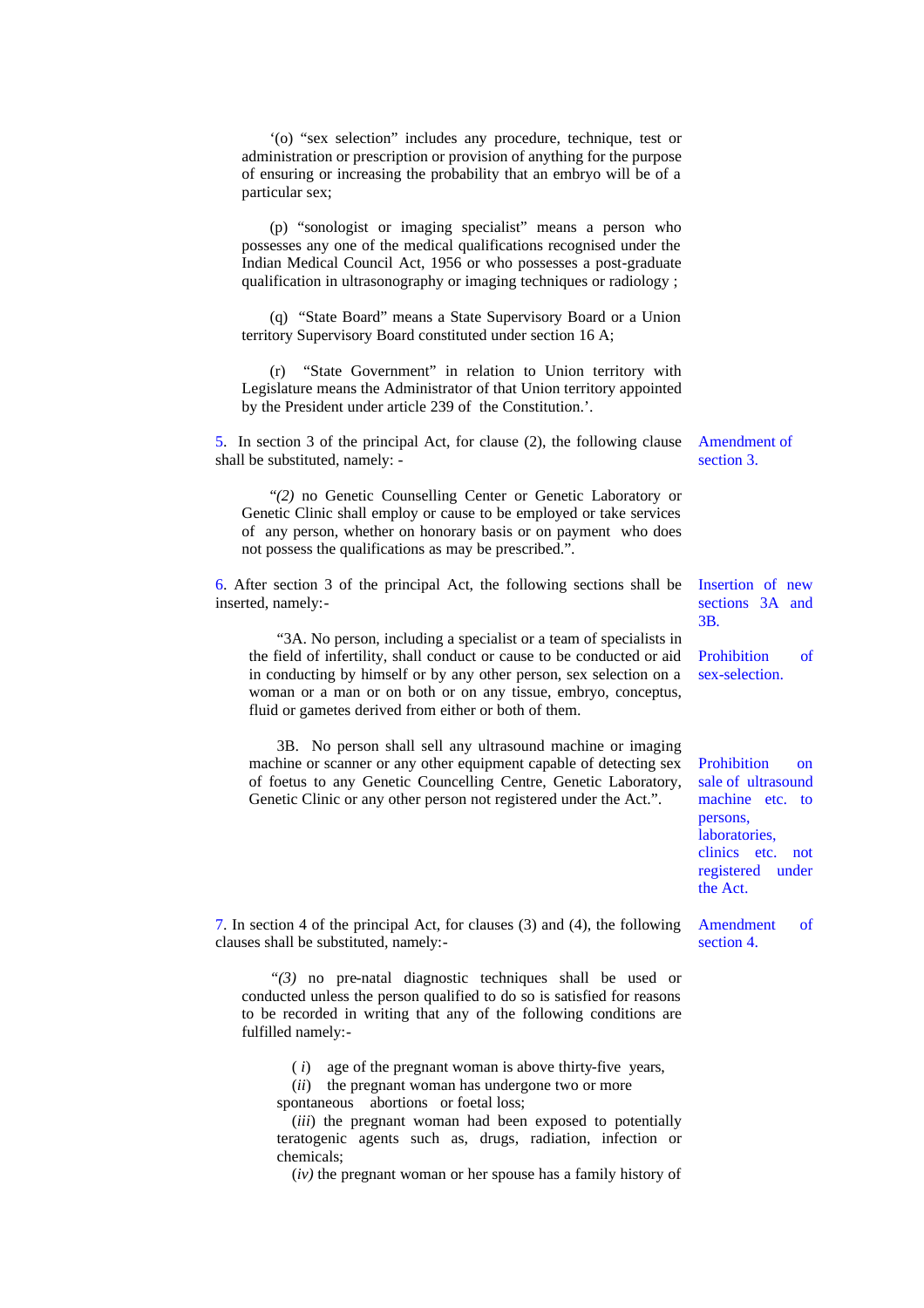'(o) "sex selection" includes any procedure, technique, test or administration or prescription or provision of anything for the purpose of ensuring or increasing the probability that an embryo will be of a particular sex;

(p) "sonologist or imaging specialist" means a person who possesses any one of the medical qualifications recognised under the Indian Medical Council Act, 1956 or who possesses a post-graduate qualification in ultrasonography or imaging techniques or radiology ;

(q) "State Board" means a State Supervisory Board or a Union territory Supervisory Board constituted under section 16 A;

(r) "State Government" in relation to Union territory with Legislature means the Administrator of that Union territory appointed by the President under article 239 of the Constitution.'.

5. In section 3 of the principal Act, for clause (2), the following clause shall be substituted, namely: -

"*(2)* no Genetic Counselling Center or Genetic Laboratory or Genetic Clinic shall employ or cause to be employed or take services of any person, whether on honorary basis or on payment who does not possess the qualifications as may be prescribed.".

6. After section 3 of the principal Act, the following sections shall be inserted, namely:-

"3A. No person, including a specialist or a team of specialists in the field of infertility, shall conduct or cause to be conducted or aid in conducting by himself or by any other person, sex selection on a woman or a man or on both or on any tissue, embryo, conceptus, fluid or gametes derived from either or both of them.

3B. No person shall sell any ultrasound machine or imaging machine or scanner or any other equipment capable of detecting sex of foetus to any Genetic Councelling Centre, Genetic Laboratory, Genetic Clinic or any other person not registered under the Act.".

Prohibition on sale of ultrasound machine etc. to persons, laboratories, clinics etc. not registered under the Act.

7. In section 4 of the principal Act, for clauses (3) and (4), the following clauses shall be substituted, namely:-

*"(3)* no pre-natal diagnostic techniques shall be used or conducted unless the person qualified to do so is satisfied for reasons to be recorded in writing that any of the following conditions are fulfilled namely:-

( *i*) age of the pregnant woman is above thirty-five years,

(*ii*) the pregnant woman has undergone two or more spontaneous abortions or foetal loss;

(*iii*) the pregnant woman had been exposed to potentially teratogenic agents such as, drugs, radiation, infection or chemicals;

(*iv)* the pregnant woman or her spouse has a family history of

Amendment of section 3.

Insertion of new sections 3A and 3B.

Prohibition of sex-selection.

Amendment of section 4.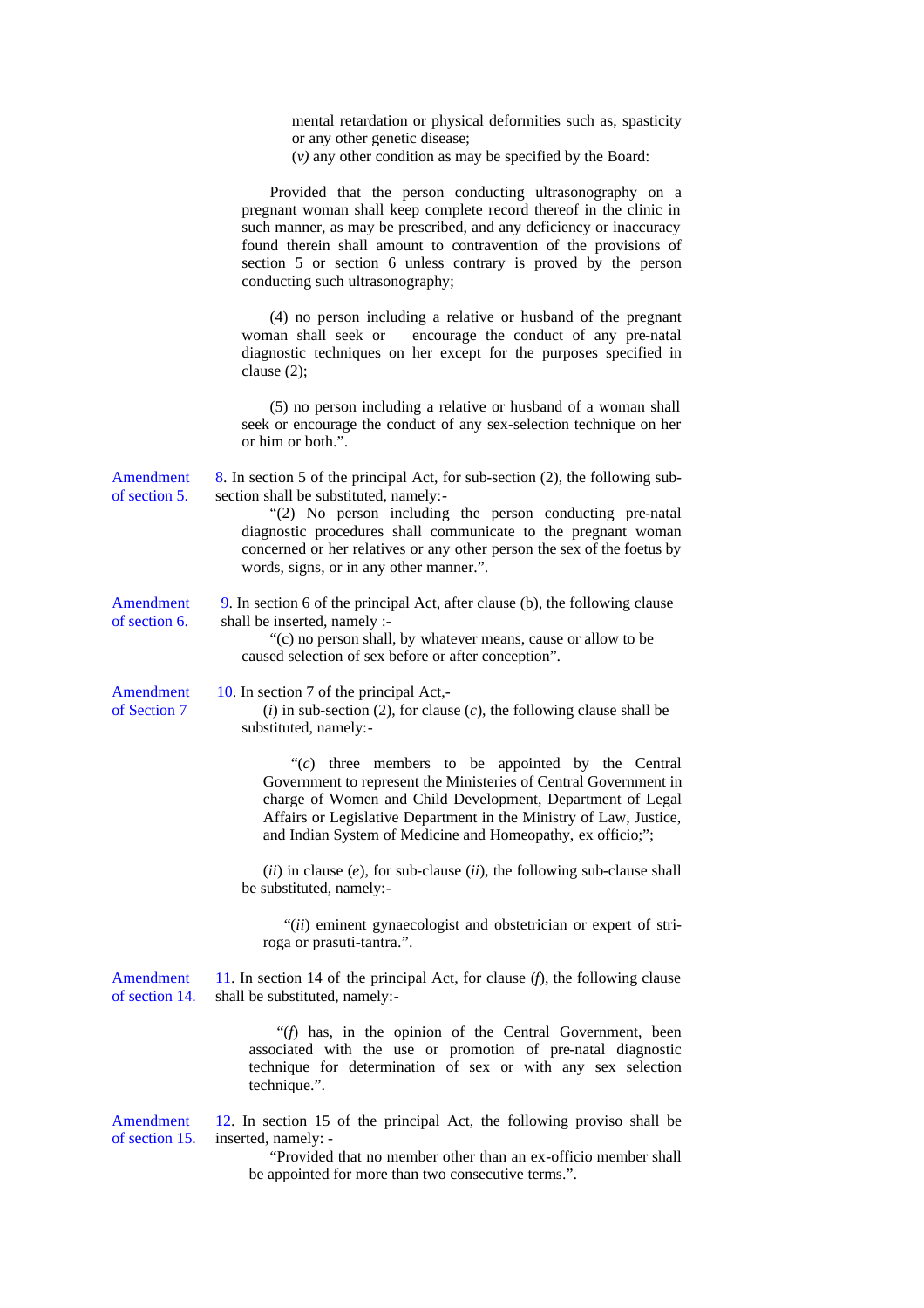|                                    | mental retardation or physical deformities such as, spasticity<br>or any other genetic disease;<br>$(v)$ any other condition as may be specified by the Board:                                                                                                                                                                                                                  |
|------------------------------------|---------------------------------------------------------------------------------------------------------------------------------------------------------------------------------------------------------------------------------------------------------------------------------------------------------------------------------------------------------------------------------|
|                                    | Provided that the person conducting ultrasonography on a<br>pregnant woman shall keep complete record thereof in the clinic in<br>such manner, as may be prescribed, and any deficiency or inaccuracy<br>found therein shall amount to contravention of the provisions of<br>section 5 or section 6 unless contrary is proved by the person<br>conducting such ultrasonography; |
|                                    | (4) no person including a relative or husband of the pregnant<br>woman shall seek or<br>encourage the conduct of any pre-natal<br>diagnostic techniques on her except for the purposes specified in<br>clause $(2)$ ;                                                                                                                                                           |
|                                    | (5) no person including a relative or husband of a woman shall<br>seek or encourage the conduct of any sex-selection technique on her<br>or him or both.".                                                                                                                                                                                                                      |
| <b>Amendment</b><br>of section 5.  | 8. In section 5 of the principal Act, for sub-section (2), the following sub-<br>section shall be substituted, namely:-<br>"(2) No person including the person conducting pre-natal<br>diagnostic procedures shall communicate to the pregnant woman<br>concerned or her relatives or any other person the sex of the foetus by<br>words, signs, or in any other manner.".      |
| Amendment<br>of section 6.         | 9. In section 6 of the principal Act, after clause (b), the following clause<br>shall be inserted, namely :-<br>"(c) no person shall, by whatever means, cause or allow to be<br>caused selection of sex before or after conception".                                                                                                                                           |
| Amendment<br>of Section 7          | 10. In section 7 of the principal Act,-<br>$(i)$ in sub-section (2), for clause $(c)$ , the following clause shall be<br>substituted, namely:-                                                                                                                                                                                                                                  |
|                                    | " $(c)$ three members to be appointed by the Central<br>Government to represent the Ministeries of Central Government in<br>charge of Women and Child Development, Department of Legal<br>Affairs or Legislative Department in the Ministry of Law, Justice,<br>and Indian System of Medicine and Homeopathy, ex officio;";                                                     |
|                                    | $(ii)$ in clause $(e)$ , for sub-clause $(ii)$ , the following sub-clause shall<br>be substituted, namely:-                                                                                                                                                                                                                                                                     |
|                                    | "(ii) eminent gynaecologist and obstetrician or expert of stri-<br>roga or prasuti-tantra.".                                                                                                                                                                                                                                                                                    |
| Amendment<br>of section 14.        | 11. In section 14 of the principal Act, for clause $(f)$ , the following clause<br>shall be substituted, namely:-                                                                                                                                                                                                                                                               |
|                                    | "(f) has, in the opinion of the Central Government, been<br>associated with the use or promotion of pre-natal diagnostic<br>technique for determination of sex or with any sex selection<br>technique.".                                                                                                                                                                        |
| <b>Amendment</b><br>of section 15. | 12. In section 15 of the principal Act, the following proviso shall be<br>inserted, namely: -<br>"Provided that no member other than an ex-officio member shall<br>be appointed for more than two consecutive terms.".                                                                                                                                                          |
|                                    |                                                                                                                                                                                                                                                                                                                                                                                 |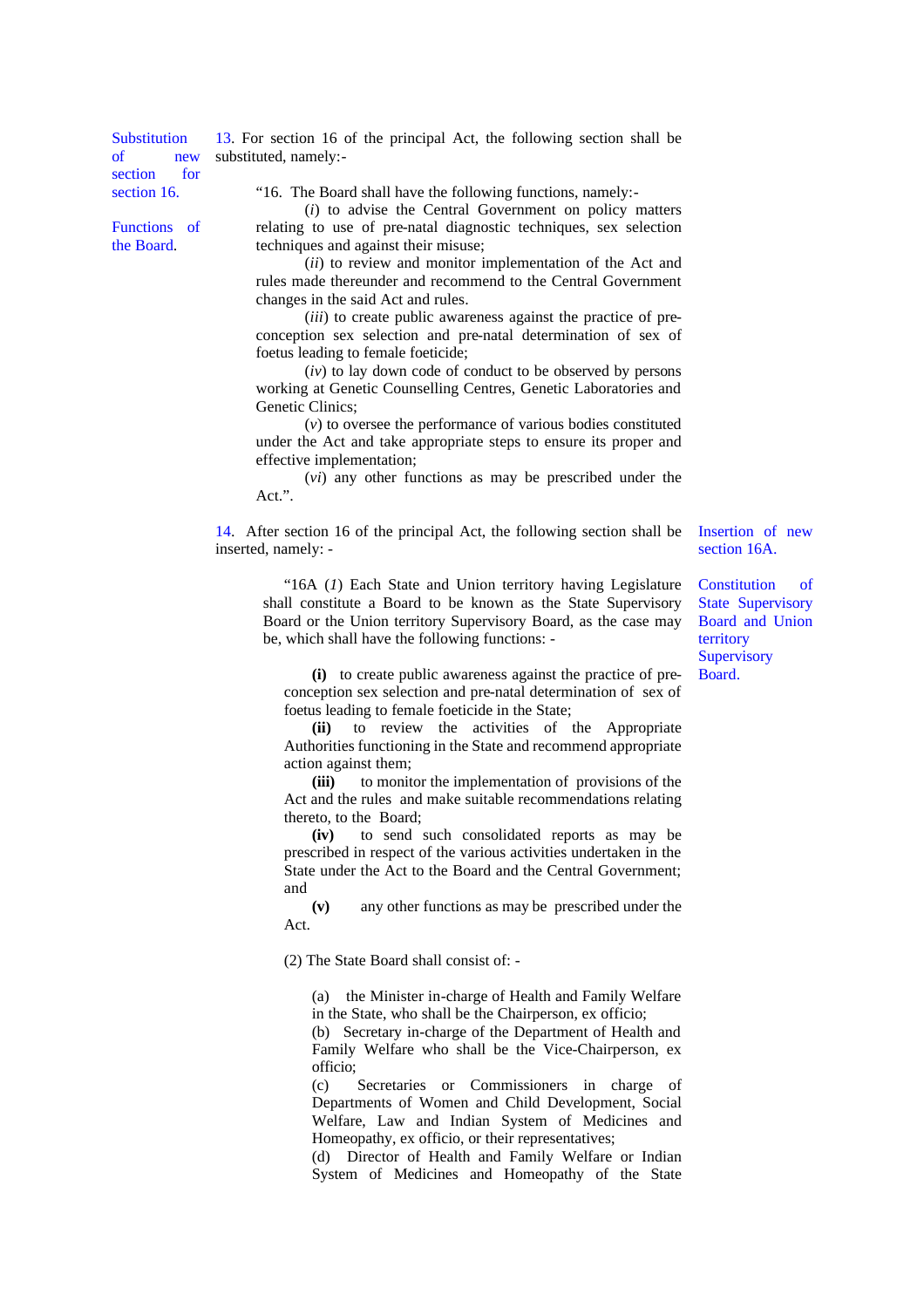Substitution section 16.

substituted, namely:-

"16. The Board shall have the following functions, namely:-

13. For section 16 of the principal Act, the following section shall be

(*i*) to advise the Central Government on policy matters relating to use of pre-natal diagnostic techniques, sex selection techniques and against their misuse;

(*ii*) to review and monitor implementation of the Act and rules made thereunder and recommend to the Central Government changes in the said Act and rules.

(*iii*) to create public awareness against the practice of preconception sex selection and pre-natal determination of sex of foetus leading to female foeticide;

(*iv*) to lay down code of conduct to be observed by persons working at Genetic Counselling Centres, Genetic Laboratories and Genetic Clinics;

(*v*) to oversee the performance of various bodies constituted under the Act and take appropriate steps to ensure its proper and effective implementation;

(*vi*) any other functions as may be prescribed under the Act.".

14. After section 16 of the principal Act, the following section shall be inserted, namely: -

"16A (*1*) Each State and Union territory having Legislature shall constitute a Board to be known as the State Supervisory Board or the Union territory Supervisory Board, as the case may be, which shall have the following functions: -

**(i)** to create public awareness against the practice of preconception sex selection and pre-natal determination of sex of foetus leading to female foeticide in the State;

**(ii)** to review the activities of the Appropriate Authorities functioning in the State and recommend appropriate action against them;

**(iii)** to monitor the implementation of provisions of the Act and the rules and make suitable recommendations relating thereto, to the Board;

**(iv)** to send such consolidated reports as may be prescribed in respect of the various activities undertaken in the State under the Act to the Board and the Central Government; and

**(v)** any other functions as may be prescribed under the Act.

(2) The State Board shall consist of: -

(a) the Minister in-charge of Health and Family Welfare in the State, who shall be the Chairperson, ex officio;

(b) Secretary in-charge of the Department of Health and Family Welfare who shall be the Vice-Chairperson, ex officio;

(c) Secretaries or Commissioners in charge of Departments of Women and Child Development, Social Welfare, Law and Indian System of Medicines and Homeopathy, ex officio, or their representatives;

(d) Director of Health and Family Welfare or Indian System of Medicines and Homeopathy of the State

Insertion of new section 16A.

Constitution of State Supervisory Board and Union territory **Supervisory** Board.

of new section for

Functions of the Board.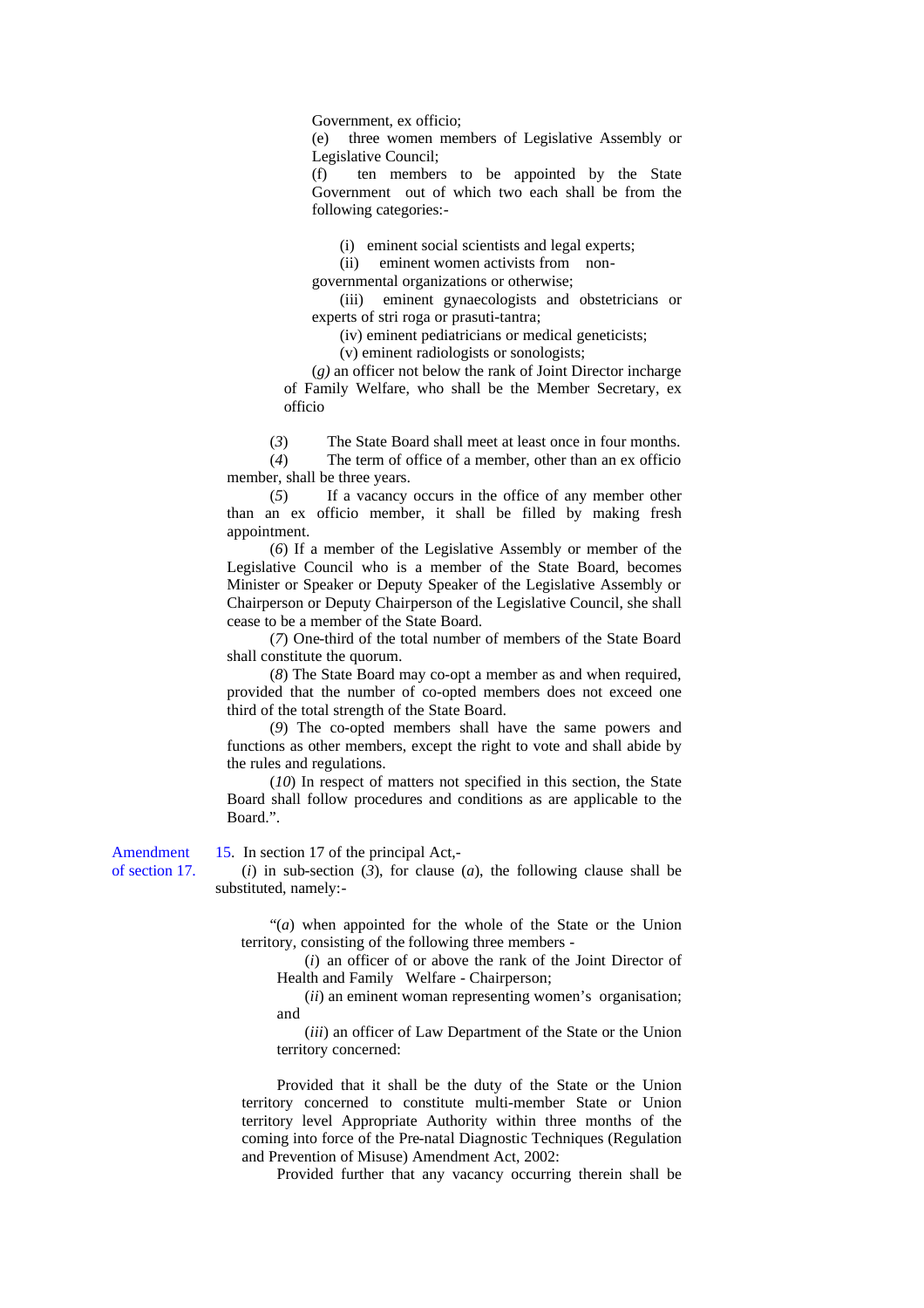Government, ex officio;

(e) three women members of Legislative Assembly or Legislative Council;

(f) ten members to be appointed by the State Government out of which two each shall be from the following categories:-

(i) eminent social scientists and legal experts;

(ii) eminent women activists from non-

governmental organizations or otherwise;

(iii) eminent gynaecologists and obstetricians or experts of stri roga or prasuti-tantra;

(iv) eminent pediatricians or medical geneticists;

(v) eminent radiologists or sonologists;

(*g)* an officer not below the rank of Joint Director incharge of Family Welfare, who shall be the Member Secretary, ex officio

(*3*) The State Board shall meet at least once in four months.

(*4*) The term of office of a member, other than an ex officio member, shall be three years.

(*5*) If a vacancy occurs in the office of any member other than an ex officio member, it shall be filled by making fresh appointment.

(*6*) If a member of the Legislative Assembly or member of the Legislative Council who is a member of the State Board, becomes Minister or Speaker or Deputy Speaker of the Legislative Assembly or Chairperson or Deputy Chairperson of the Legislative Council, she shall cease to be a member of the State Board.

(*7*) One-third of the total number of members of the State Board shall constitute the quorum.

(*8*) The State Board may co-opt a member as and when required, provided that the number of co-opted members does not exceed one third of the total strength of the State Board.

(*9*) The co-opted members shall have the same powers and functions as other members, except the right to vote and shall abide by the rules and regulations.

(*10*) In respect of matters not specified in this section, the State Board shall follow procedures and conditions as are applicable to the Board.".

Amendment 15. In section 17 of the principal Act,-

of section 17.

(*i*) in sub-section (*3*), for clause (*a*), the following clause shall be substituted, namely:-

"(*a*) when appointed for the whole of the State or the Union territory, consisting of the following three members -

(*i*) an officer of or above the rank of the Joint Director of Health and Family Welfare - Chairperson;

(*ii*) an eminent woman representing women's organisation; and

(*iii*) an officer of Law Department of the State or the Union territory concerned:

Provided that it shall be the duty of the State or the Union territory concerned to constitute multi-member State or Union territory level Appropriate Authority within three months of the coming into force of the Pre-natal Diagnostic Techniques (Regulation and Prevention of Misuse) Amendment Act, 2002:

Provided further that any vacancy occurring therein shall be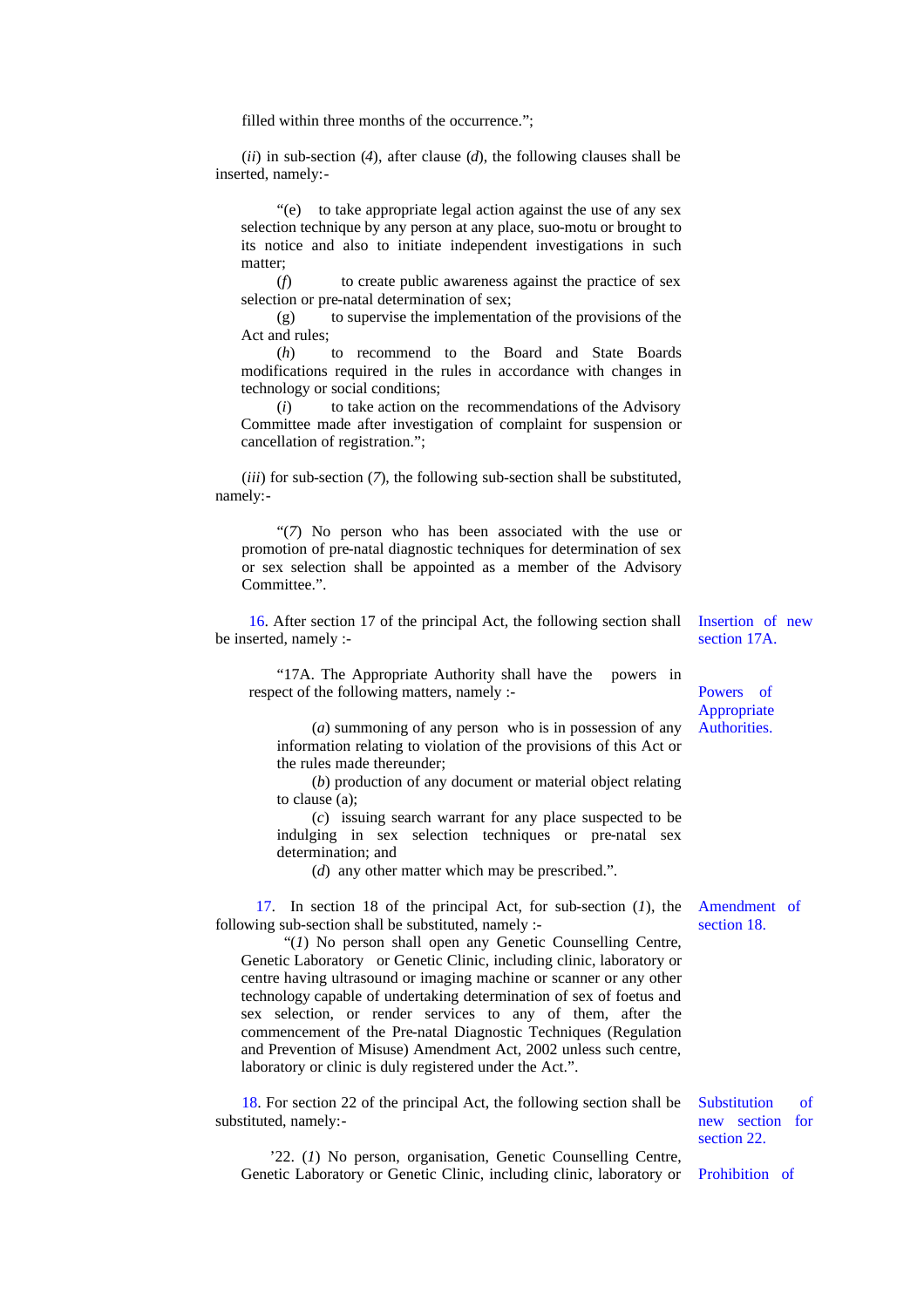filled within three months of the occurrence.";

(*ii*) in sub-section (*4*), after clause (*d*), the following clauses shall be inserted, namely:-

"(e) to take appropriate legal action against the use of any sex selection technique by any person at any place, suo-motu or brought to its notice and also to initiate independent investigations in such matter;

(*f*) to create public awareness against the practice of sex selection or pre-natal determination of sex;

(g) to supervise the implementation of the provisions of the Act and rules;

(*h*) to recommend to the Board and State Boards modifications required in the rules in accordance with changes in technology or social conditions;

(*i*) to take action on the recommendations of the Advisory Committee made after investigation of complaint for suspension or cancellation of registration.";

(*iii*) for sub-section (*7*), the following sub-section shall be substituted, namely:-

"(*7*) No person who has been associated with the use or promotion of pre-natal diagnostic techniques for determination of sex or sex selection shall be appointed as a member of the Advisory Committee.".

16. After section 17 of the principal Act, the following section shall be inserted, namely :-

"17A. The Appropriate Authority shall have the powers in respect of the following matters, namely :-

(*a*) summoning of any person who is in possession of any information relating to violation of the provisions of this Act or the rules made thereunder;

(*b*) production of any document or material object relating to clause (a);

(*c*) issuing search warrant for any place suspected to be indulging in sex selection techniques or pre-natal sex determination; and

(*d*) any other matter which may be prescribed.".

17. In section 18 of the principal Act, for sub-section (*1*), the following sub-section shall be substituted, namely :-

"(*1*) No person shall open any Genetic Counselling Centre, Genetic Laboratory or Genetic Clinic, including clinic, laboratory or centre having ultrasound or imaging machine or scanner or any other technology capable of undertaking determination of sex of foetus and sex selection, or render services to any of them, after the commencement of the Pre-natal Diagnostic Techniques (Regulation and Prevention of Misuse) Amendment Act, 2002 unless such centre, laboratory or clinic is duly registered under the Act.".

18. For section 22 of the principal Act, the following section shall be substituted, namely:-

'22. (*1*) No person, organisation, Genetic Counselling Centre, Genetic Laboratory or Genetic Clinic, including clinic, laboratory or

Insertion of new section 17A.

Powers of Appropriate Authorities.

Amendment of section 18.

Substitution of new section for section 22.

Prohibition of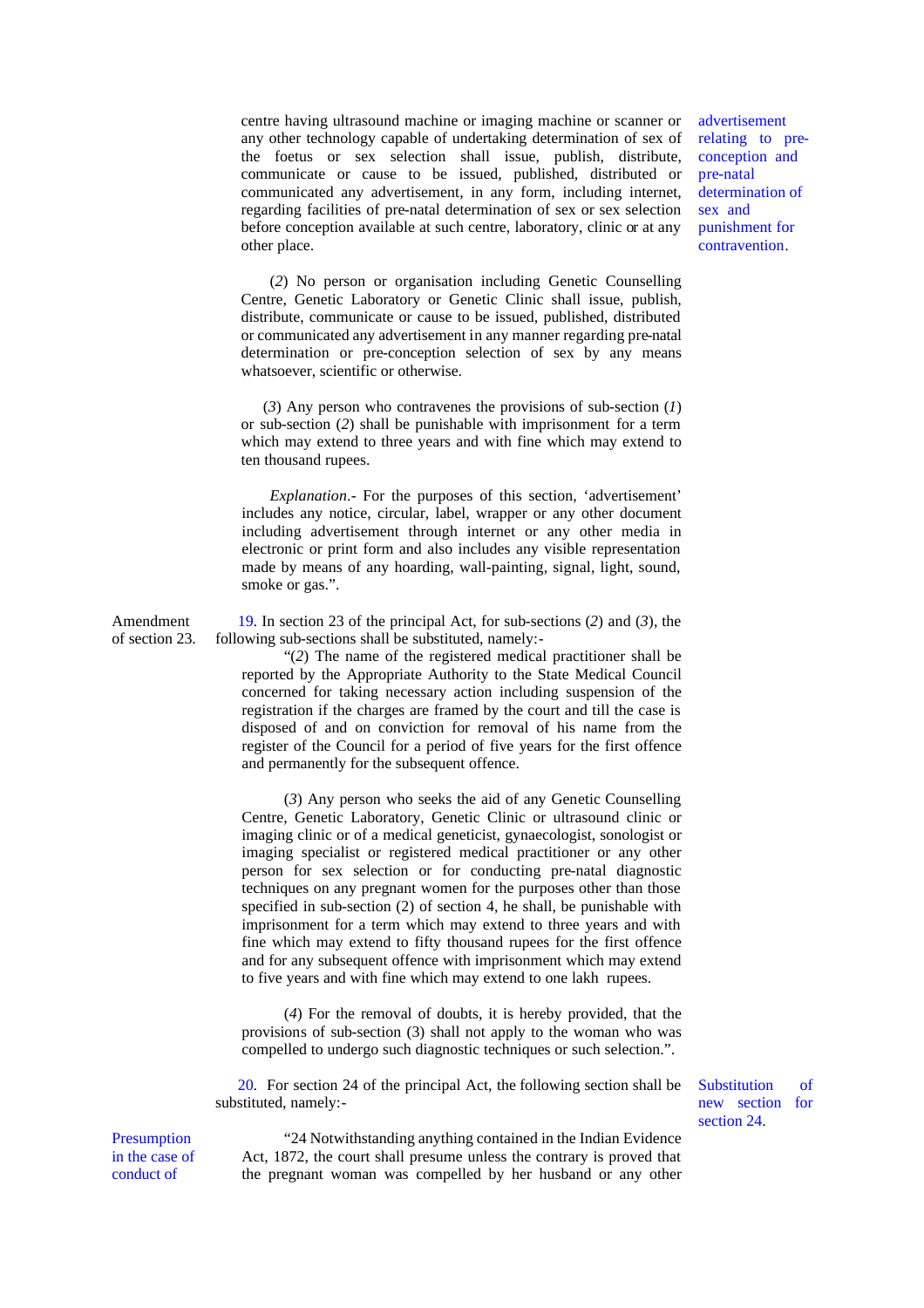centre having ultrasound machine or imaging machine or scanner or any other technology capable of undertaking determination of sex of the foetus or sex selection shall issue, publish, distribute, communicate or cause to be issued, published, distributed or communicated any advertisement, in any form, including internet, regarding facilities of pre-natal determination of sex or sex selection before conception available at such centre, laboratory, clinic or at any other place.

advertisement relating to preconception and pre-natal determination of sex and punishment for contravention.

(*2*) No person or organisation including Genetic Counselling Centre, Genetic Laboratory or Genetic Clinic shall issue, publish, distribute, communicate or cause to be issued, published, distributed or communicated any advertisement in any manner regarding pre-natal determination or pre-conception selection of sex by any means whatsoever, scientific or otherwise.

(*3*) Any person who contravenes the provisions of sub-section (*1*) or sub-section (*2*) shall be punishable with imprisonment for a term which may extend to three years and with fine which may extend to ten thousand rupees.

*Explanation*.- For the purposes of this section, 'advertisement' includes any notice, circular, label, wrapper or any other document including advertisement through internet or any other media in electronic or print form and also includes any visible representation made by means of any hoarding, wall-painting, signal, light, sound, smoke or gas.".

of section 23. 19. In section 23 of the principal Act, for sub-sections (*2*) and (*3*), the following sub-sections shall be substituted, namely:-

"(*2*) The name of the registered medical practitioner shall be reported by the Appropriate Authority to the State Medical Council concerned for taking necessary action including suspension of the registration if the charges are framed by the court and till the case is disposed of and on conviction for removal of his name from the register of the Council for a period of five years for the first offence and permanently for the subsequent offence.

(*3*) Any person who seeks the aid of any Genetic Counselling Centre, Genetic Laboratory, Genetic Clinic or ultrasound clinic or imaging clinic or of a medical geneticist, gynaecologist, sonologist or imaging specialist or registered medical practitioner or any other person for sex selection or for conducting pre-natal diagnostic techniques on any pregnant women for the purposes other than those specified in sub-section (2) of section 4, he shall, be punishable with imprisonment for a term which may extend to three years and with fine which may extend to fifty thousand rupees for the first offence and for any subsequent offence with imprisonment which may extend to five years and with fine which may extend to one lakh rupees.

(*4*) For the removal of doubts, it is hereby provided, that the provisions of sub-section (3) shall not apply to the woman who was compelled to undergo such diagnostic techniques or such selection.".

20. For section 24 of the principal Act, the following section shall be substituted, namely:-

Substitution of new section for section 24.

Presumption in the case of conduct of

"24 Notwithstanding anything contained in the Indian Evidence Act, 1872, the court shall presume unless the contrary is proved that the pregnant woman was compelled by her husband or any other

Amendment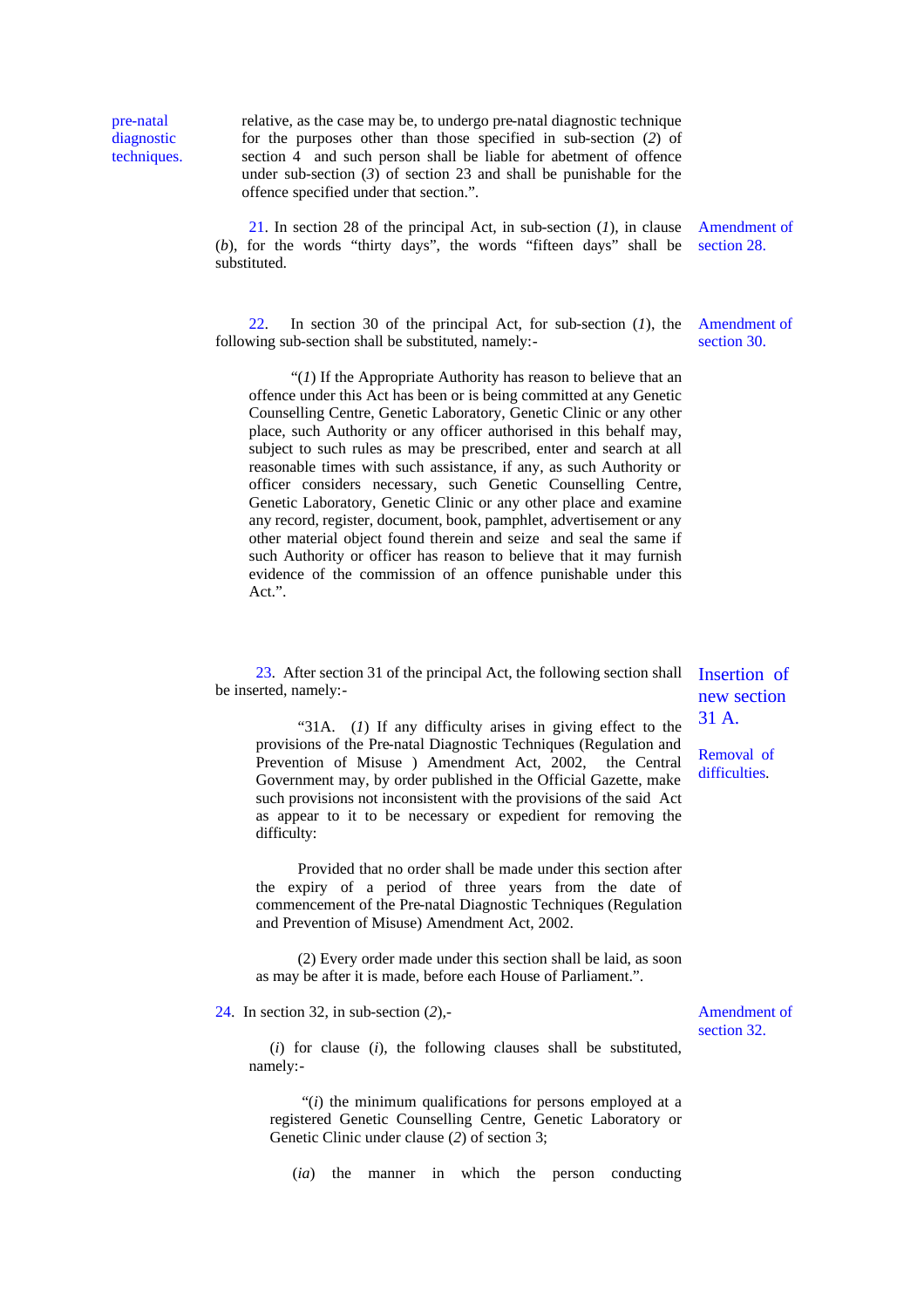pre-natal diagnostic techniques. relative, as the case may be, to undergo pre-natal diagnostic technique for the purposes other than those specified in sub-section (*2*) of section 4 and such person shall be liable for abetment of offence under sub-section (*3*) of section 23 and shall be punishable for the offence specified under that section.".

21. In section 28 of the principal Act, in sub-section (*1*), in clause Amendment of (*b*), for the words "thirty days", the words "fifteen days" shall be substituted.

22. In section 30 of the principal Act, for sub-section (*1*), the following sub-section shall be substituted, namely:-

"(*1*) If the Appropriate Authority has reason to believe that an offence under this Act has been or is being committed at any Genetic Counselling Centre, Genetic Laboratory, Genetic Clinic or any other place, such Authority or any officer authorised in this behalf may, subject to such rules as may be prescribed, enter and search at all reasonable times with such assistance, if any, as such Authority or officer considers necessary, such Genetic Counselling Centre, Genetic Laboratory, Genetic Clinic or any other place and examine any record, register, document, book, pamphlet, advertisement or any other material object found therein and seize and seal the same if such Authority or officer has reason to believe that it may furnish evidence of the commission of an offence punishable under this Act.".

23. After section 31 of the principal Act, the following section shall be inserted, namely:-

"31A. (*1*) If any difficulty arises in giving effect to the provisions of the Pre-natal Diagnostic Techniques (Regulation and Prevention of Misuse ) Amendment Act, 2002, the Central Government may, by order published in the Official Gazette, make such provisions not inconsistent with the provisions of the said Act as appear to it to be necessary or expedient for removing the difficulty:

Provided that no order shall be made under this section after the expiry of a period of three years from the date of commencement of the Pre-natal Diagnostic Techniques (Regulation and Prevention of Misuse) Amendment Act, 2002.

(2) Every order made under this section shall be laid, as soon as may be after it is made, before each House of Parliament.".

24. In section 32, in sub-section (*2*),-

(*i*) for clause (*i*), the following clauses shall be substituted, namely:-

 "(*i*) the minimum qualifications for persons employed at a registered Genetic Counselling Centre, Genetic Laboratory or Genetic Clinic under clause (*2*) of section 3;

(*ia*) the manner in which the person conducting

Amendment of section 32.

Insertion of new section 31 A.

Removal of difficulties.

Amendment of

section 28.

section 30.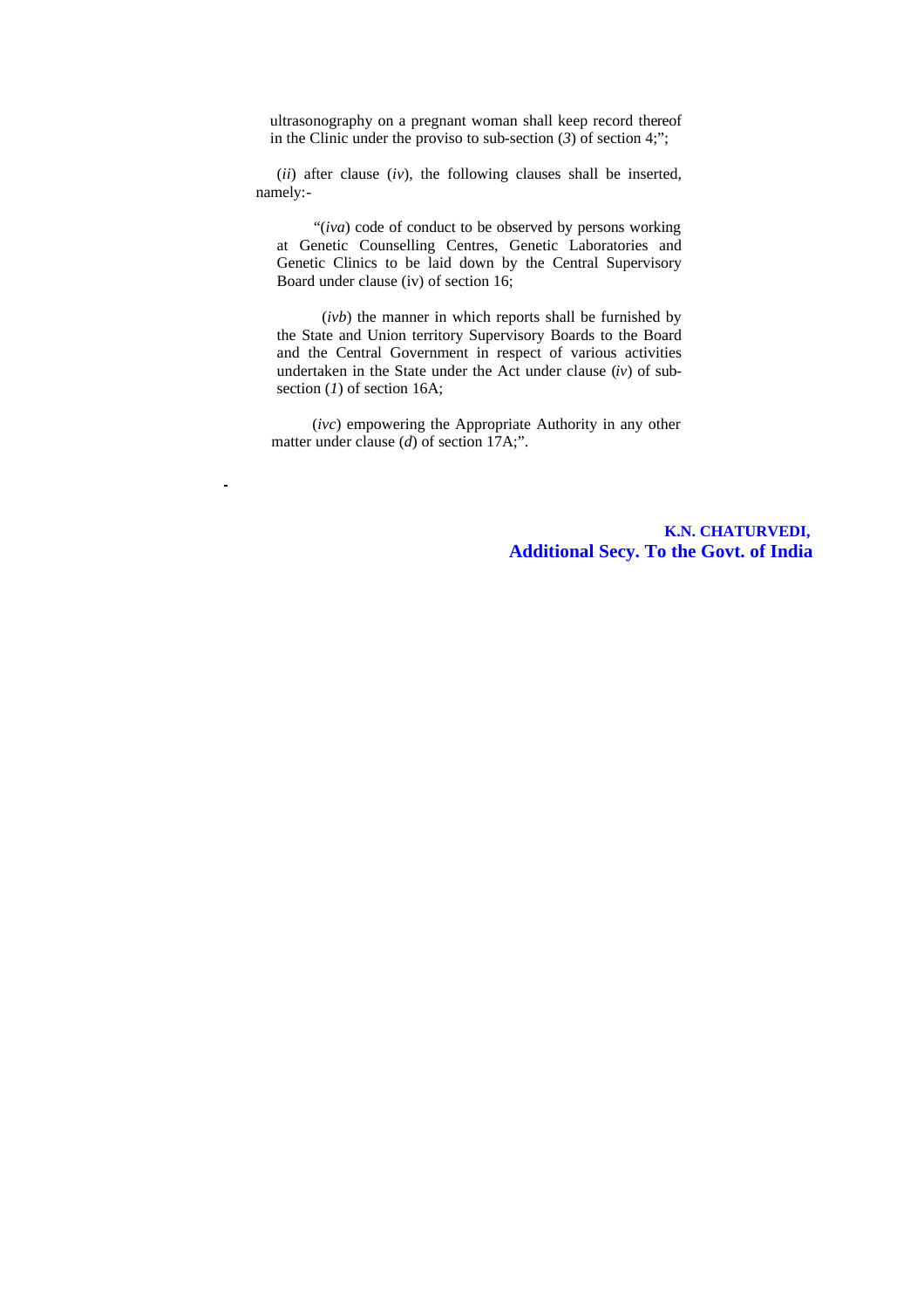ultrasonography on a pregnant woman shall keep record thereof in the Clinic under the proviso to sub-section (*3*) of section 4;";

(*ii*) after clause (*iv*), the following clauses shall be inserted, namely:-

 "(*iva*) code of conduct to be observed by persons working at Genetic Counselling Centres, Genetic Laboratories and Genetic Clinics to be laid down by the Central Supervisory Board under clause (iv) of section 16;

 (*ivb*) the manner in which reports shall be furnished by the State and Union territory Supervisory Boards to the Board and the Central Government in respect of various activities undertaken in the State under the Act under clause (*iv*) of subsection (*1*) of section 16A;

 (*ivc*) empowering the Appropriate Authority in any other matter under clause (*d*) of section 17A;".

> **K.N. CHATURVEDI, Additional Secy. To the Govt. of India**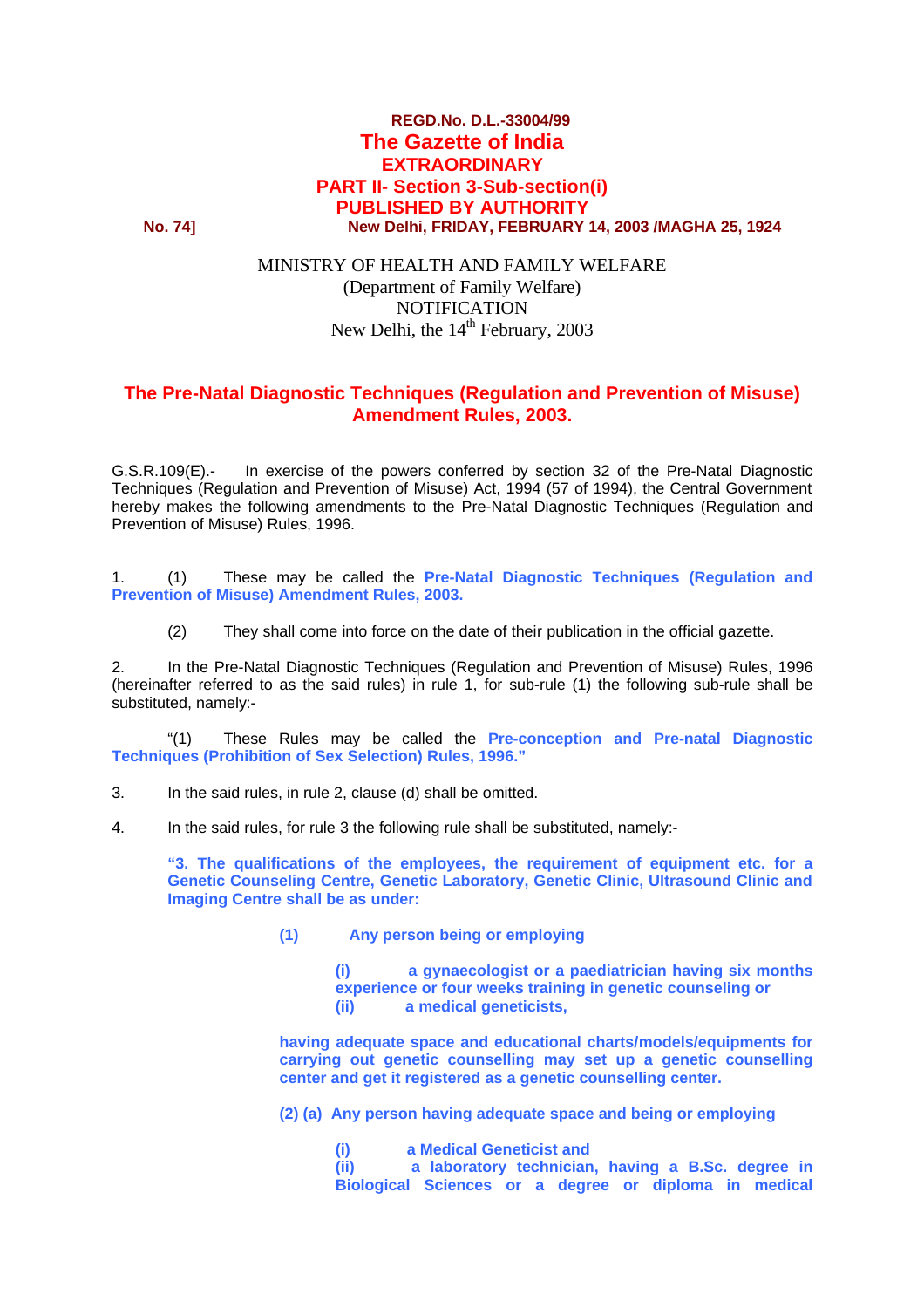# **REGD.No. D.L.-33004/99 The Gazette of India EXTRAORDINARY PART II- Section 3-Sub-section(i) PUBLISHED BY AUTHORITY No. 74] New Delhi, FRIDAY, FEBRUARY 14, 2003 /MAGHA 25, 1924**

# MINISTRY OF HEALTH AND FAMILY WELFARE (Department of Family Welfare) **NOTIFICATION** New Delhi, the 14<sup>th</sup> February, 2003

# **The Pre-Natal Diagnostic Techniques (Regulation and Prevention of Misuse) Amendment Rules, 2003.**

G.S.R.109(E).- In exercise of the powers conferred by section 32 of the Pre-Natal Diagnostic Techniques (Regulation and Prevention of Misuse) Act, 1994 (57 of 1994), the Central Government hereby makes the following amendments to the Pre-Natal Diagnostic Techniques (Regulation and Prevention of Misuse) Rules, 1996.

1. (1) These may be called the **Pre-Natal Diagnostic Techniques (Regulation and Prevention of Misuse) Amendment Rules, 2003.**

(2) They shall come into force on the date of their publication in the official gazette.

2. In the Pre-Natal Diagnostic Techniques (Regulation and Prevention of Misuse) Rules, 1996 (hereinafter referred to as the said rules) in rule 1, for sub-rule (1) the following sub-rule shall be substituted, namely:-

"(1) These Rules may be called the **Pre-conception and Pre-natal Diagnostic Techniques (Prohibition of Sex Selection) Rules, 1996."**

- 3. In the said rules, in rule 2, clause (d) shall be omitted.
- 4. In the said rules, for rule 3 the following rule shall be substituted, namely:-

**"3. The qualifications of the employees, the requirement of equipment etc. for a Genetic Counseling Centre, Genetic Laboratory, Genetic Clinic, Ultrasound Clinic and Imaging Centre shall be as under:**

**(1) Any person being or employing**

**(i) a gynaecologist or a paediatrician having six months experience or four weeks training in genetic counseling or (ii) a medical geneticists,** 

**having adequate space and educational charts/models/equipments for carrying out genetic counselling may set up a genetic counselling center and get it registered as a genetic counselling center.** 

**(2) (a) Any person having adequate space and being or employing** 

**(i) a Medical Geneticist and** 

**(ii) a laboratory technician, having a B.Sc. degree in Biological Sciences or a degree or diploma in medical**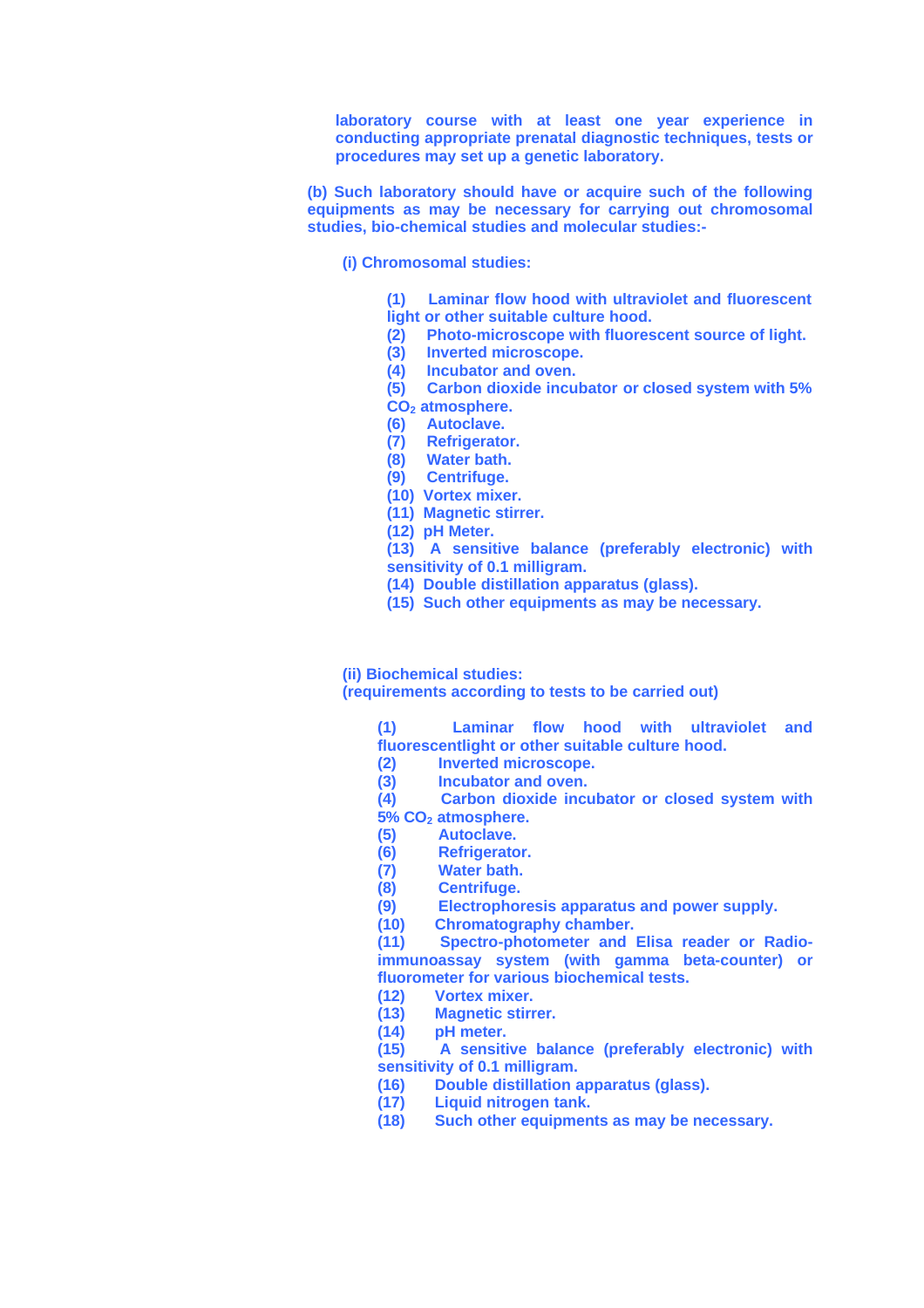**laboratory course with at least one year experience in conducting appropriate prenatal diagnostic techniques, tests or procedures may set up a genetic laboratory.** 

**(b) Such laboratory should have or acquire such of the following equipments as may be necessary for carrying out chromosomal studies, bio-chemical studies and molecular studies:-**

**(i) Chromosomal studies:**

- **(1) Laminar flow hood with ultraviolet and fluorescent**
- **light or other suitable culture hood.**
- **(2) Photo-microscope with fluorescent source of light.**
- **(3) Inverted microscope.**
- **(4) Incubator and oven.**
- **(5) Carbon dioxide incubator or closed system with 5%**
- **CO2 atmosphere.**
- **(6) Autoclave.**
- **(7) Refrigerator.**
- **(8) Water bath.**
- **(9) Centrifuge.**
- **(10) Vortex mixer.**
- **(11) Magnetic stirrer.**
- **(12) pH Meter.**

**(13) A sensitive balance (preferably electronic) with sensitivity of 0.1 milligram.**

- **(14) Double distillation apparatus (glass).**
- **(15) Such other equipments as may be necessary.**

**(ii) Biochemical studies:**

**(requirements according to tests to be carried out)**

**(1) Laminar flow hood with ultraviolet and fluorescentlight or other suitable culture hood.**

- **(2) Inverted microscope.**
- **(3) Incubator and oven.**
- **(4) Carbon dioxide incubator or closed system with**
- **5% CO2 atmosphere.**
- **(5) Autoclave.**
- **(6) Refrigerator.**
- **(7) Water bath.**
- **(8) Centrifuge.**
- **(9) Electrophoresis apparatus and power supply.**
- **(10) Chromatography chamber.**

**(11) Spectro-photometer and Elisa reader or Radioimmunoassay system (with gamma beta-counter) or fluorometer for various biochemical tests.**

- **(12) Vortex mixer.**
- **(13) Magnetic stirrer.**
- **(14) pH meter.**

**(15) A sensitive balance (preferably electronic) with sensitivity of 0.1 milligram.** 

- **(16) Double distillation apparatus (glass).**
- **(17) Liquid nitrogen tank.**
- **(18) Such other equipments as may be necessary.**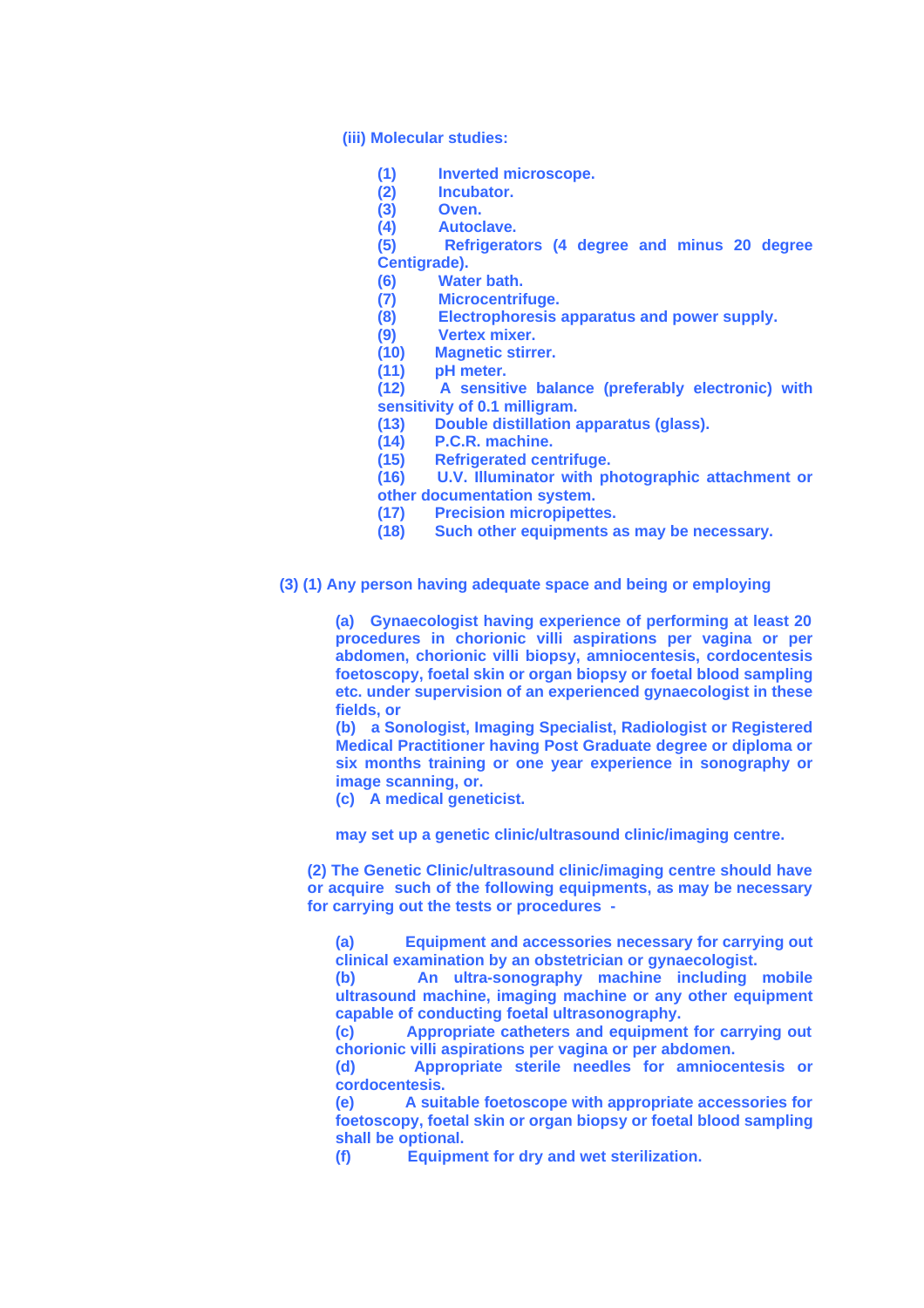#### **(iii) Molecular studies:**

- **(1) Inverted microscope.**
- **(2) Incubator.**
- **(3) Oven.**
- **(4) Autoclave.**

**(5) Refrigerators (4 degree and minus 20 degree Centigrade).**

- **(6) Water bath.**
- **(7) Microcentrifuge.**
- **(8) Electrophoresis apparatus and power supply.**
- **(9) Vertex mixer.**
- **(10) Magnetic stirrer.**
- **(11) pH meter.**

**(12) A sensitive balance (preferably electronic) with sensitivity of 0.1 milligram.**

**(13) Double distillation apparatus (glass).**

- **(14) P.C.R. machine.**
- **(15) Refrigerated centrifuge.**

**(16) U.V. Illuminator with photographic attachment or**

- **other documentation system.**
- **(17) Precision micropipettes.**
- **(18) Such other equipments as may be necessary.**

**(3) (1) Any person having adequate space and being or employing**

**(a) Gynaecologist having experience of performing at least 20 procedures in chorionic villi aspirations per vagina or per abdomen, chorionic villi biopsy, amniocentesis, cordocentesis foetoscopy, foetal skin or organ biopsy or foetal blood sampling etc. under supervision of an experienced gynaecologist in these fields, or** 

**(b) a Sonologist, Imaging Specialist, Radiologist or Registered Medical Practitioner having Post Graduate degree or diploma or six months training or one year experience in sonography or image scanning, or.** 

**(c) A medical geneticist.**

**may set up a genetic clinic/ultrasound clinic/imaging centre.** 

**(2) The Genetic Clinic/ultrasound clinic/imaging centre should have or acquire such of the following equipments, as may be necessary for carrying out the tests or procedures -**

**(a) Equipment and accessories necessary for carrying out clinical examination by an obstetrician or gynaecologist.**

**(b) An ultra-sonography machine including mobile ultrasound machine, imaging machine or any other equipment capable of conducting foetal ultrasonography.** 

**(c) Appropriate catheters and equipment for carrying out chorionic villi aspirations per vagina or per abdomen.**

**(d) Appropriate sterile needles for amniocentesis or cordocentesis.**

**(e) A suitable foetoscope with appropriate accessories for foetoscopy, foetal skin or organ biopsy or foetal blood sampling shall be optional.** 

**(f) Equipment for dry and wet sterilization.**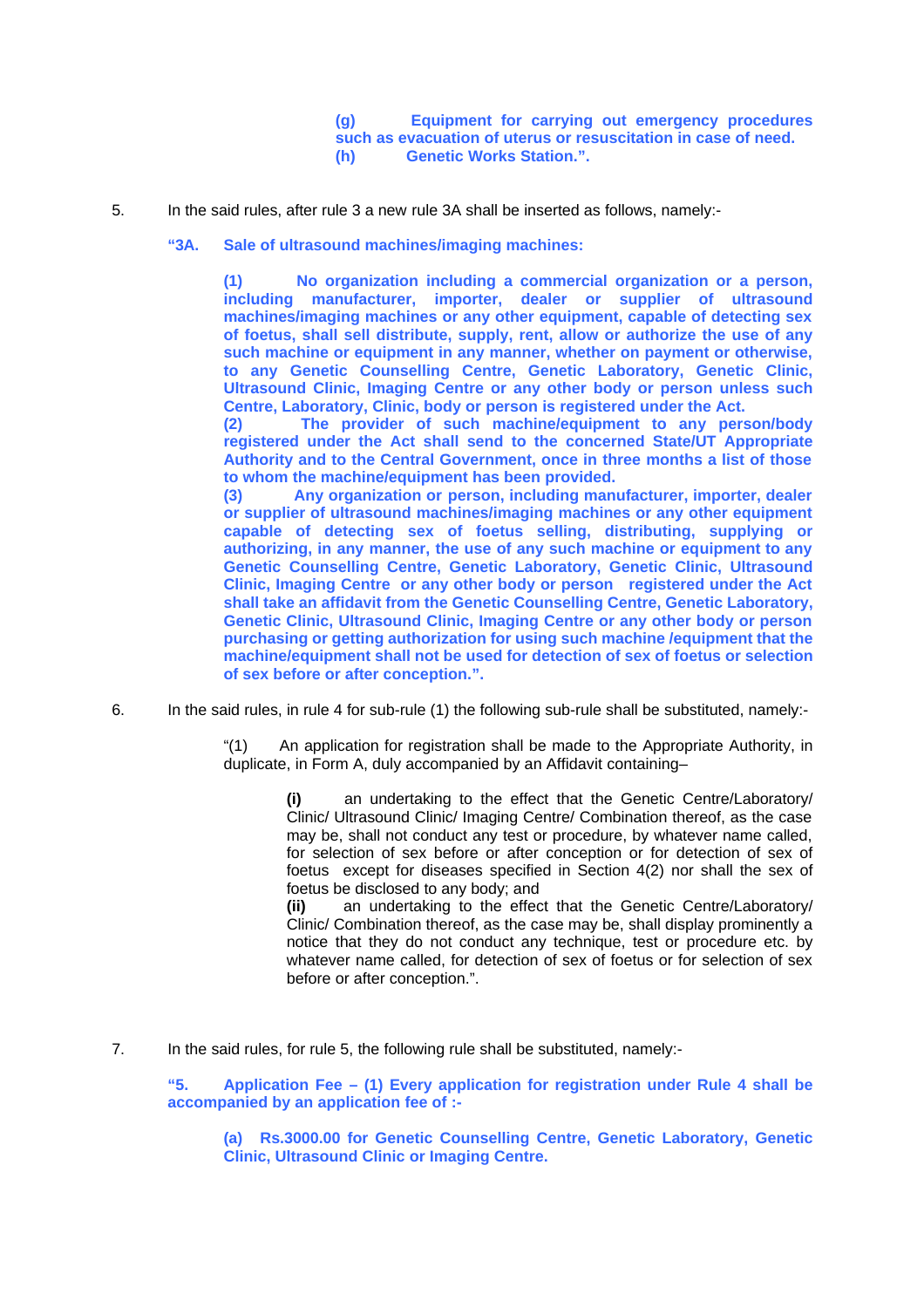**(g) Equipment for carrying out emergency procedures such as evacuation of uterus or resuscitation in case of need. (h) Genetic Works Station.".**

- 5. In the said rules, after rule 3 a new rule 3A shall be inserted as follows, namely:-
	- **"3A. Sale of ultrasound machines/imaging machines:**

**(1) No organization including a commercial organization or a person, including manufacturer, importer, dealer or supplier of ultrasound machines/imaging machines or any other equipment, capable of detecting sex of foetus, shall sell distribute, supply, rent, allow or authorize the use of any such machine or equipment in any manner, whether on payment or otherwise, to any Genetic Counselling Centre, Genetic Laboratory, Genetic Clinic, Ultrasound Clinic, Imaging Centre or any other body or person unless such Centre, Laboratory, Clinic, body or person is registered under the Act.** 

**(2) The provider of such machine/equipment to any person/body registered under the Act shall send to the concerned State/UT Appropriate Authority and to the Central Government, once in three months a list of those to whom the machine/equipment has been provided.** 

**(3) Any organization or person, including manufacturer, importer, dealer or supplier of ultrasound machines/imaging machines or any other equipment capable of detecting sex of foetus selling, distributing, supplying or authorizing, in any manner, the use of any such machine or equipment to any Genetic Counselling Centre, Genetic Laboratory, Genetic Clinic, Ultrasound Clinic, Imaging Centre or any other body or person registered under the Act shall take an affidavit from the Genetic Counselling Centre, Genetic Laboratory, Genetic Clinic, Ultrasound Clinic, Imaging Centre or any other body or person purchasing or getting authorization for using such machine /equipment that the machine/equipment shall not be used for detection of sex of foetus or selection of sex before or after conception.".**

6. In the said rules, in rule 4 for sub-rule (1) the following sub-rule shall be substituted, namely:-

"(1) An application for registration shall be made to the Appropriate Authority, in duplicate, in Form A, duly accompanied by an Affidavit containing–

> **(i)** an undertaking to the effect that the Genetic Centre/Laboratory/ Clinic/ Ultrasound Clinic/ Imaging Centre/ Combination thereof, as the case may be, shall not conduct any test or procedure, by whatever name called, for selection of sex before or after conception or for detection of sex of foetus except for diseases specified in Section 4(2) nor shall the sex of foetus be disclosed to any body; and

> **(ii)** an undertaking to the effect that the Genetic Centre/Laboratory/ Clinic/ Combination thereof, as the case may be, shall display prominently a notice that they do not conduct any technique, test or procedure etc. by whatever name called, for detection of sex of foetus or for selection of sex before or after conception.".

7. In the said rules, for rule 5, the following rule shall be substituted, namely:-

**"5. Application Fee – (1) Every application for registration under Rule 4 shall be accompanied by an application fee of :-**

**(a) Rs.3000.00 for Genetic Counselling Centre, Genetic Laboratory, Genetic Clinic, Ultrasound Clinic or Imaging Centre.**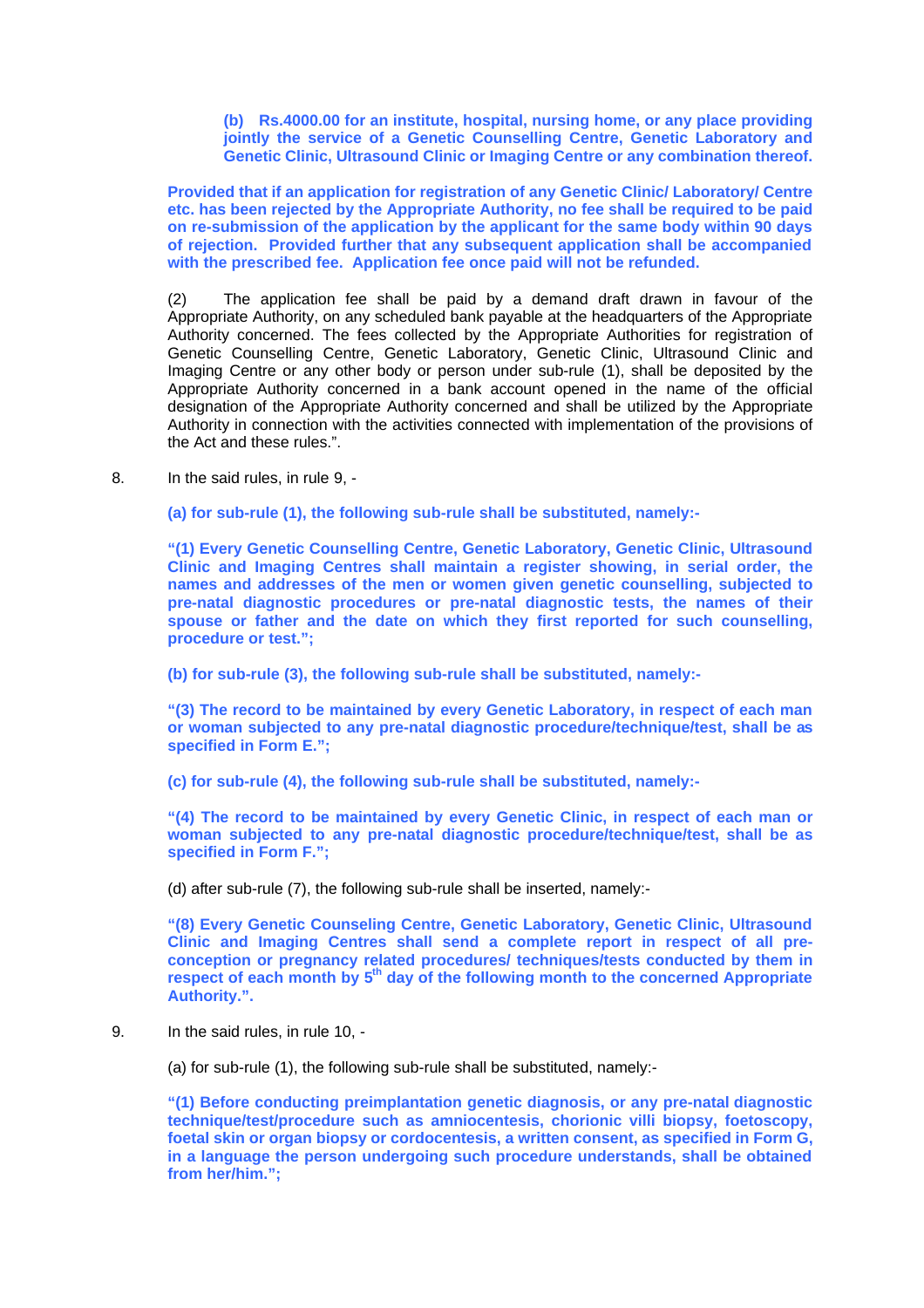**(b) Rs.4000.00 for an institute, hospital, nursing home, or any place providing jointly the service of a Genetic Counselling Centre, Genetic Laboratory and Genetic Clinic, Ultrasound Clinic or Imaging Centre or any combination thereof.**

**Provided that if an application for registration of any Genetic Clinic/ Laboratory/ Centre etc. has been rejected by the Appropriate Authority, no fee shall be required to be paid on re-submission of the application by the applicant for the same body within 90 days of rejection. Provided further that any subsequent application shall be accompanied with the prescribed fee. Application fee once paid will not be refunded.**

(2) The application fee shall be paid by a demand draft drawn in favour of the Appropriate Authority, on any scheduled bank payable at the headquarters of the Appropriate Authority concerned. The fees collected by the Appropriate Authorities for registration of Genetic Counselling Centre, Genetic Laboratory, Genetic Clinic, Ultrasound Clinic and Imaging Centre or any other body or person under sub-rule (1), shall be deposited by the Appropriate Authority concerned in a bank account opened in the name of the official designation of the Appropriate Authority concerned and shall be utilized by the Appropriate Authority in connection with the activities connected with implementation of the provisions of the Act and these rules.".

8. In the said rules, in rule 9, -

**(a) for sub-rule (1), the following sub-rule shall be substituted, namely:-**

**"(1) Every Genetic Counselling Centre, Genetic Laboratory, Genetic Clinic, Ultrasound Clinic and Imaging Centres shall maintain a register showing, in serial order, the names and addresses of the men or women given genetic counselling, subjected to pre-natal diagnostic procedures or pre-natal diagnostic tests, the names of their spouse or father and the date on which they first reported for such counselling, procedure or test.";**

**(b) for sub-rule (3), the following sub-rule shall be substituted, namely:-**

**"(3) The record to be maintained by every Genetic Laboratory, in respect of each man or woman subjected to any pre-natal diagnostic procedure/technique/test, shall be as specified in Form E.";**

**(c) for sub-rule (4), the following sub-rule shall be substituted, namely:-**

**"(4) The record to be maintained by every Genetic Clinic, in respect of each man or woman subjected to any pre-natal diagnostic procedure/technique/test, shall be as specified in Form F.";**

(d) after sub-rule (7), the following sub-rule shall be inserted, namely:-

**"(8) Every Genetic Counseling Centre, Genetic Laboratory, Genetic Clinic, Ultrasound Clinic and Imaging Centres shall send a complete report in respect of all preconception or pregnancy related procedures/ techniques/tests conducted by them in respect of each month by 5th day of the following month to the concerned Appropriate Authority.".**

9. In the said rules, in rule 10, -

(a) for sub-rule (1), the following sub-rule shall be substituted, namely:-

**"(1) Before conducting preimplantation genetic diagnosis, or any pre-natal diagnostic technique/test/procedure such as amniocentesis, chorionic villi biopsy, foetoscopy, foetal skin or organ biopsy or cordocentesis, a written consent, as specified in Form G, in a language the person undergoing such procedure understands, shall be obtained from her/him.";**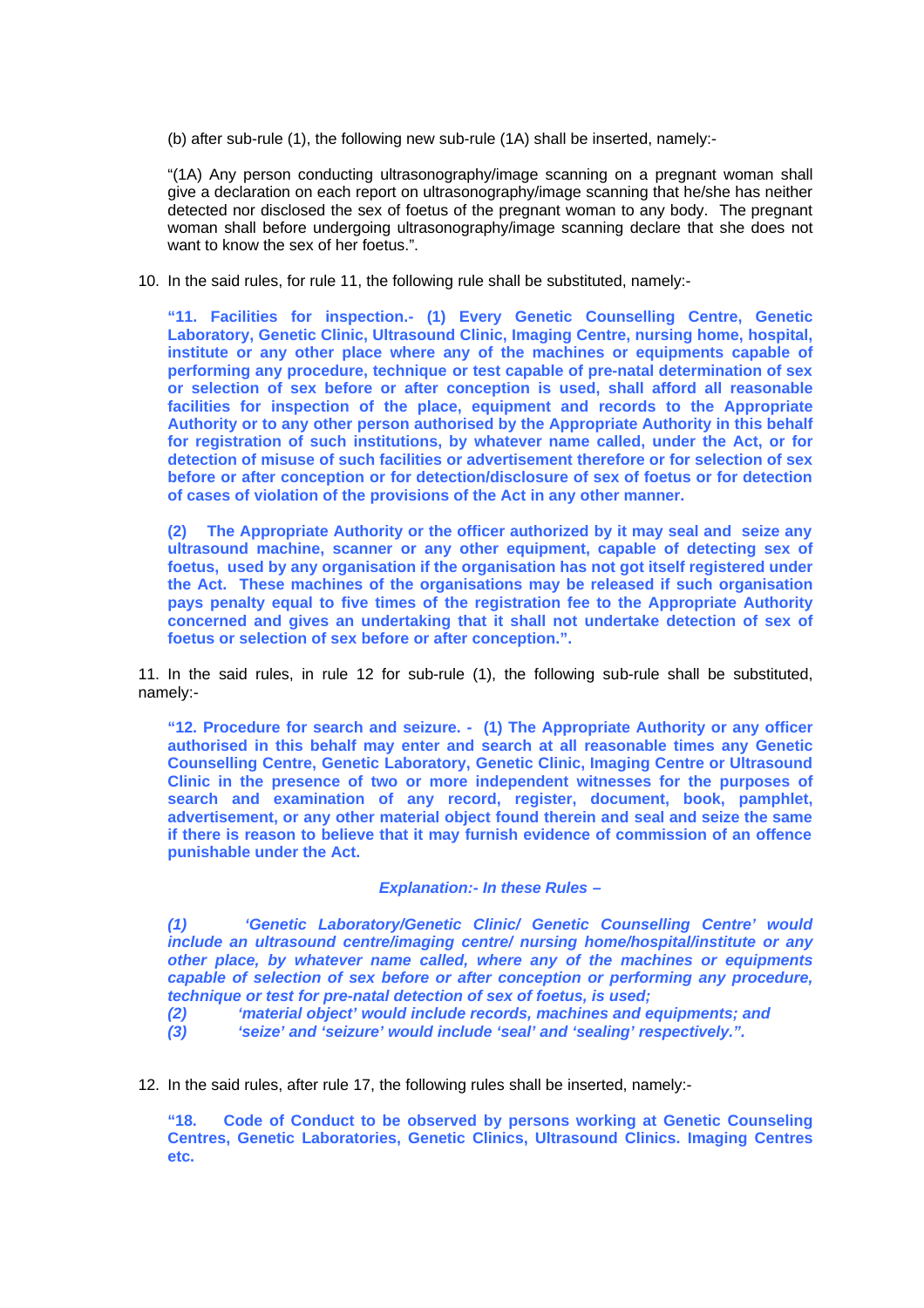(b) after sub-rule (1), the following new sub-rule (1A) shall be inserted, namely:-

"(1A) Any person conducting ultrasonography/image scanning on a pregnant woman shall give a declaration on each report on ultrasonography/image scanning that he/she has neither detected nor disclosed the sex of foetus of the pregnant woman to any body. The pregnant woman shall before undergoing ultrasonography/image scanning declare that she does not want to know the sex of her foetus.".

10. In the said rules, for rule 11, the following rule shall be substituted, namely:-

**"11. Facilities for inspection.- (1) Every Genetic Counselling Centre, Genetic Laboratory, Genetic Clinic, Ultrasound Clinic, Imaging Centre, nursing home, hospital, institute or any other place where any of the machines or equipments capable of performing any procedure, technique or test capable of pre-natal determination of sex or selection of sex before or after conception is used, shall afford all reasonable facilities for inspection of the place, equipment and records to the Appropriate Authority or to any other person authorised by the Appropriate Authority in this behalf for registration of such institutions, by whatever name called, under the Act, or for detection of misuse of such facilities or advertisement therefore or for selection of sex before or after conception or for detection/disclosure of sex of foetus or for detection of cases of violation of the provisions of the Act in any other manner.**

**(2) The Appropriate Authority or the officer authorized by it may seal and seize any ultrasound machine, scanner or any other equipment, capable of detecting sex of foetus, used by any organisation if the organisation has not got itself registered under the Act. These machines of the organisations may be released if such organisation pays penalty equal to five times of the registration fee to the Appropriate Authority concerned and gives an undertaking that it shall not undertake detection of sex of foetus or selection of sex before or after conception.".**

11. In the said rules, in rule 12 for sub-rule (1), the following sub-rule shall be substituted, namely:-

**"12. Procedure for search and seizure. - (1) The Appropriate Authority or any officer authorised in this behalf may enter and search at all reasonable times any Genetic Counselling Centre, Genetic Laboratory, Genetic Clinic, Imaging Centre or Ultrasound Clinic in the presence of two or more independent witnesses for the purposes of search and examination of any record, register, document, book, pamphlet, advertisement, or any other material object found therein and seal and seize the same if there is reason to believe that it may furnish evidence of commission of an offence punishable under the Act.**

## *Explanation:- In these Rules –*

*(1) 'Genetic Laboratory/Genetic Clinic/ Genetic Counselling Centre' would include an ultrasound centre/imaging centre/ nursing home/hospital/institute or any other place, by whatever name called, where any of the machines or equipments capable of selection of sex before or after conception or performing any procedure, technique or test for pre-natal detection of sex of foetus, is used;*

*(2) 'material object' would include records, machines and equipments; and*

*(3) 'seize' and 'seizure' would include 'seal' and 'sealing' respectively.".*

12. In the said rules, after rule 17, the following rules shall be inserted, namely:-

**"18. Code of Conduct to be observed by persons working at Genetic Counseling Centres, Genetic Laboratories, Genetic Clinics, Ultrasound Clinics. Imaging Centres etc.**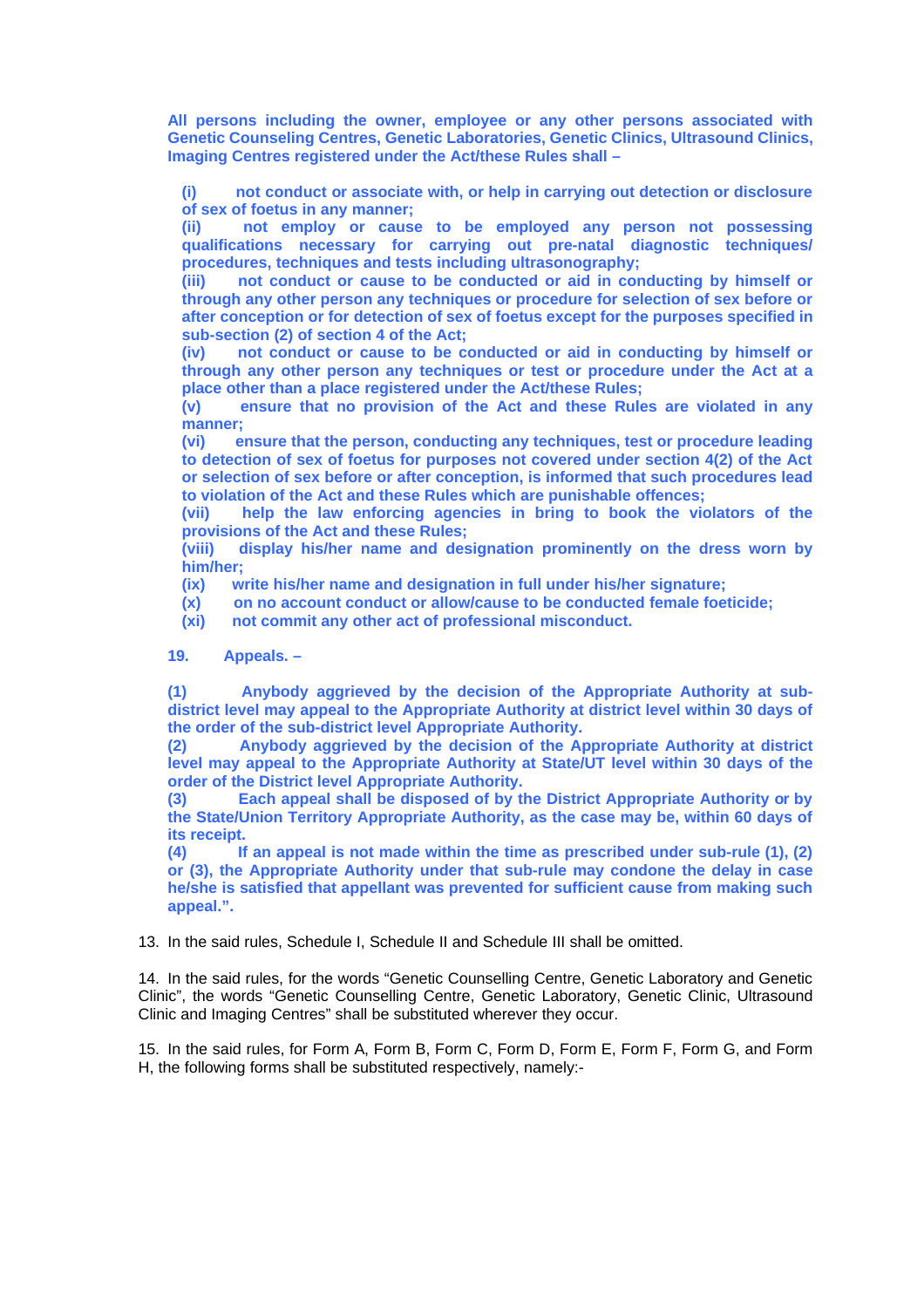**All persons including the owner, employee or any other persons associated with Genetic Counseling Centres, Genetic Laboratories, Genetic Clinics, Ultrasound Clinics, Imaging Centres registered under the Act/these Rules shall –**

**(i) not conduct or associate with, or help in carrying out detection or disclosure of sex of foetus in any manner;**

**(ii) not employ or cause to be employed any person not possessing qualifications necessary for carrying out pre-natal diagnostic techniques/ procedures, techniques and tests including ultrasonography;**

**(iii) not conduct or cause to be conducted or aid in conducting by himself or through any other person any techniques or procedure for selection of sex before or after conception or for detection of sex of foetus except for the purposes specified in sub-section (2) of section 4 of the Act;**

**(iv) not conduct or cause to be conducted or aid in conducting by himself or through any other person any techniques or test or procedure under the Act at a place other than a place registered under the Act/these Rules;**

**(v) ensure that no provision of the Act and these Rules are violated in any** manner;<br>(vi) e

**(vi) ensure that the person, conducting any techniques, test or procedure leading to detection of sex of foetus for purposes not covered under section 4(2) of the Act or selection of sex before or after conception, is informed that such procedures lead to violation of the Act and these Rules which are punishable offences;** 

**(vii) help the law enforcing agencies in bring to book the violators of the provisions of the Act and these Rules;** 

**(viii) display his/her name and designation prominently on the dress worn by him/her;** 

**(ix) write his/her name and designation in full under his/her signature;**

**(x) on no account conduct or allow/cause to be conducted female foeticide;**

**(xi) not commit any other act of professional misconduct.** 

**19. Appeals. –** 

**(1) Anybody aggrieved by the decision of the Appropriate Authority at subdistrict level may appeal to the Appropriate Authority at district level within 30 days of the order of the sub-district level Appropriate Authority.**

**(2) Anybody aggrieved by the decision of the Appropriate Authority at district level may appeal to the Appropriate Authority at State/UT level within 30 days of the order of the District level Appropriate Authority.**

**(3) Each appeal shall be disposed of by the District Appropriate Authority or by the State/Union Territory Appropriate Authority, as the case may be, within 60 days of its receipt.**

**(4) If an appeal is not made within the time as prescribed under sub-rule (1), (2) or (3), the Appropriate Authority under that sub-rule may condone the delay in case he/she is satisfied that appellant was prevented for sufficient cause from making such appeal.".**

13. In the said rules, Schedule I, Schedule II and Schedule III shall be omitted.

14. In the said rules, for the words "Genetic Counselling Centre, Genetic Laboratory and Genetic Clinic", the words "Genetic Counselling Centre, Genetic Laboratory, Genetic Clinic, Ultrasound Clinic and Imaging Centres" shall be substituted wherever they occur.

15. In the said rules, for Form A, Form B, Form C, Form D, Form E, Form F, Form G, and Form H, the following forms shall be substituted respectively, namely:-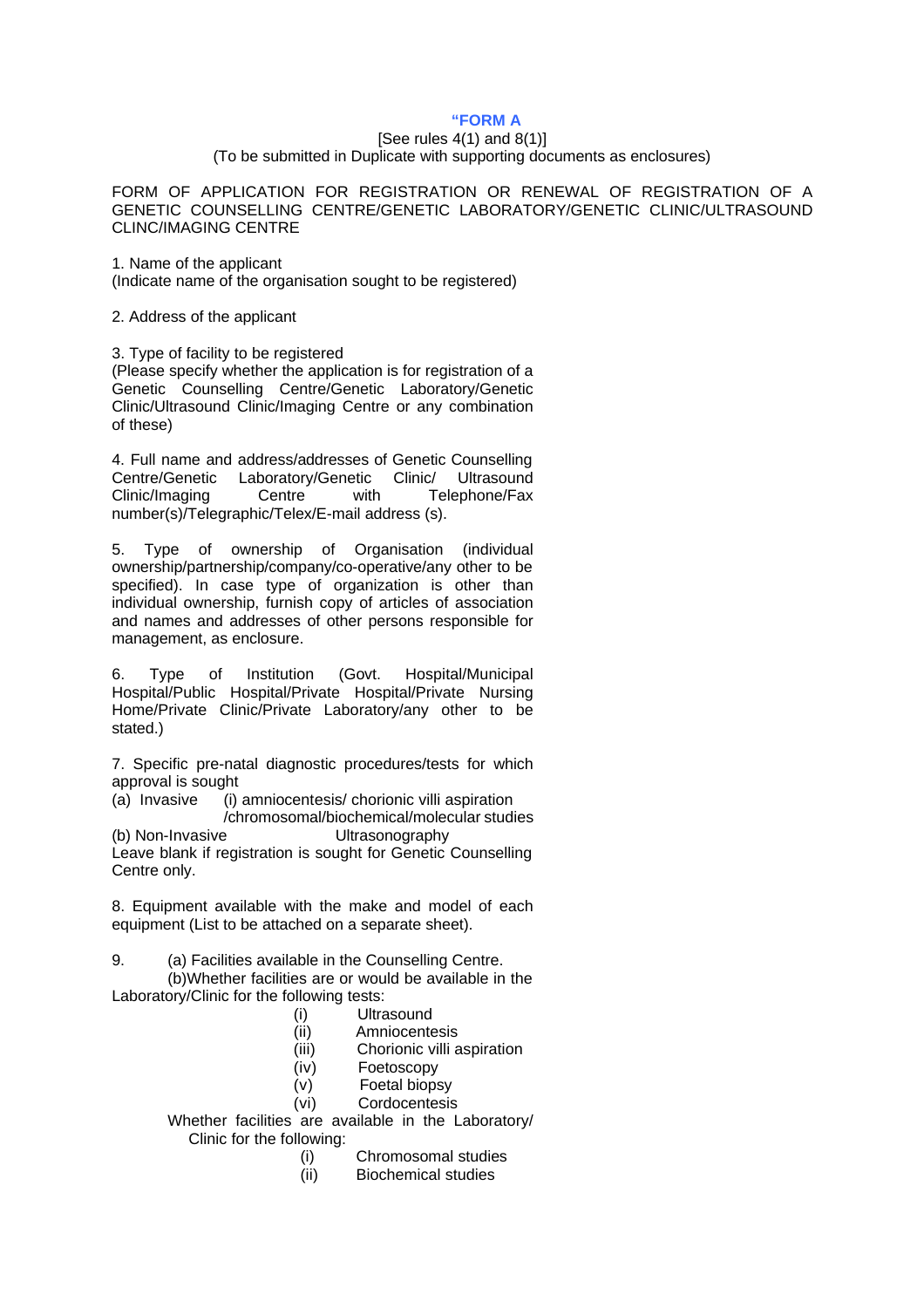# **"FORM A**

[See rules  $4(1)$  and  $8(1)$ ] (To be submitted in Duplicate with supporting documents as enclosures)

FORM OF APPLICATION FOR REGISTRATION OR RENEWAL OF REGISTRATION OF A GENETIC COUNSELLING CENTRE/GENETIC LABORATORY/GENETIC CLINIC/ULTRASOUND CLINC/IMAGING CENTRE

1. Name of the applicant

(Indicate name of the organisation sought to be registered)

#### 2. Address of the applicant

3. Type of facility to be registered

(Please specify whether the application is for registration of a Genetic Counselling Centre/Genetic Laboratory/Genetic Clinic/Ultrasound Clinic/Imaging Centre or any combination of these)

4. Full name and address/addresses of Genetic Counselling Centre/Genetic Laboratory/Genetic Clinic/ Ultrasound Clinic/Imaging Centre with Telephone/Fax number(s)/Telegraphic/Telex/E-mail address (s).

5. Type of ownership of Organisation (individual ownership/partnership/company/co-operative/any other to be specified). In case type of organization is other than individual ownership, furnish copy of articles of association and names and addresses of other persons responsible for management, as enclosure.

6. Type of Institution (Govt. Hospital/Municipal Hospital/Public Hospital/Private Hospital/Private Nursing Home/Private Clinic/Private Laboratory/any other to be stated.)

7. Specific pre-natal diagnostic procedures/tests for which approval is sought

(a) Invasive (i) amniocentesis/ chorionic villi aspiration

/chromosomal/biochemical/molecular studies (b) Non-Invasive Ultrasonography Leave blank if registration is sought for Genetic Counselling Centre only.

8. Equipment available with the make and model of each equipment (List to be attached on a separate sheet).

9. (a) Facilities available in the Counselling Centre. (b)Whether facilities are or would be available in the Laboratory/Clinic for the following tests:

- (i) Ultrasound
- (ii) Amniocentesis
- (iii) Chorionic villi aspiration
- (iv) Foetoscopy
- (v) Foetal biopsy
- (vi) Cordocentesis

Whether facilities are available in the Laboratory/ Clinic for the following:

- (i) Chromosomal studies
- (ii) Biochemical studies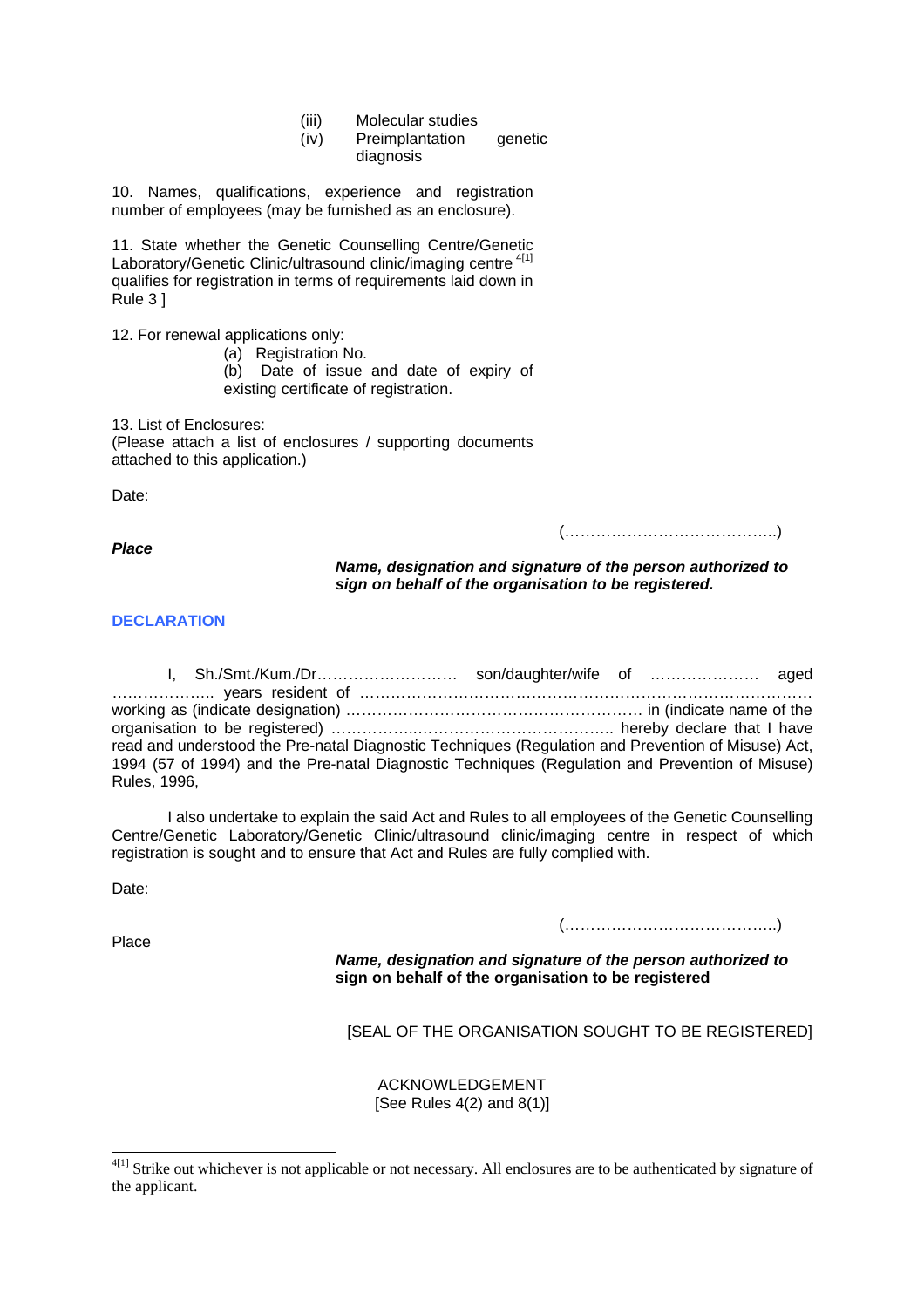- (iii) Molecular studies
- (iv) Preimplantation genetic diagnosis

10. Names, qualifications, experience and registration number of employees (may be furnished as an enclosure).

11. State whether the Genetic Counselling Centre/Genetic Laboratory/Genetic Clinic/ultrasound clinic/imaging centre <sup>4[1]</sup> qualifies for registration in terms of requirements laid down in Rule 3 ]

12. For renewal applications only:

- (a) Registration No.
- (b) Date of issue and date of expiry of existing certificate of registration.

13. List of Enclosures: (Please attach a list of enclosures / supporting documents attached to this application.)

Date:

(…………………………………..)

*Place*

*Name, designation and signature of the person authorized to sign on behalf of the organisation to be registered.*

# **DECLARATION**

I, Sh./Smt./Kum./Dr……………………… son/daughter/wife of ………………… aged ……………….. years resident of …………………………………………………………………………… working as (indicate designation) …………………………………………………… in (indicate name of the organisation to be registered) ……………..……………………………….. hereby declare that I have read and understood the Pre-natal Diagnostic Techniques (Regulation and Prevention of Misuse) Act, 1994 (57 of 1994) and the Pre-natal Diagnostic Techniques (Regulation and Prevention of Misuse) Rules, 1996,

I also undertake to explain the said Act and Rules to all employees of the Genetic Counselling Centre/Genetic Laboratory/Genetic Clinic/ultrasound clinic/imaging centre in respect of which registration is sought and to ensure that Act and Rules are fully complied with.

Date:

(…………………………………..)

Place

 $\overline{a}$ 

*Name, designation and signature of the person authorized to*  **sign on behalf of the organisation to be registered**

[SEAL OF THE ORGANISATION SOUGHT TO BE REGISTERED]

ACKNOWLEDGEMENT [See Rules 4(2) and 8(1)]

 $4<sup>[1]</sup>$  Strike out whichever is not applicable or not necessary. All enclosures are to be authenticated by signature of the applicant.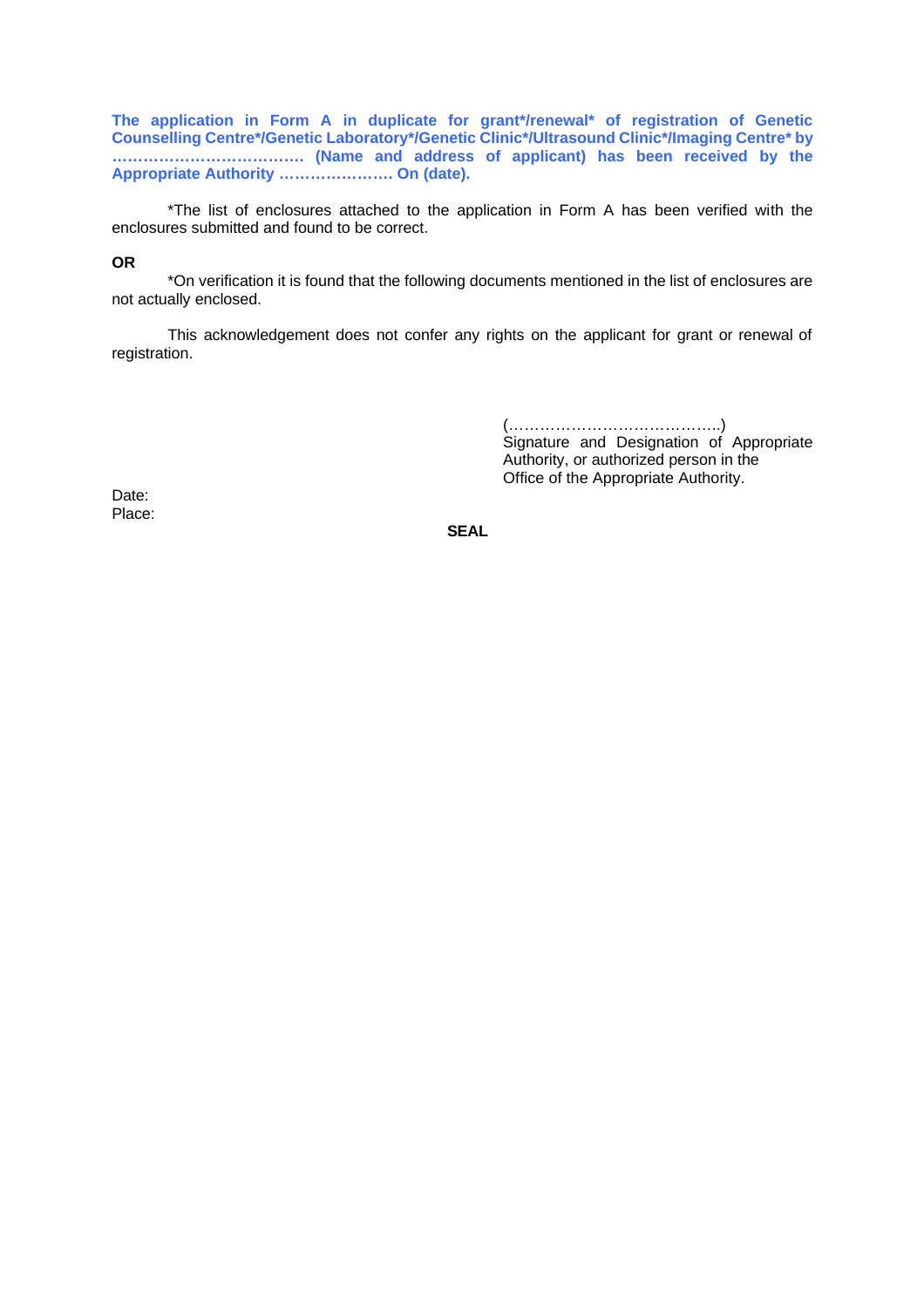**The application in Form A in duplicate for grant\*/renewal\* of registration of Genetic Counselling Centre\*/Genetic Laboratory\*/Genetic Clinic\*/Ultrasound Clinic\*/Imaging Centre\* by ………………………………. (Name and address of applicant) has been received by the Appropriate Authority …………………. On (date).**

\*The list of enclosures attached to the application in Form A has been verified with the enclosures submitted and found to be correct.

### **OR**

\*On verification it is found that the following documents mentioned in the list of enclosures are not actually enclosed.

This acknowledgement does not confer any rights on the applicant for grant or renewal of registration.

> (…………………………………..) Signature and Designation of Appropriate Authority, or authorized person in the Office of the Appropriate Authority.

Date: Place:

**SEAL**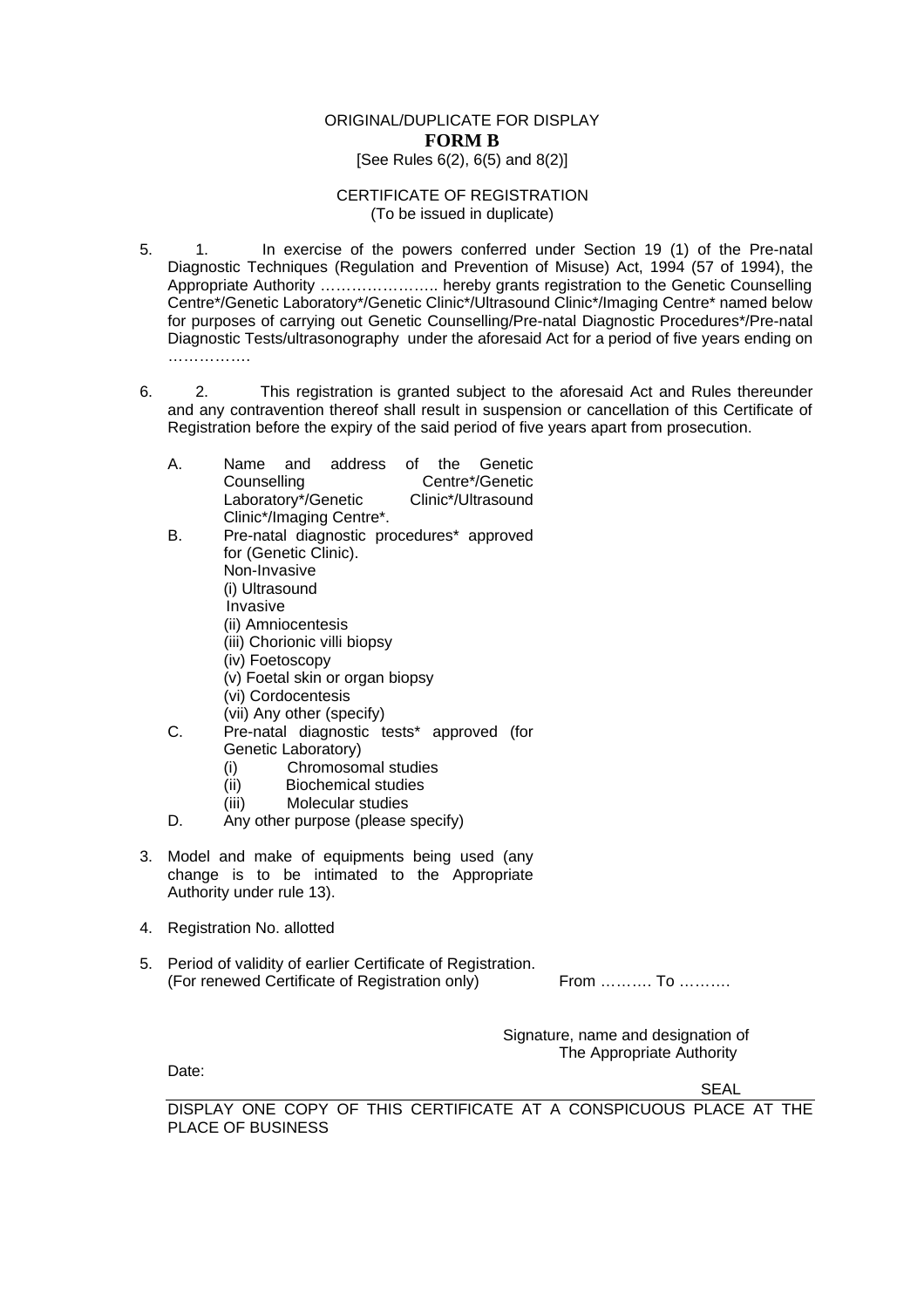## ORIGINAL/DUPLICATE FOR DISPLAY **FORM B** [See Rules 6(2), 6(5) and 8(2)]

## CERTIFICATE OF REGISTRATION (To be issued in duplicate)

- 5. 1. In exercise of the powers conferred under Section 19 (1) of the Pre-natal Diagnostic Techniques (Regulation and Prevention of Misuse) Act, 1994 (57 of 1994), the Appropriate Authority ………………….. hereby grants registration to the Genetic Counselling Centre\*/Genetic Laboratory\*/Genetic Clinic\*/Ultrasound Clinic\*/Imaging Centre\* named below for purposes of carrying out Genetic Counselling/Pre-natal Diagnostic Procedures\*/Pre-natal Diagnostic Tests/ultrasonography under the aforesaid Act for a period of five years ending on …………………
- 6. 2. This registration is granted subject to the aforesaid Act and Rules thereunder and any contravention thereof shall result in suspension or cancellation of this Certificate of Registration before the expiry of the said period of five years apart from prosecution.

| А. |                     |                          | Name and address of |  |                    | the Genetic                               |  |  |  |
|----|---------------------|--------------------------|---------------------|--|--------------------|-------------------------------------------|--|--|--|
|    |                     | Counselling              |                     |  |                    | Centre*/Genetic                           |  |  |  |
|    | Laboratory*/Genetic |                          |                     |  | Clinic*/Ultrasound |                                           |  |  |  |
|    |                     | Clinic*/Imaging Centre*. |                     |  |                    |                                           |  |  |  |
| B  |                     |                          |                     |  |                    | Pre-natal diagnostic procedures* approved |  |  |  |

- 'oceaures" approved for (Genetic Clinic). Non-Invasive (i) Ultrasound Invasive (ii) Amniocentesis (iii) Chorionic villi biopsy (iv) Foetoscopy (v) Foetal skin or organ biopsy
	- (vi) Cordocentesis
	- (vii) Any other (specify)
- C. Pre-natal diagnostic tests\* approved (for Genetic Laboratory)
	- (i) Chromosomal studies
	- (ii) Biochemical studies
	- (iii) Molecular studies
- D. Any other purpose (please specify)
- 3. Model and make of equipments being used (any change is to be intimated to the Appropriate Authority under rule 13).
- 4. Registration No. allotted
- 5. Period of validity of earlier Certificate of Registration. (For renewed Certificate of Registration only) From ………. To ……….

 Signature, name and designation of The Appropriate Authority

Date:

SEAL

DISPLAY ONE COPY OF THIS CERTIFICATE AT A CONSPICUOUS PLACE AT THE PLACE OF BUSINESS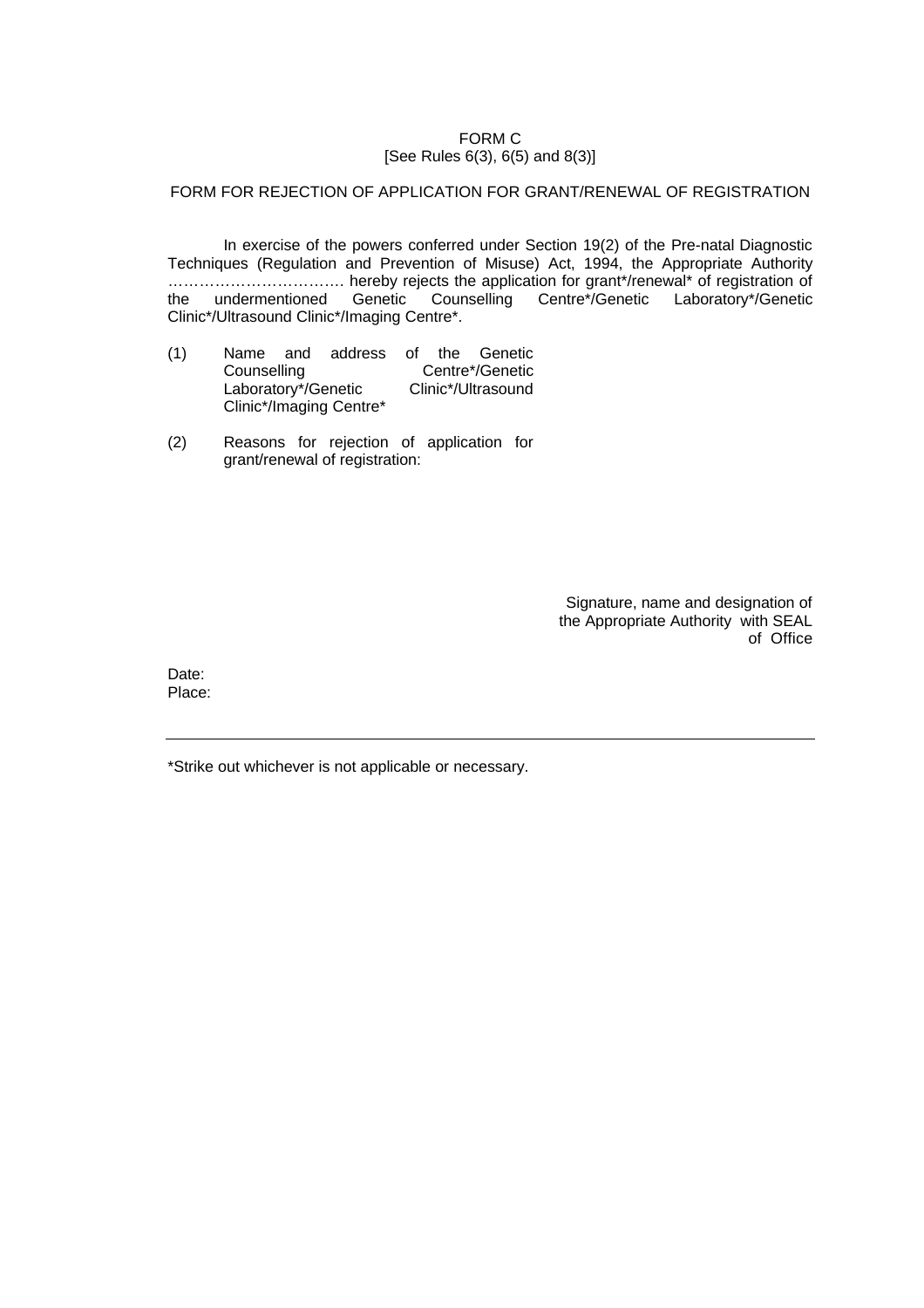#### FORM C [See Rules 6(3), 6(5) and 8(3)]

### FORM FOR REJECTION OF APPLICATION FOR GRANT/RENEWAL OF REGISTRATION

In exercise of the powers conferred under Section 19(2) of the Pre-natal Diagnostic Techniques (Regulation and Prevention of Misuse) Act, 1994, the Appropriate Authority ……………………………. hereby rejects the application for grant\*/renewal\* of registration of the undermentioned Genetic Counselling Centre\*/Genetic Laboratory\*/Genetic Clinic\*/Ultrasound Clinic\*/Imaging Centre\*.

- (1) Name and address of the Genetic Counselling Centre\*/Genetic<br>
Laboratory\*/Genetic Clinic\*/Ultrasound Laboratory\*/Genetic Clinic\*/Imaging Centre\*
- (2) Reasons for rejection of application for grant/renewal of registration:

Signature, name and designation of the Appropriate Authority with SEAL of Office

Date: Place:

\*Strike out whichever is not applicable or necessary.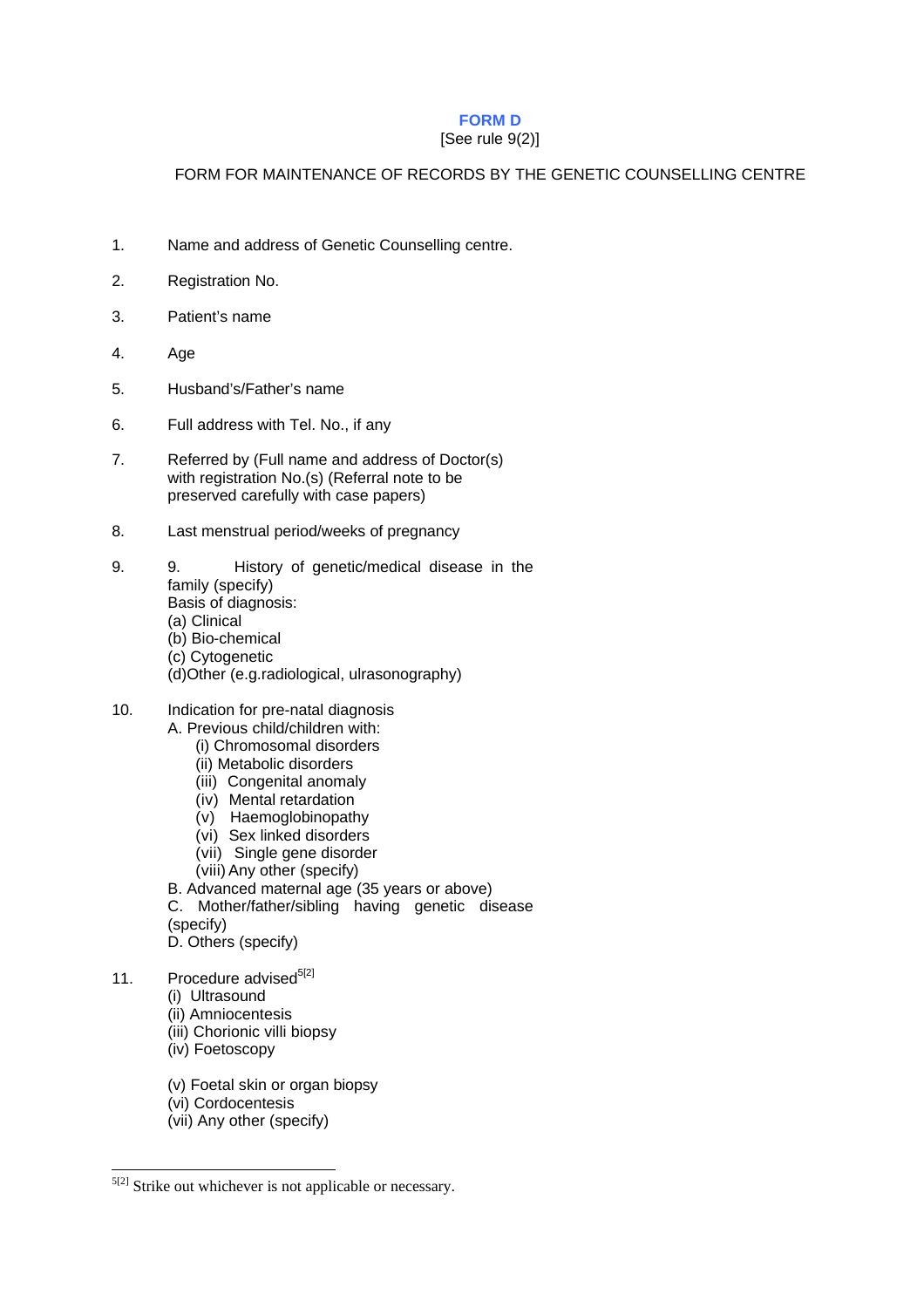# **FORM D**

### [See rule 9(2)]

## FORM FOR MAINTENANCE OF RECORDS BY THE GENETIC COUNSELLING CENTRE

- 1. Name and address of Genetic Counselling centre.
- 2. Registration No.
- 3. Patient's name
- 4. Age
- 5. Husband's/Father's name
- 6. Full address with Tel. No., if any
- 7. Referred by (Full name and address of Doctor(s) with registration No.(s) (Referral note to be preserved carefully with case papers)
- 8. Last menstrual period/weeks of pregnancy
- 9. 9. History of genetic/medical disease in the family (specify) Basis of diagnosis: (a) Clinical (b) Bio-chemical (c) Cytogenetic (d)Other (e.g.radiological, ulrasonography)
- 10. Indication for pre-natal diagnosis
	- A. Previous child/children with:
		- (i) Chromosomal disorders
		- (ii) Metabolic disorders
		- (iii) Congenital anomaly
		- (iv) Mental retardation
		- (v) Haemoglobinopathy
		- (vi) Sex linked disorders
		- (vii) Single gene disorder
		- (viii)Any other (specify)
	- B. Advanced maternal age (35 years or above)

C. Mother/father/sibling having genetic disease (specify)

- D. Others (specify)
- 11. Procedure advised $5[2]$ 
	- (i) Ultrasound
	- (ii) Amniocentesis
	- (iii) Chorionic villi biopsy
	- (iv) Foetoscopy

 $\overline{a}$ 

- (v) Foetal skin or organ biopsy
- (vi) Cordocentesis
- (vii) Any other (specify)

 $5[2]$  Strike out whichever is not applicable or necessary.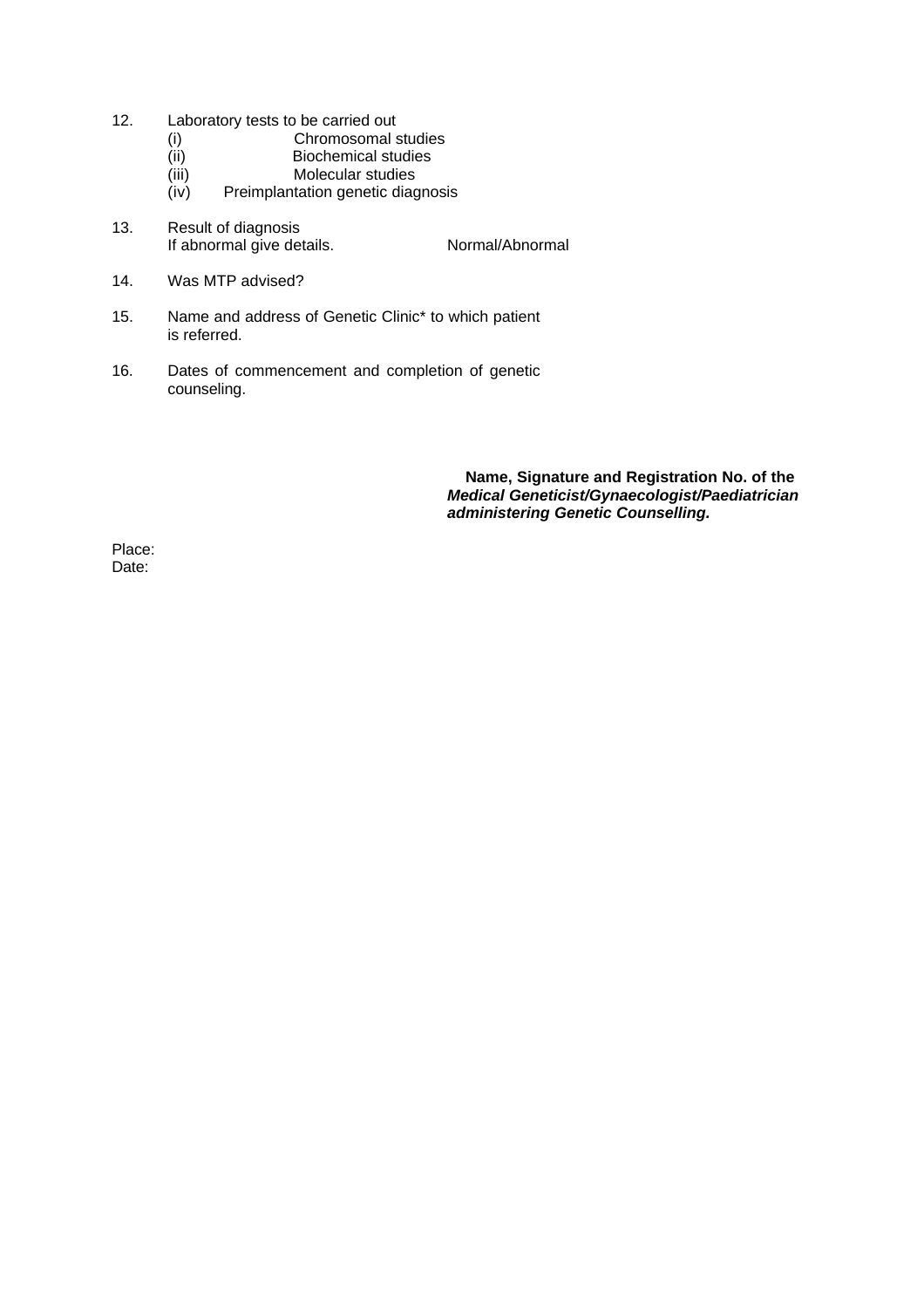- 12. Laboratory tests to be carried out
	- (i) Chromosomal studies
	- (ii) Biochemical studies
	- (iii) Molecular studies
	- (iv) Preimplantation genetic diagnosis
- 13. Result of diagnosis If abnormal give details. Normal/Abnormal
- 14. Was MTP advised?
- 15. Name and address of Genetic Clinic\* to which patient is referred.
- 16. Dates of commencement and completion of genetic counseling.

**Name, Signature and Registration No. of the** *Medical Geneticist/Gynaecologist/Paediatrician administering Genetic Counselling.*

Place: Date: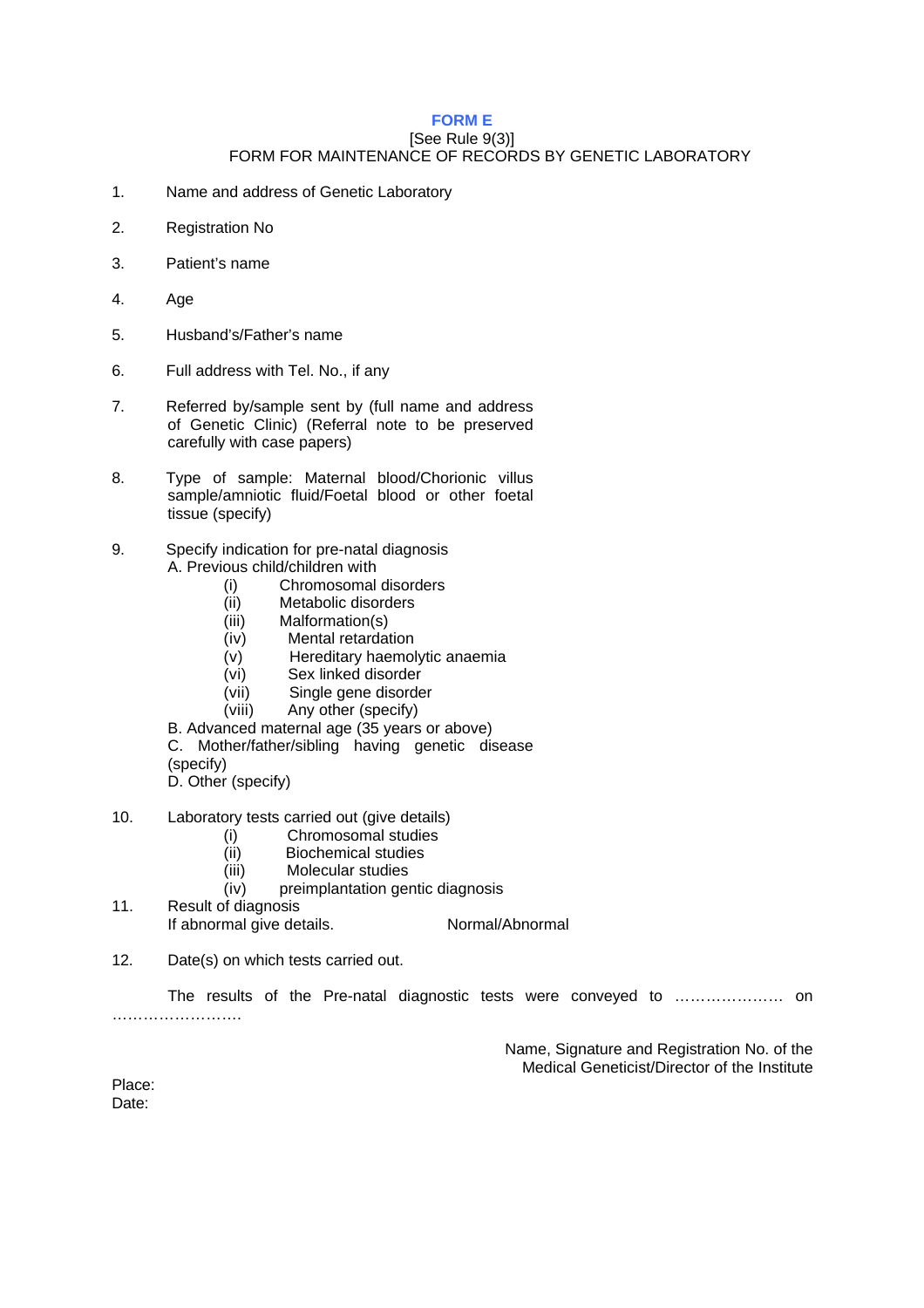# **FORM E**

#### [See Rule 9(3)] FORM FOR MAINTENANCE OF RECORDS BY GENETIC LABORATORY

- 1. Name and address of Genetic Laboratory
- 2. Registration No
- 3. Patient's name
- 4. Age
- 5. Husband's/Father's name
- 6. Full address with Tel. No., if any
- 7. Referred by/sample sent by (full name and address of Genetic Clinic) (Referral note to be preserved carefully with case papers)
- 8. Type of sample: Maternal blood/Chorionic villus sample/amniotic fluid/Foetal blood or other foetal tissue (specify)
- 9. Specify indication for pre-natal diagnosis A. Previous child/children with
	- (i) Chromosomal disorders
	- (ii) Metabolic disorders<br>(iii) Malformation(s)
	- Malformation(s)
	- (iv) Mental retardation
	- (v) Hereditary haemolytic anaemia
	- (vi) Sex linked disorder
	- (vii) Single gene disorder
	- (viii) Any other (specify)
	- B. Advanced maternal age (35 years or above)
	- C. Mother/father/sibling having genetic disease (specify)

D. Other (specify)

- 10. Laboratory tests carried out (give details)
	- (i) Chromosomal studies<br>(ii) Biochemical studies
	- Biochemical studies
	- (iii) Molecular studies
		- (iv) preimplantation gentic diagnosis
- 11. Result of diagnosis If abnormal give details. Normal/Abnormal
- 12. Date(s) on which tests carried out.

The results of the Pre-natal diagnostic tests were conveyed to ………………… on …………………………

> Name, Signature and Registration No. of the Medical Geneticist/Director of the Institute

Place: Date: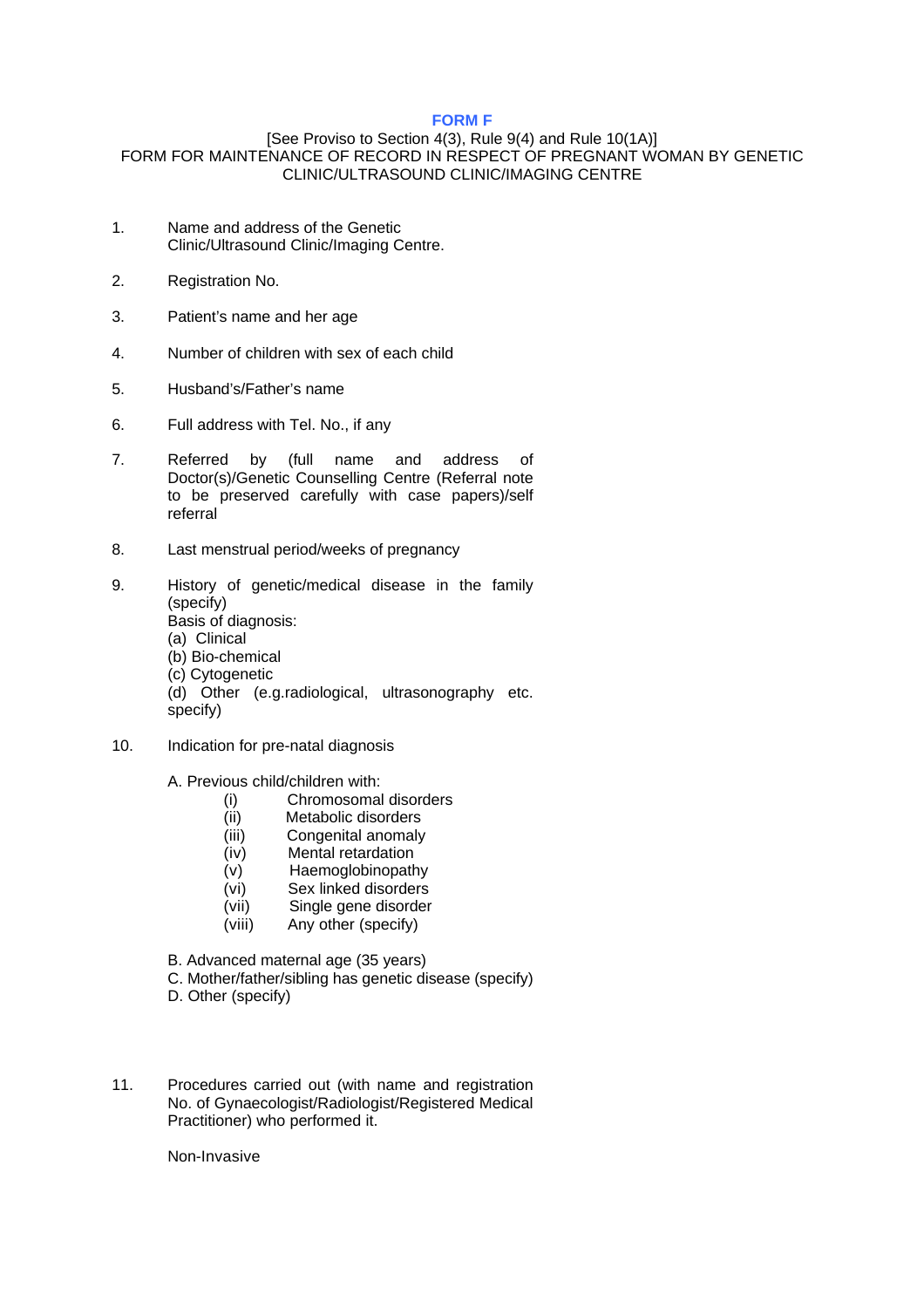## **FORM F**

#### [See Proviso to Section 4(3), Rule 9(4) and Rule 10(1A)] FORM FOR MAINTENANCE OF RECORD IN RESPECT OF PREGNANT WOMAN BY GENETIC CLINIC/ULTRASOUND CLINIC/IMAGING CENTRE

- 1. Name and address of the Genetic Clinic/Ultrasound Clinic/Imaging Centre.
- 2. Registration No.
- 3. Patient's name and her age
- 4. Number of children with sex of each child
- 5. Husband's/Father's name
- 6. Full address with Tel. No., if any
- 7. Referred by (full name and address of Doctor(s)/Genetic Counselling Centre (Referral note to be preserved carefully with case papers)/self referral
- 8. Last menstrual period/weeks of pregnancy
- 9. History of genetic/medical disease in the family (specify) Basis of diagnosis: (a) Clinical (b) Bio-chemical (c) Cytogenetic (d) Other (e.g.radiological, ultrasonography etc. specify)
- 10. Indication for pre-natal diagnosis
	- A. Previous child/children with:
		- (i) Chromosomal disorders
		- (ii) Metabolic disorders
		- (iii) Congenital anomaly
		- (iv) Mental retardation
		- (v) Haemoglobinopathy
		- (vi) Sex linked disorders
		- (vii) Single gene disorder
		- (viii) Any other (specify)
	- B. Advanced maternal age (35 years)
	- C. Mother/father/sibling has genetic disease (specify)
	- D. Other (specify)
- 11. Procedures carried out (with name and registration No. of Gynaecologist/Radiologist/Registered Medical Practitioner) who performed it.

Non-Invasive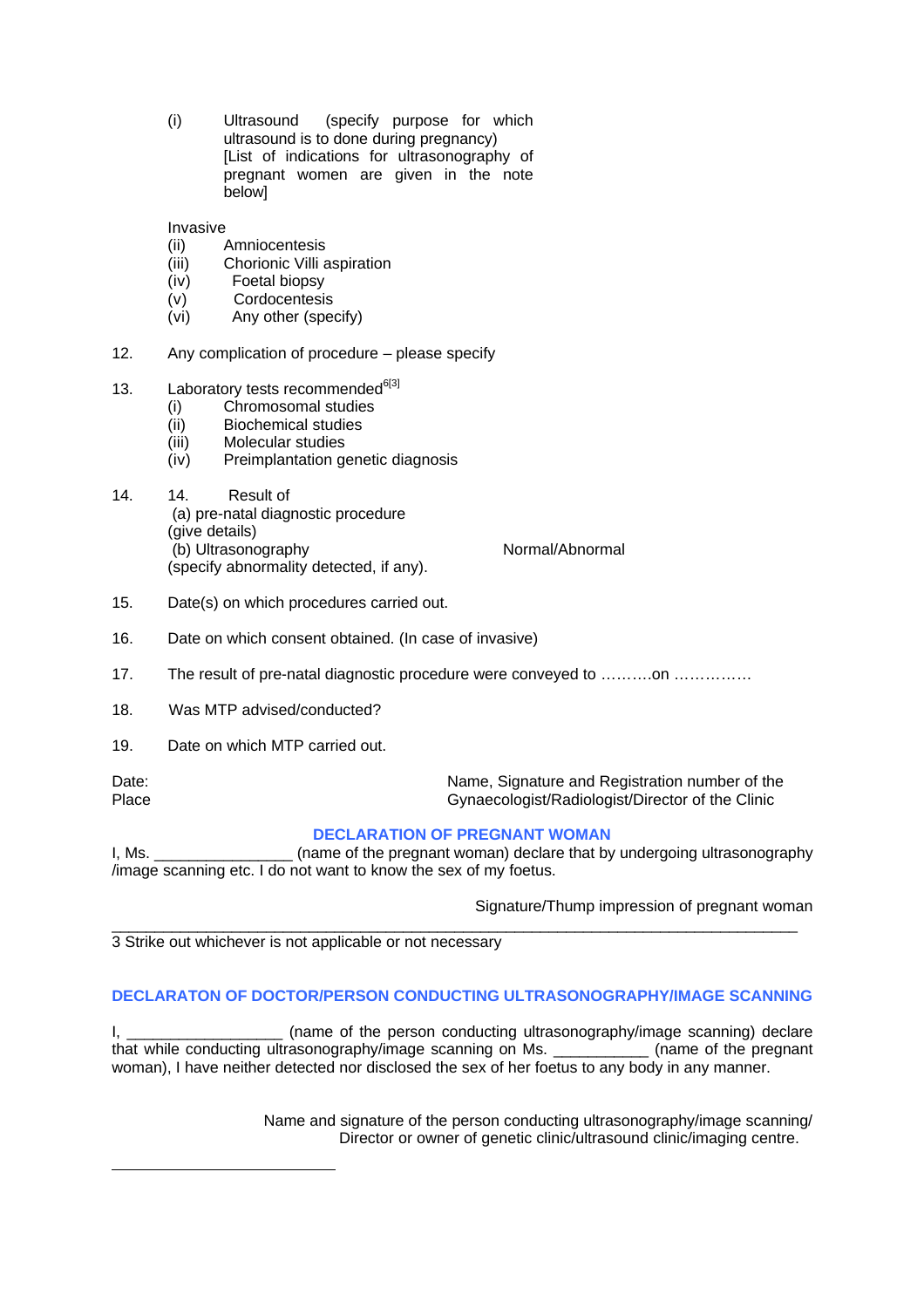(i) Ultrasound (specify purpose for which ultrasound is to done during pregnancy) [List of indications for ultrasonography of pregnant women are given in the note below]

Invasive

### (ii) Amniocentesis

- (iii) Chorionic Villi aspiration
- (iv) Foetal biopsy
- (v) Cordocentesis
- (vi) Any other (specify)
- 12. Any complication of procedure please specify

## 13. Laboratory tests recommended $6[3]$

- (i) Chromosomal studies
- (ii) Biochemical studies
- (iii) Molecular studies
- (iv) Preimplantation genetic diagnosis
- 14. 14. Result of (a) pre-natal diagnostic procedure (give details) (b) Ultrasonography Normal/Abnormal (specify abnormality detected, if any).

15. Date(s) on which procedures carried out.

- 16. Date on which consent obtained. (In case of invasive)
- 17. The result of pre-natal diagnostic procedure were conveyed to ……….on ……………
- 18. Was MTP advised/conducted?
- 19. Date on which MTP carried out.

 $\overline{a}$ 

Date: Name, Signature and Registration number of the Place **Construction Community** Gynaecologist/Radiologist/Director of the Clinic

#### **DECLARATION OF PREGNANT WOMAN**

I, Ms. \_\_\_\_\_\_\_\_\_\_\_\_\_\_\_\_\_\_\_\_ (name of the pregnant woman) declare that by undergoing ultrasonography /image scanning etc. I do not want to know the sex of my foetus.

 $\_$  ,  $\_$  ,  $\_$  ,  $\_$  ,  $\_$  ,  $\_$  ,  $\_$  ,  $\_$  ,  $\_$  ,  $\_$  ,  $\_$  ,  $\_$  ,  $\_$  ,  $\_$  ,  $\_$  ,  $\_$  ,  $\_$  ,  $\_$  ,  $\_$  ,  $\_$ 

Signature/Thump impression of pregnant woman

3 Strike out whichever is not applicable or not necessary

## **DECLARATON OF DOCTOR/PERSON CONDUCTING ULTRASONOGRAPHY/IMAGE SCANNING**

I, Letter than the person conducting ultrasonography/image scanning) declare that while conducting ultrasonography/image scanning on Ms. \_\_\_\_\_\_\_\_\_\_\_\_\_\_\_\_\_\_\_\_\_ (name of the pregnant woman), I have neither detected nor disclosed the sex of her foetus to any body in any manner.

> Name and signature of the person conducting ultrasonography/image scanning/ Director or owner of genetic clinic/ultrasound clinic/imaging centre.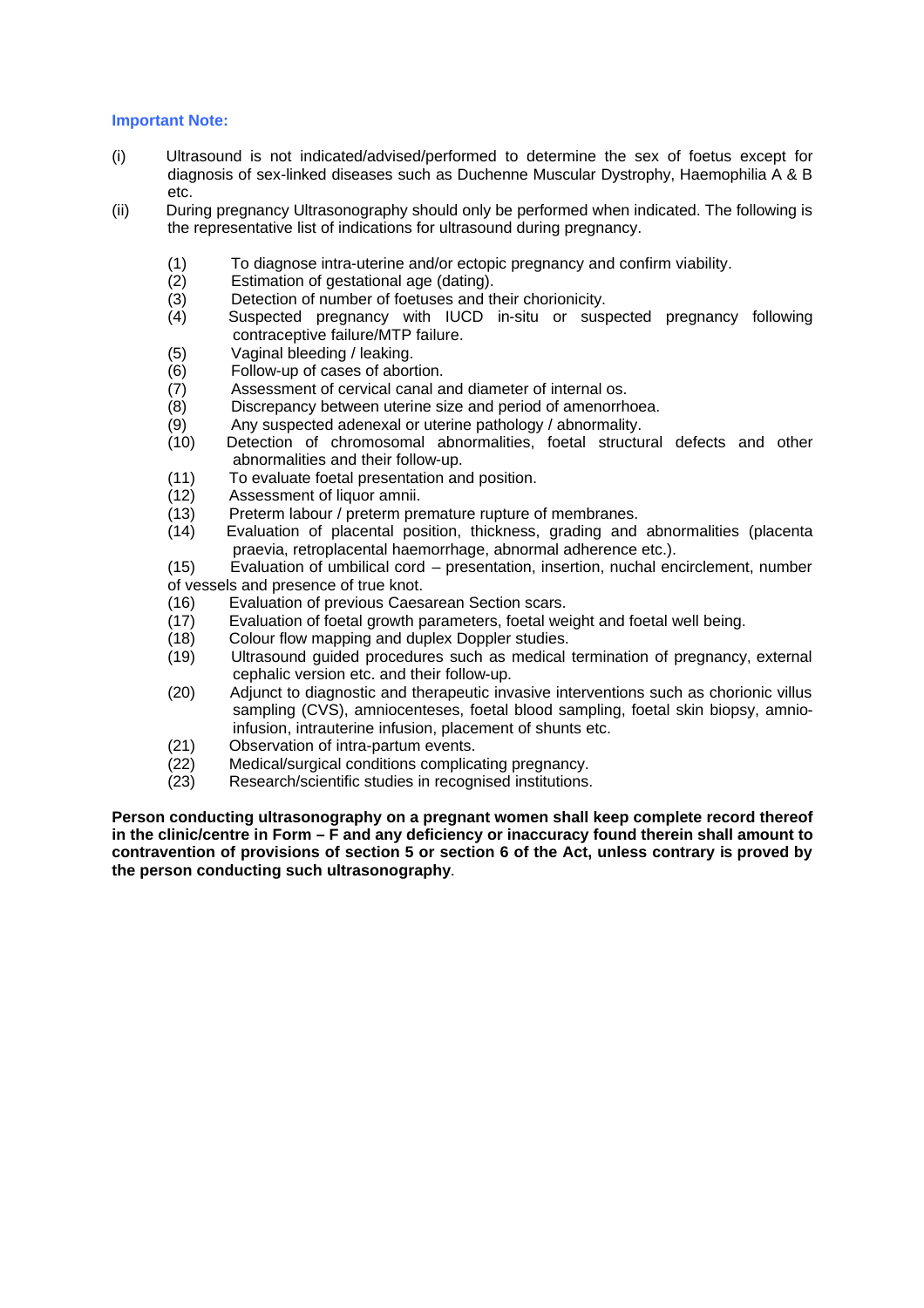#### **Important Note:**

- (i) Ultrasound is not indicated/advised/performed to determine the sex of foetus except for diagnosis of sex-linked diseases such as Duchenne Muscular Dystrophy, Haemophilia A & B etc.
- (ii) During pregnancy Ultrasonography should only be performed when indicated. The following is the representative list of indications for ultrasound during pregnancy.
	- (1) To diagnose intra-uterine and/or ectopic pregnancy and confirm viability.
	- Estimation of gestational age (dating).
	- (3) Detection of number of foetuses and their chorionicity.
	- (4) Suspected pregnancy with IUCD in-situ or suspected pregnancy following contraceptive failure/MTP failure.
	- (5) Vaginal bleeding / leaking.
	- (6) Follow-up of cases of abortion.
	- (7) Assessment of cervical canal and diameter of internal os.
	- (8) Discrepancy between uterine size and period of amenorrhoea.
	- (9) Any suspected adenexal or uterine pathology / abnormality.
	- (10) Detection of chromosomal abnormalities, foetal structural defects and other abnormalities and their follow-up.
	- (11) To evaluate foetal presentation and position.
	- (12) Assessment of liquor amnii.
	- (13) Preterm labour / preterm premature rupture of membranes.
	- (14) Evaluation of placental position, thickness, grading and abnormalities (placenta praevia, retroplacental haemorrhage, abnormal adherence etc.).

(15) Evaluation of umbilical cord – presentation, insertion, nuchal encirclement, number of vessels and presence of true knot.

- (16) Evaluation of previous Caesarean Section scars.
- $(17)$  Evaluation of foetal growth parameters, foetal weight and foetal well being.<br>(18) Colour flow mapping and duplex Doppler studies.
- Colour flow mapping and duplex Doppler studies.
- (19) Ultrasound guided procedures such as medical termination of pregnancy, external cephalic version etc. and their follow-up.
- (20) Adjunct to diagnostic and therapeutic invasive interventions such as chorionic villus sampling (CVS), amniocenteses, foetal blood sampling, foetal skin biopsy, amnioinfusion, intrauterine infusion, placement of shunts etc.
- (21) Observation of intra-partum events.
- (22) Medical/surgical conditions complicating pregnancy.
- (23) Research/scientific studies in recognised institutions.

**Person conducting ultrasonography on a pregnant women shall keep complete record thereof in the clinic/centre in Form – F and any deficiency or inaccuracy found therein shall amount to contravention of provisions of section 5 or section 6 of the Act, unless contrary is proved by the person conducting such ultrasonography**.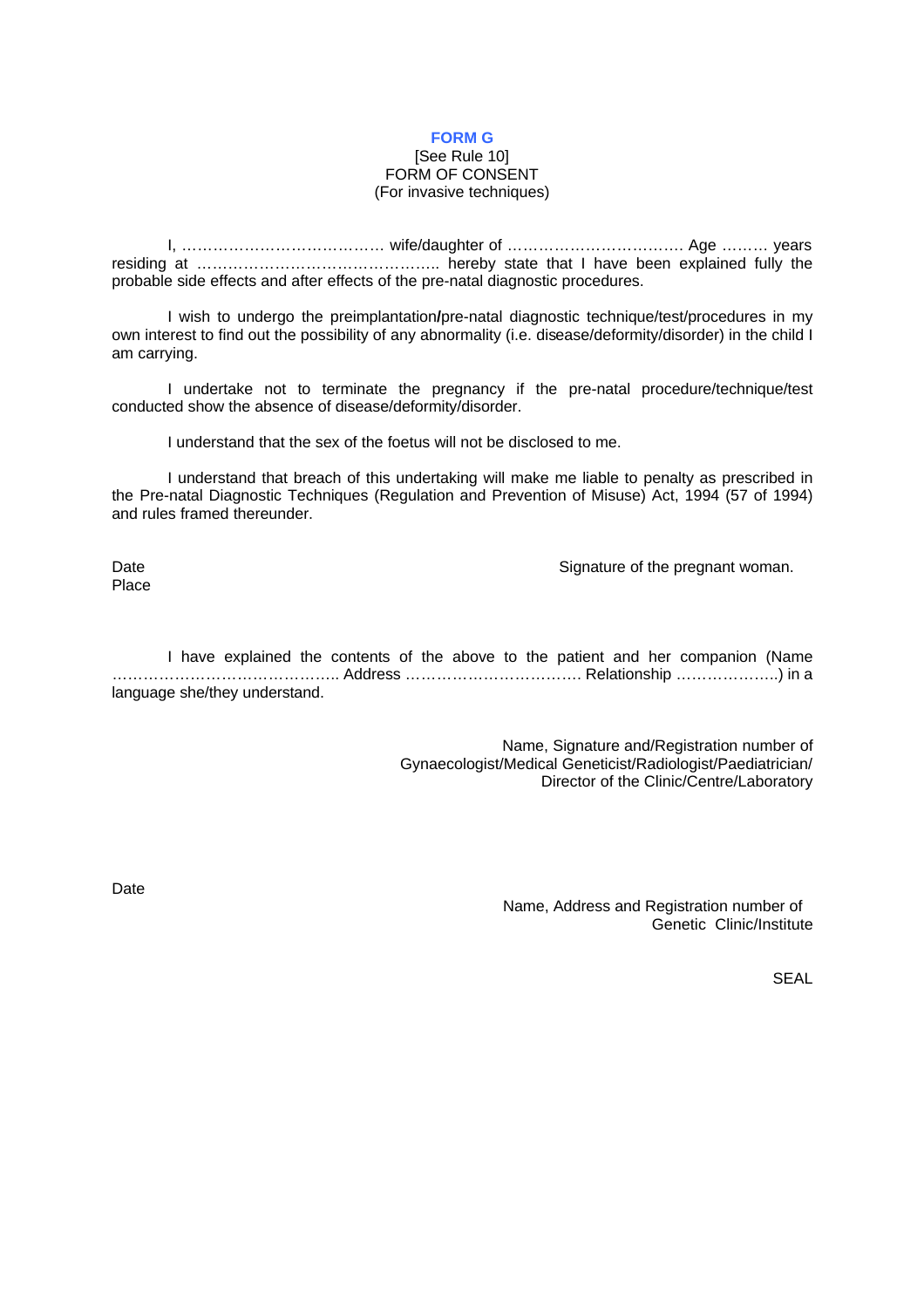#### **FORM G**

#### [See Rule 10] FORM OF CONSENT (For invasive techniques)

I, ………………………………… wife/daughter of ……………………………. Age ……… years residing at ……………………………………….. hereby state that I have been explained fully the probable side effects and after effects of the pre-natal diagnostic procedures.

I wish to undergo the preimplantation**/**pre-natal diagnostic technique/test/procedures in my own interest to find out the possibility of any abnormality (i.e. disease/deformity/disorder) in the child I am carrying.

I undertake not to terminate the pregnancy if the pre-natal procedure/technique/test conducted show the absence of disease/deformity/disorder.

I understand that the sex of the foetus will not be disclosed to me.

I understand that breach of this undertaking will make me liable to penalty as prescribed in the Pre-natal Diagnostic Techniques (Regulation and Prevention of Misuse) Act, 1994 (57 of 1994) and rules framed thereunder.

Place

Date **Signature of the pregnant woman.** 

I have explained the contents of the above to the patient and her companion (Name …………………………………….. Address ……………………………. Relationship ………………..) in a language she/they understand.

> Name, Signature and/Registration number of Gynaecologist/Medical Geneticist/Radiologist/Paediatrician/ Director of the Clinic/Centre/Laboratory

Date

Name, Address and Registration number of Genetic Clinic/Institute

SEAL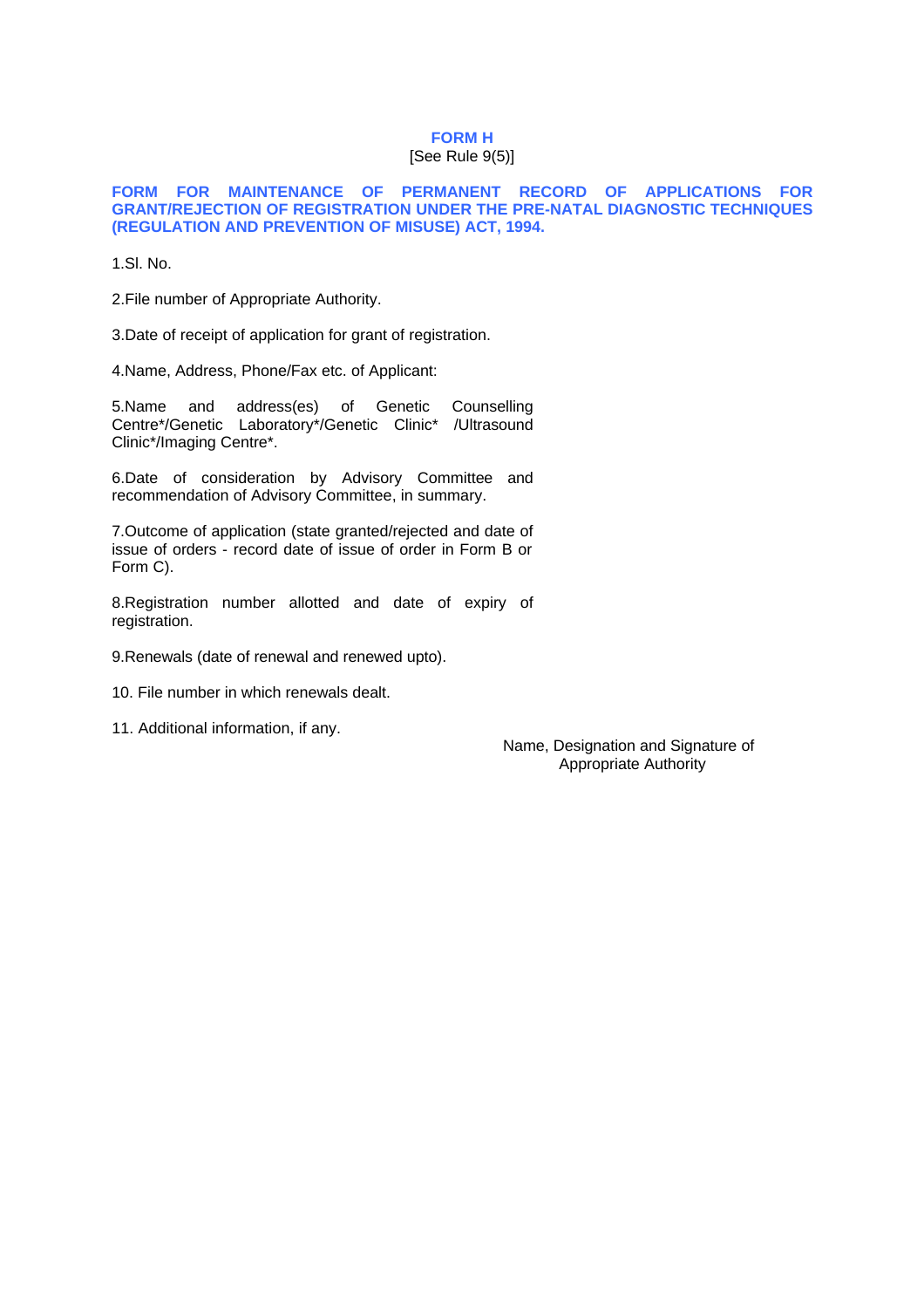## **FORM H**

#### [See Rule 9(5)]

**FORM FOR MAINTENANCE OF PERMANENT RECORD OF APPLICATIONS FOR GRANT/REJECTION OF REGISTRATION UNDER THE PRE-NATAL DIAGNOSTIC TECHNIQUES (REGULATION AND PREVENTION OF MISUSE) ACT, 1994.**

1.Sl. No.

2.File number of Appropriate Authority.

3.Date of receipt of application for grant of registration.

4.Name, Address, Phone/Fax etc. of Applicant:

5.Name and address(es) of Genetic Counselling Centre\*/Genetic Laboratory\*/Genetic Clinic\* /Ultrasound Clinic\*/Imaging Centre\*.

6.Date of consideration by Advisory Committee and recommendation of Advisory Committee, in summary.

7.Outcome of application (state granted/rejected and date of issue of orders - record date of issue of order in Form B or Form C).

8.Registration number allotted and date of expiry of registration.

9.Renewals (date of renewal and renewed upto).

10. File number in which renewals dealt.

11. Additional information, if any.

Name, Designation and Signature of Appropriate Authority